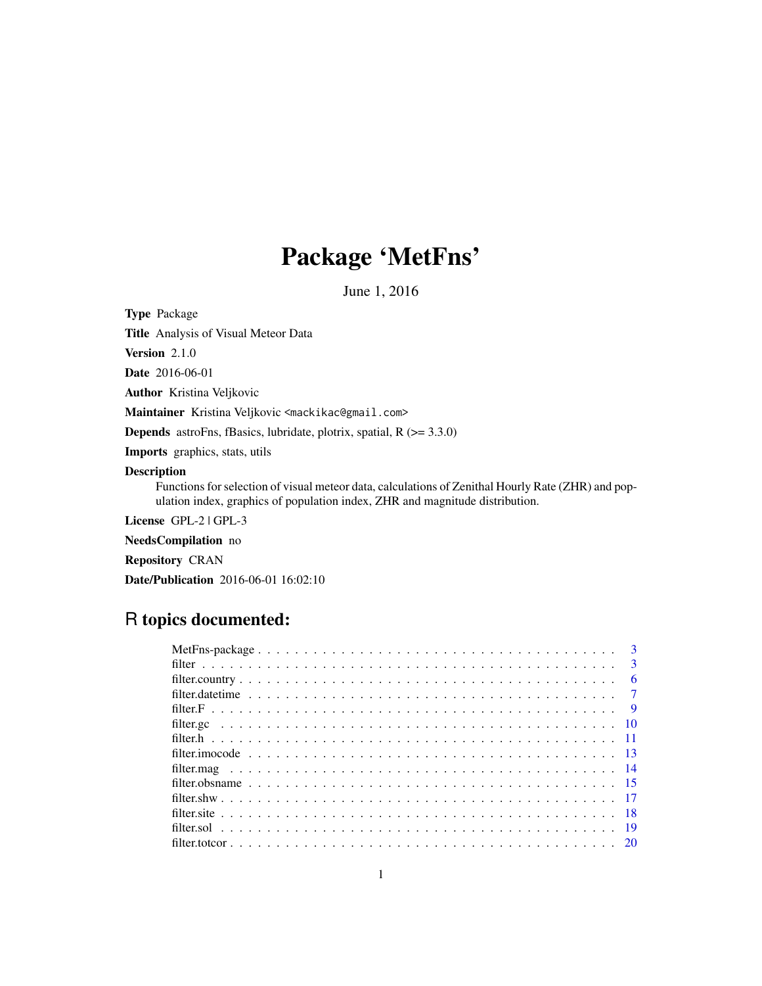# Package 'MetFns'

June 1, 2016

Type Package

Title Analysis of Visual Meteor Data

Version 2.1.0

Date 2016-06-01

Author Kristina Veljkovic

Maintainer Kristina Veljkovic <mackikac@gmail.com>

**Depends** astroFns, fBasics, lubridate, plotrix, spatial,  $R$  ( $> = 3.3.0$ )

Imports graphics, stats, utils

# Description

Functions for selection of visual meteor data, calculations of Zenithal Hourly Rate (ZHR) and population index, graphics of population index, ZHR and magnitude distribution.

License GPL-2 | GPL-3

NeedsCompilation no

Repository CRAN

Date/Publication 2016-06-01 16:02:10

# R topics documented:

| $\overline{3}$ |
|----------------|
| $-6$           |
|                |
|                |
|                |
|                |
|                |
|                |
|                |
|                |
|                |
|                |
|                |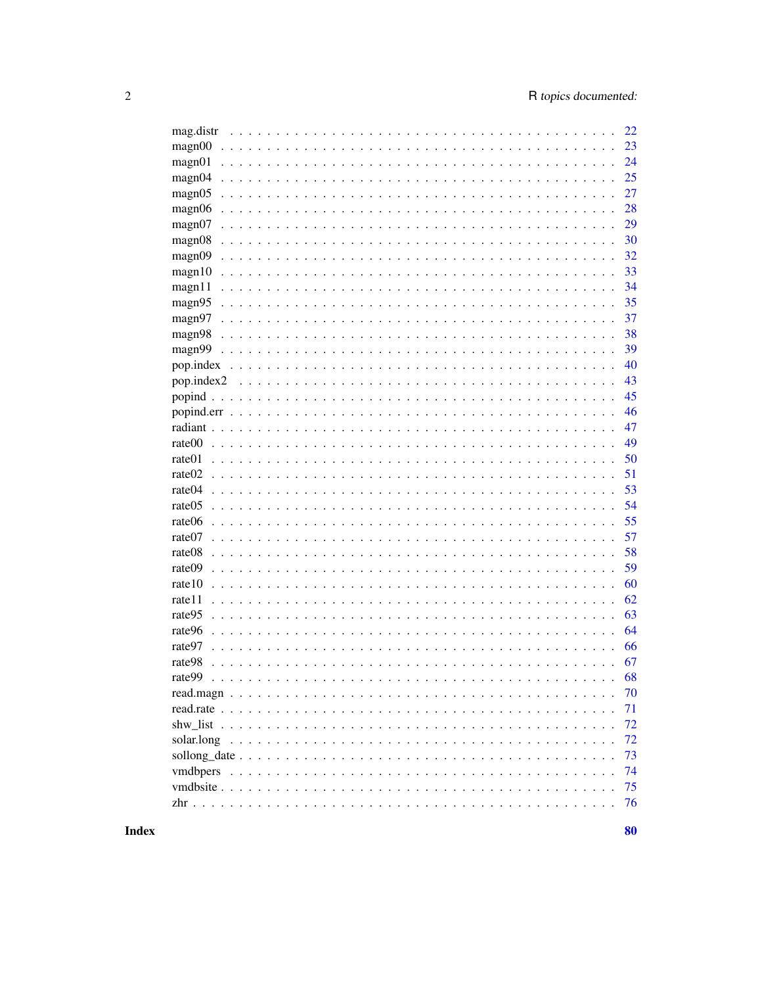| mag.distr                                                                                                        | 22 |
|------------------------------------------------------------------------------------------------------------------|----|
| magn00<br>.                                                                                                      | 23 |
| magn01                                                                                                           | 24 |
| magn04                                                                                                           | 25 |
| magn05                                                                                                           | 27 |
| magn06                                                                                                           | 28 |
| magn07<br>$\sim$                                                                                                 | 29 |
| magn08<br>$\sim$                                                                                                 | 30 |
| magn09<br>$\mathbb{R}^2$                                                                                         | 32 |
| magn10                                                                                                           | 33 |
| magn11                                                                                                           | 34 |
| magn95                                                                                                           | 35 |
| magn97                                                                                                           | 37 |
| magn98                                                                                                           | 38 |
| magn99                                                                                                           | 39 |
| pop.index                                                                                                        | 40 |
| pop.index2                                                                                                       | 43 |
|                                                                                                                  | 45 |
| popind.err                                                                                                       | 46 |
| radiant                                                                                                          | 47 |
| rate00                                                                                                           | 49 |
| rate01                                                                                                           | 50 |
| rate <sub>02</sub>                                                                                               | 51 |
| rate04                                                                                                           | 53 |
| rate05                                                                                                           | 54 |
| rate06                                                                                                           | 55 |
| rate07                                                                                                           | 57 |
| rate08                                                                                                           | 58 |
| rate09<br>$\sim$                                                                                                 | 59 |
| rate10<br>$\sim$                                                                                                 | 60 |
| rate11<br>$\sim$                                                                                                 | 62 |
| rate95                                                                                                           | 63 |
| rate96                                                                                                           | 64 |
| rate97<br>$\ddot{\phantom{0}}$<br>.                                                                              | 66 |
| rate98<br>$\ddot{\phantom{a}}$<br>$\mathbf{r}$<br>$\ddot{\phantom{0}}$<br>$\overline{a}$<br>$\ddot{\phantom{a}}$ | 67 |
| rate99                                                                                                           | 68 |
|                                                                                                                  | 70 |
|                                                                                                                  | 71 |
|                                                                                                                  | 72 |
|                                                                                                                  | 72 |
|                                                                                                                  | 73 |
| <i>vmdbpers</i>                                                                                                  | 74 |
|                                                                                                                  | 75 |
|                                                                                                                  | 76 |
|                                                                                                                  |    |

80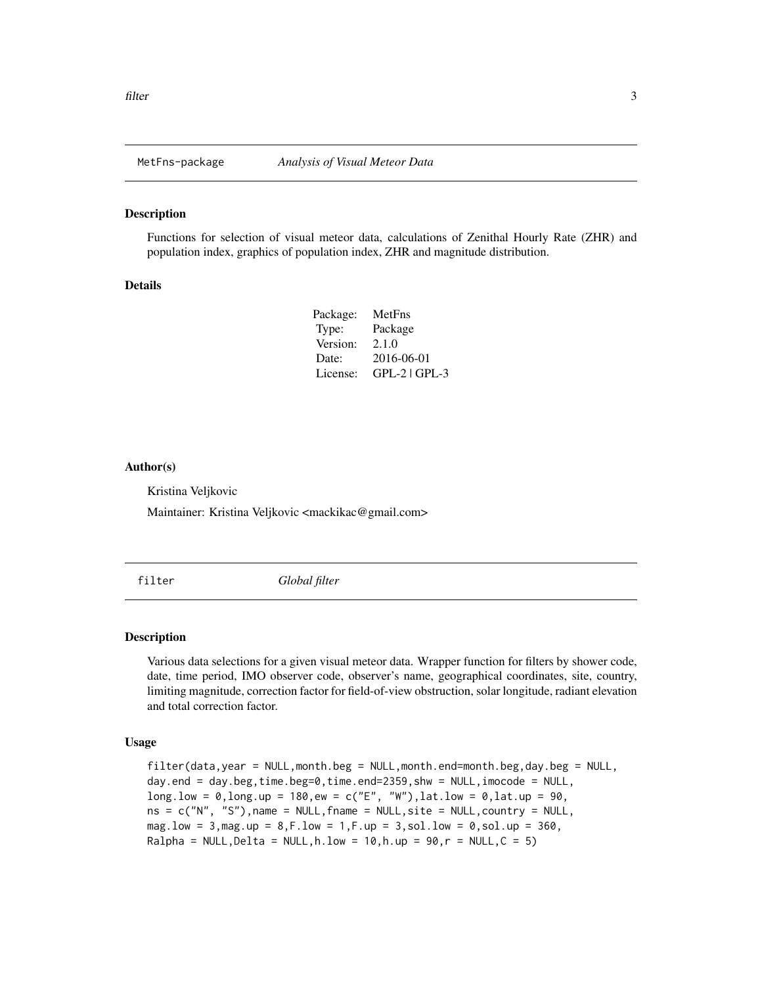<span id="page-2-0"></span>

#### Description

Functions for selection of visual meteor data, calculations of Zenithal Hourly Rate (ZHR) and population index, graphics of population index, ZHR and magnitude distribution.

#### Details

| Package: | MetFns            |
|----------|-------------------|
| Type:    | Package           |
| Version: | 2.1.0             |
| Date:    | 2016-06-01        |
| License: | $GPL-2$   $GPL-3$ |

#### Author(s)

Kristina Veljkovic

Maintainer: Kristina Veljkovic <mackikac@gmail.com>

<span id="page-2-1"></span>filter *Global filter*

#### Description

Various data selections for a given visual meteor data. Wrapper function for filters by shower code, date, time period, IMO observer code, observer's name, geographical coordinates, site, country, limiting magnitude, correction factor for field-of-view obstruction, solar longitude, radiant elevation and total correction factor.

#### Usage

filter(data,year = NULL,month.beg = NULL,month.end=month.beg,day.beg = NULL, day.end = day.beg,time.beg=0,time.end=2359,shw = NULL,imocode = NULL, long.low =  $0, \text{long.up} = 180, \text{ew} = c("E", "W"), \text{lat.low} = 0, \text{lat.up} = 90,$  $ns = c("N", "S")$ , name = NULL, fname = NULL, site = NULL, country = NULL, mag.low = 3,mag.up = 8,F.low = 1,F.up = 3,sol.low = 0,sol.up = 360, Ralpha = NULL, Delta = NULL, h.low = 10, h.up = 90,  $r =$  NULL,  $C = 5$ )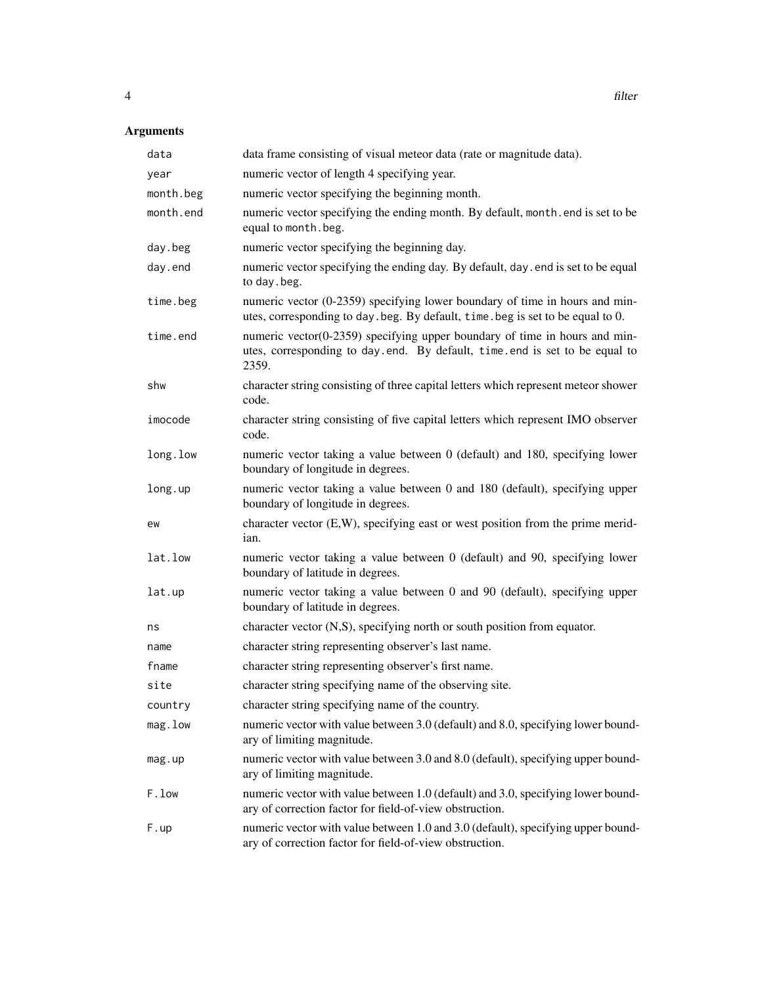# Arguments

| data       | data frame consisting of visual meteor data (rate or magnitude data).                                                                                                |
|------------|----------------------------------------------------------------------------------------------------------------------------------------------------------------------|
| year       | numeric vector of length 4 specifying year.                                                                                                                          |
| month.beg  | numeric vector specifying the beginning month.                                                                                                                       |
| month.end  | numeric vector specifying the ending month. By default, month. end is set to be<br>equal to month.beg.                                                               |
| day.beg    | numeric vector specifying the beginning day.                                                                                                                         |
| day.end    | numeric vector specifying the ending day. By default, day . end is set to be equal<br>to day . beg.                                                                  |
| time.beg   | numeric vector (0-2359) specifying lower boundary of time in hours and min-<br>utes, corresponding to day beg. By default, time beg is set to be equal to 0.         |
| time.end   | numeric vector $(0-2359)$ specifying upper boundary of time in hours and min-<br>utes, corresponding to day.end. By default, time.end is set to be equal to<br>2359. |
| shw        | character string consisting of three capital letters which represent meteor shower<br>code.                                                                          |
| imocode    | character string consisting of five capital letters which represent IMO observer<br>code.                                                                            |
| long. low  | numeric vector taking a value between 0 (default) and 180, specifying lower<br>boundary of longitude in degrees.                                                     |
| long.up    | numeric vector taking a value between 0 and 180 (default), specifying upper<br>boundary of longitude in degrees.                                                     |
| ew         | character vector (E,W), specifying east or west position from the prime merid-<br>ian.                                                                               |
| lat.low    | numeric vector taking a value between 0 (default) and 90, specifying lower<br>boundary of latitude in degrees.                                                       |
| lat.up     | numeric vector taking a value between 0 and 90 (default), specifying upper<br>boundary of latitude in degrees.                                                       |
| ns         | character vector (N,S), specifying north or south position from equator.                                                                                             |
| name       | character string representing observer's last name.                                                                                                                  |
| fname      | character string representing observer's first name.                                                                                                                 |
| site       | character string specifying name of the observing site.                                                                                                              |
| country    | character string specifying name of the country.                                                                                                                     |
| $mag.$ low | numeric vector with value between 3.0 (default) and 8.0, specifying lower bound-<br>ary of limiting magnitude.                                                       |
| mag.up     | numeric vector with value between 3.0 and 8.0 (default), specifying upper bound-<br>ary of limiting magnitude.                                                       |
| F.low      | numeric vector with value between 1.0 (default) and 3.0, specifying lower bound-<br>ary of correction factor for field-of-view obstruction.                          |
| F.up       | numeric vector with value between 1.0 and 3.0 (default), specifying upper bound-<br>ary of correction factor for field-of-view obstruction.                          |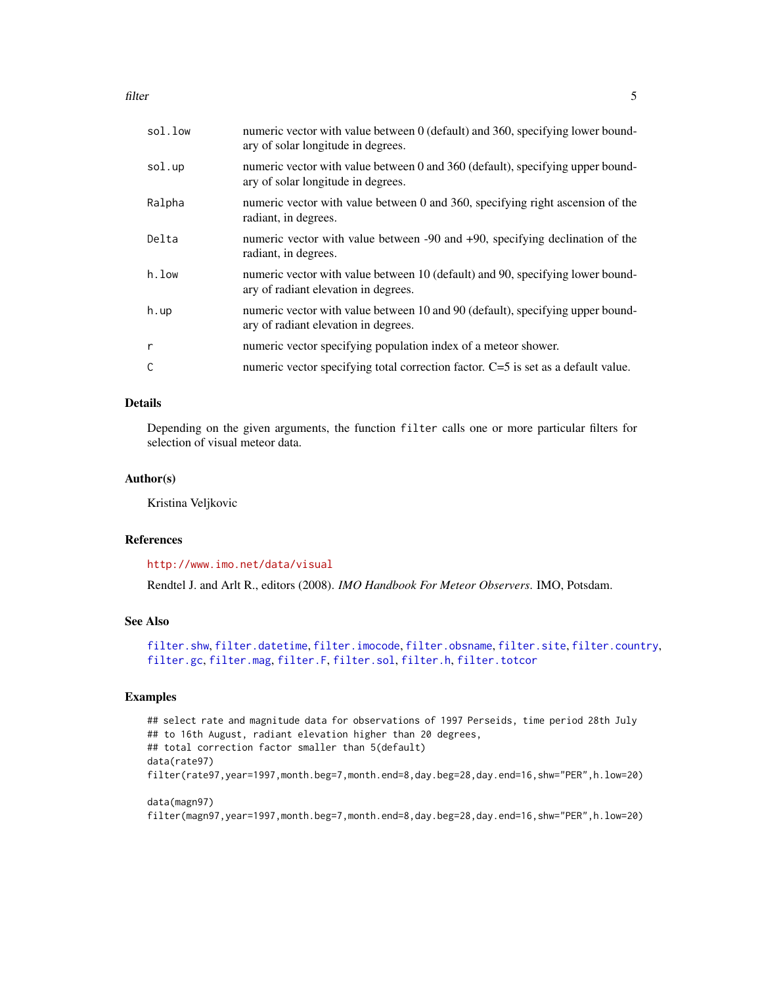filter 5

| sol.low | numeric vector with value between 0 (default) and 360, specifying lower bound-<br>ary of solar longitude in degrees.   |
|---------|------------------------------------------------------------------------------------------------------------------------|
| sol.up  | numeric vector with value between 0 and 360 (default), specifying upper bound-<br>ary of solar longitude in degrees.   |
| Ralpha  | numeric vector with value between 0 and 360, specifying right ascension of the<br>radiant, in degrees.                 |
| Delta   | numeric vector with value between -90 and +90, specifying declination of the<br>radiant, in degrees.                   |
| h.low   | numeric vector with value between 10 (default) and 90, specifying lower bound-<br>ary of radiant elevation in degrees. |
| $h.$ up | numeric vector with value between 10 and 90 (default), specifying upper bound-<br>ary of radiant elevation in degrees. |
| r       | numeric vector specifying population index of a meteor shower.                                                         |
| C       | numeric vector specifying total correction factor. C=5 is set as a default value.                                      |

# Details

Depending on the given arguments, the function filter calls one or more particular filters for selection of visual meteor data.

# Author(s)

Kristina Veljkovic

# References

<http://www.imo.net/data/visual>

Rendtel J. and Arlt R., editors (2008). *IMO Handbook For Meteor Observers*. IMO, Potsdam.

#### See Also

[filter.shw](#page-16-1), [filter.datetime](#page-6-1), [filter.imocode](#page-12-1), [filter.obsname](#page-14-1), [filter.site](#page-17-1), [filter.country](#page-5-1), [filter.gc](#page-9-1), [filter.mag](#page-13-1), [filter.F](#page-8-1), [filter.sol](#page-18-1), [filter.h](#page-10-1), [filter.totcor](#page-19-1)

# Examples

```
## select rate and magnitude data for observations of 1997 Perseids, time period 28th July
## to 16th August, radiant elevation higher than 20 degrees,
## total correction factor smaller than 5(default)
data(rate97)
filter(rate97,year=1997,month.beg=7,month.end=8,day.beg=28,day.end=16,shw="PER",h.low=20)
data(magn97)
```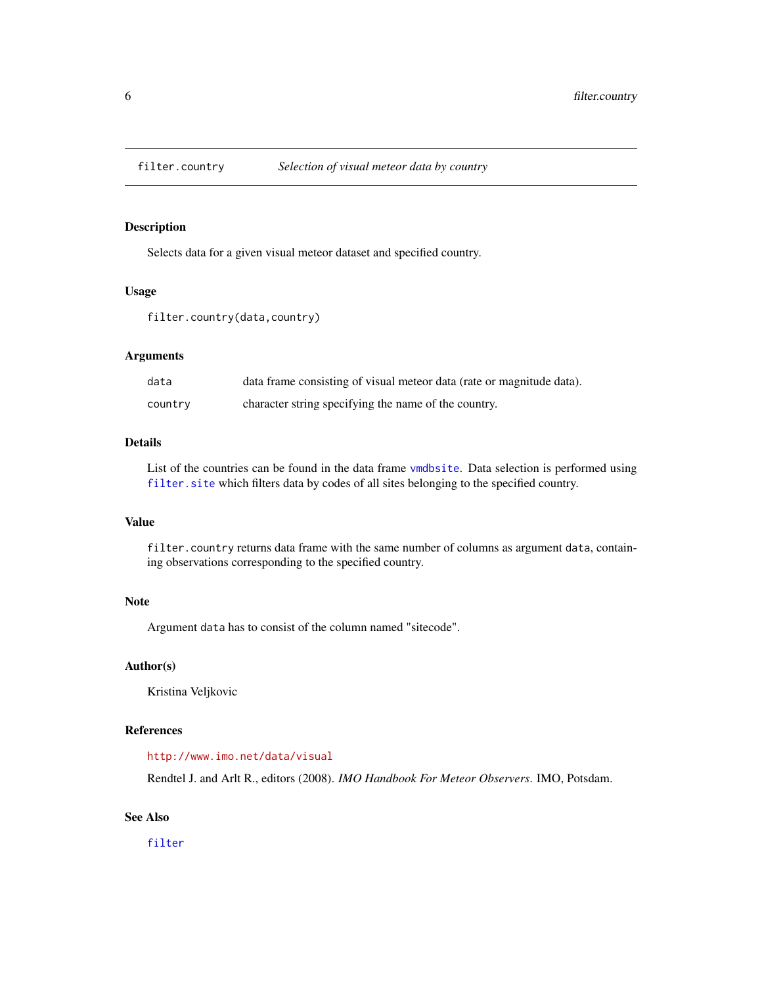<span id="page-5-1"></span><span id="page-5-0"></span>

# Description

Selects data for a given visual meteor dataset and specified country.

#### Usage

filter.country(data,country)

# Arguments

| data    | data frame consisting of visual meteor data (rate or magnitude data). |
|---------|-----------------------------------------------------------------------|
| country | character string specifying the name of the country.                  |

#### Details

List of the countries can be found in the data frame [vmdbsite](#page-74-1). Data selection is performed using [filter.site](#page-17-1) which filters data by codes of all sites belonging to the specified country.

# Value

filter.country returns data frame with the same number of columns as argument data, containing observations corresponding to the specified country.

# Note

Argument data has to consist of the column named "sitecode".

#### Author(s)

Kristina Veljkovic

# References

<http://www.imo.net/data/visual>

Rendtel J. and Arlt R., editors (2008). *IMO Handbook For Meteor Observers*. IMO, Potsdam.

# See Also

[filter](#page-2-1)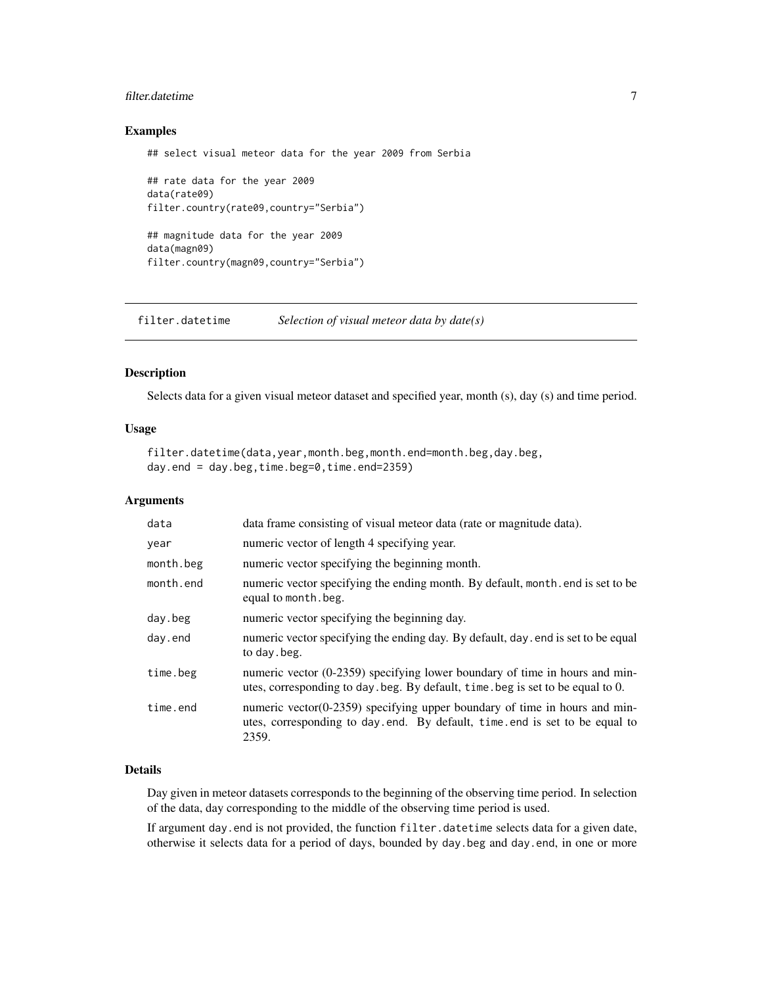# <span id="page-6-0"></span>filter.datetime 7

#### Examples

## select visual meteor data for the year 2009 from Serbia

```
## rate data for the year 2009
data(rate09)
filter.country(rate09,country="Serbia")
## magnitude data for the year 2009
data(magn09)
filter.country(magn09,country="Serbia")
```
<span id="page-6-1"></span>filter.datetime *Selection of visual meteor data by date(s)*

#### Description

Selects data for a given visual meteor dataset and specified year, month (s), day (s) and time period.

#### Usage

```
filter.datetime(data,year,month.beg,month.end=month.beg,day.beg,
day.end = day.beg,time.beg=0,time.end=2359)
```
# Arguments

| data      | data frame consisting of visual meteor data (rate or magnitude data).                                                                                                 |
|-----------|-----------------------------------------------------------------------------------------------------------------------------------------------------------------------|
| year      | numeric vector of length 4 specifying year.                                                                                                                           |
| month.beg | numeric vector specifying the beginning month.                                                                                                                        |
| month.end | numeric vector specifying the ending month. By default, month, end is set to be<br>equal to month. beg.                                                               |
| day.beg   | numeric vector specifying the beginning day.                                                                                                                          |
| day.end   | numeric vector specifying the ending day. By default, day, end is set to be equal<br>to day beg.                                                                      |
| time.beg  | numeric vector (0-2359) specifying lower boundary of time in hours and min-<br>utes, corresponding to day beg. By default, time beg is set to be equal to 0.          |
| time.end  | numeric vector( $0-2359$ ) specifying upper boundary of time in hours and min-<br>utes, corresponding to day.end. By default, time.end is set to be equal to<br>2359. |

#### Details

Day given in meteor datasets corresponds to the beginning of the observing time period. In selection of the data, day corresponding to the middle of the observing time period is used.

If argument day.end is not provided, the function filter.datetime selects data for a given date, otherwise it selects data for a period of days, bounded by day.beg and day.end, in one or more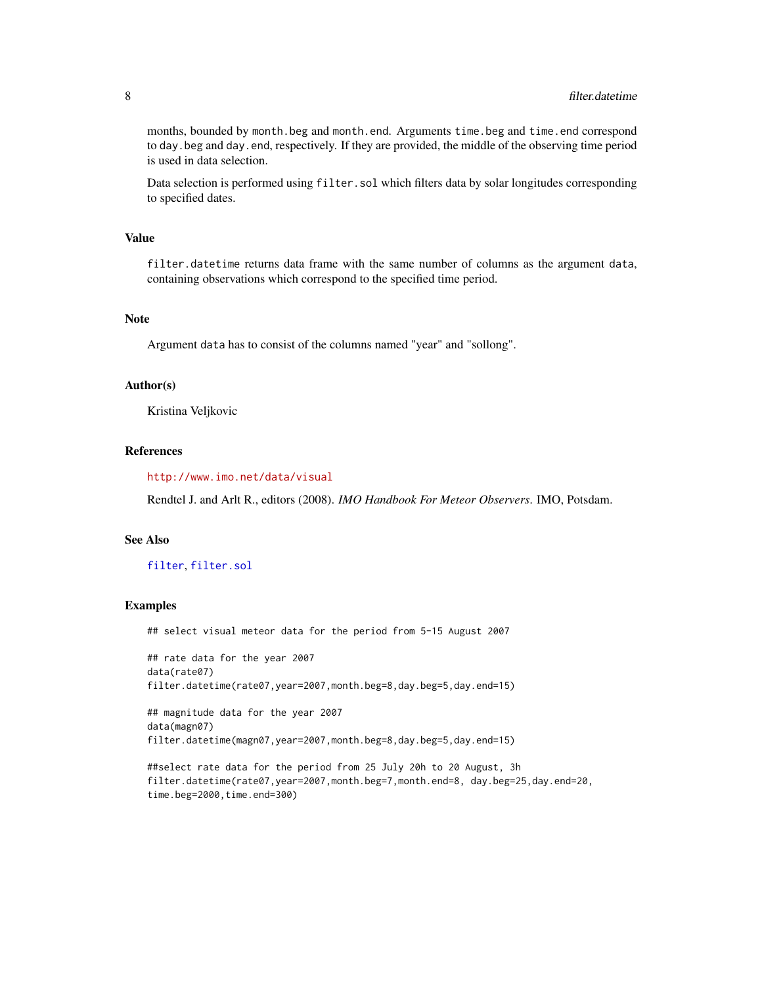months, bounded by month.beg and month.end. Arguments time.beg and time.end correspond to day.beg and day.end, respectively. If they are provided, the middle of the observing time period is used in data selection.

Data selection is performed using filter. sol which filters data by solar longitudes corresponding to specified dates.

# Value

filter.datetime returns data frame with the same number of columns as the argument data, containing observations which correspond to the specified time period.

#### **Note**

Argument data has to consist of the columns named "year" and "sollong".

#### Author(s)

Kristina Veljkovic

# References

<http://www.imo.net/data/visual>

Rendtel J. and Arlt R., editors (2008). *IMO Handbook For Meteor Observers*. IMO, Potsdam.

#### See Also

#### [filter](#page-2-1), [filter.sol](#page-18-1)

#### Examples

## select visual meteor data for the period from 5-15 August 2007

## rate data for the year 2007 data(rate07) filter.datetime(rate07,year=2007,month.beg=8,day.beg=5,day.end=15)

```
## magnitude data for the year 2007
data(magn07)
filter.datetime(magn07,year=2007,month.beg=8,day.beg=5,day.end=15)
```

```
##select rate data for the period from 25 July 20h to 20 August, 3h
filter.datetime(rate07,year=2007,month.beg=7,month.end=8, day.beg=25,day.end=20,
time.beg=2000,time.end=300)
```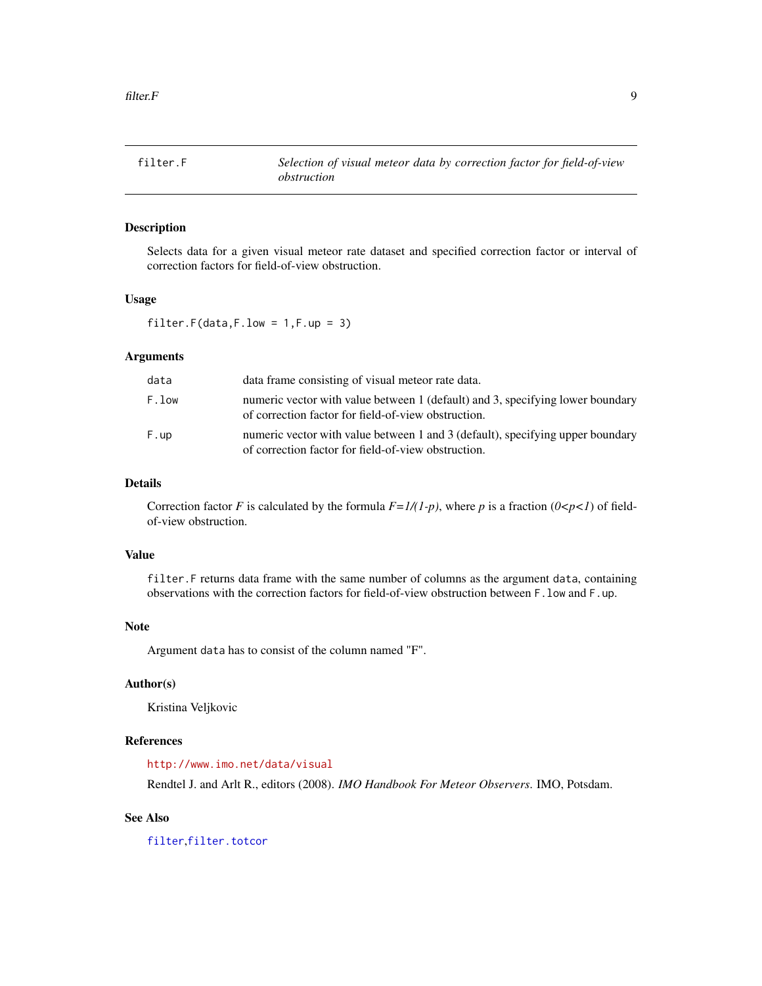<span id="page-8-1"></span><span id="page-8-0"></span>

# Description

Selects data for a given visual meteor rate dataset and specified correction factor or interval of correction factors for field-of-view obstruction.

#### Usage

filter.F(data,F.low =  $1, F.$ up =  $3)$ 

# Arguments

| data  | data frame consisting of visual meteor rate data.                                                                                     |
|-------|---------------------------------------------------------------------------------------------------------------------------------------|
| F.low | numeric vector with value between 1 (default) and 3, specifying lower boundary<br>of correction factor for field-of-view obstruction. |
| F.up  | numeric vector with value between 1 and 3 (default), specifying upper boundary<br>of correction factor for field-of-view obstruction. |

#### Details

Correction factor *F* is calculated by the formula  $F=1/(1-p)$ , where *p* is a fraction ( $0 < p < 1$ ) of fieldof-view obstruction.

# Value

filter. F returns data frame with the same number of columns as the argument data, containing observations with the correction factors for field-of-view obstruction between F.low and F.up.

#### Note

Argument data has to consist of the column named "F".

# Author(s)

Kristina Veljkovic

# References

<http://www.imo.net/data/visual>

Rendtel J. and Arlt R., editors (2008). *IMO Handbook For Meteor Observers*. IMO, Potsdam.

# See Also

[filter](#page-2-1),[filter.totcor](#page-19-1)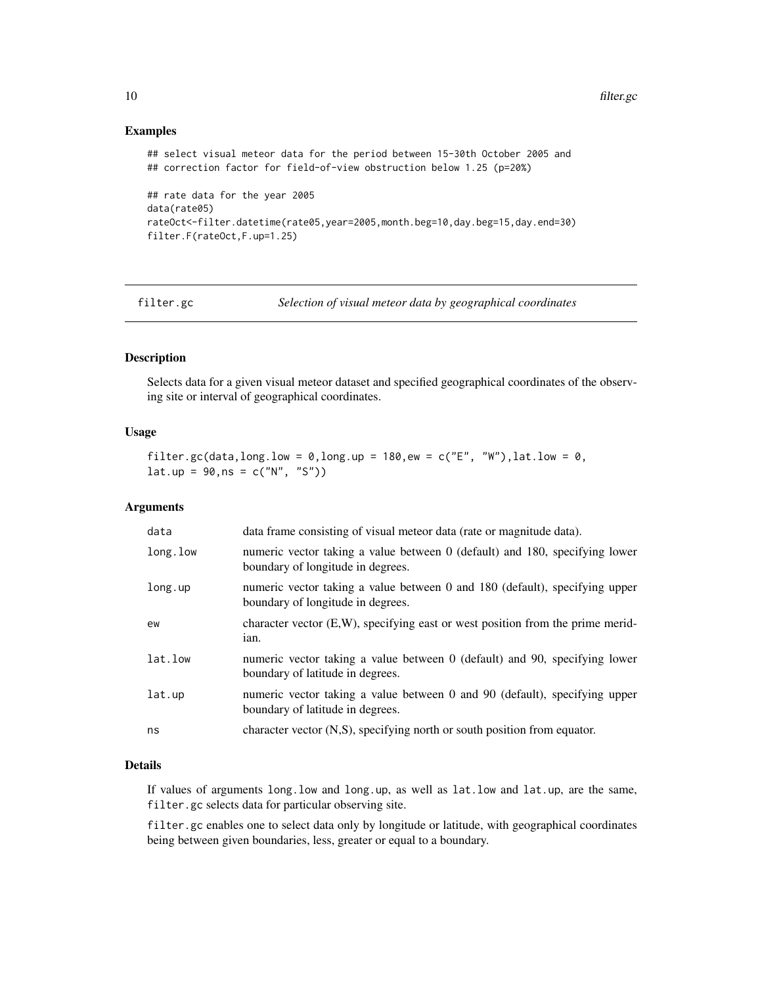# Examples

```
## select visual meteor data for the period between 15-30th October 2005 and
## correction factor for field-of-view obstruction below 1.25 (p=20%)
## rate data for the year 2005
data(rate05)
rateOct<-filter.datetime(rate05,year=2005,month.beg=10,day.beg=15,day.end=30)
filter.F(rateOct,F.up=1.25)
```
<span id="page-9-1"></span>

filter.gc *Selection of visual meteor data by geographical coordinates*

# Description

Selects data for a given visual meteor dataset and specified geographical coordinates of the observing site or interval of geographical coordinates.

# Usage

```
filter.gc(data,long.low = 0,long.up = 180,ew = c("E", "W"),lat.low = 0,
lat.up = 90, ns = c("N", "S")
```
# Arguments

| data     | data frame consisting of visual meteor data (rate or magnitude data).                                            |
|----------|------------------------------------------------------------------------------------------------------------------|
| long.low | numeric vector taking a value between 0 (default) and 180, specifying lower<br>boundary of longitude in degrees. |
| long.up  | numeric vector taking a value between 0 and 180 (default), specifying upper<br>boundary of longitude in degrees. |
| ew       | character vector $(E, W)$ , specifying east or west position from the prime merid-<br>ian.                       |
| lat.low  | numeric vector taking a value between 0 (default) and 90, specifying lower<br>boundary of latitude in degrees.   |
| lat.up   | numeric vector taking a value between 0 and 90 (default), specifying upper<br>boundary of latitude in degrees.   |
| ns       | character vector (N,S), specifying north or south position from equator.                                         |

#### Details

If values of arguments long.low and long.up, as well as lat.low and lat.up, are the same, filter.gc selects data for particular observing site.

filter.gc enables one to select data only by longitude or latitude, with geographical coordinates being between given boundaries, less, greater or equal to a boundary.

<span id="page-9-0"></span>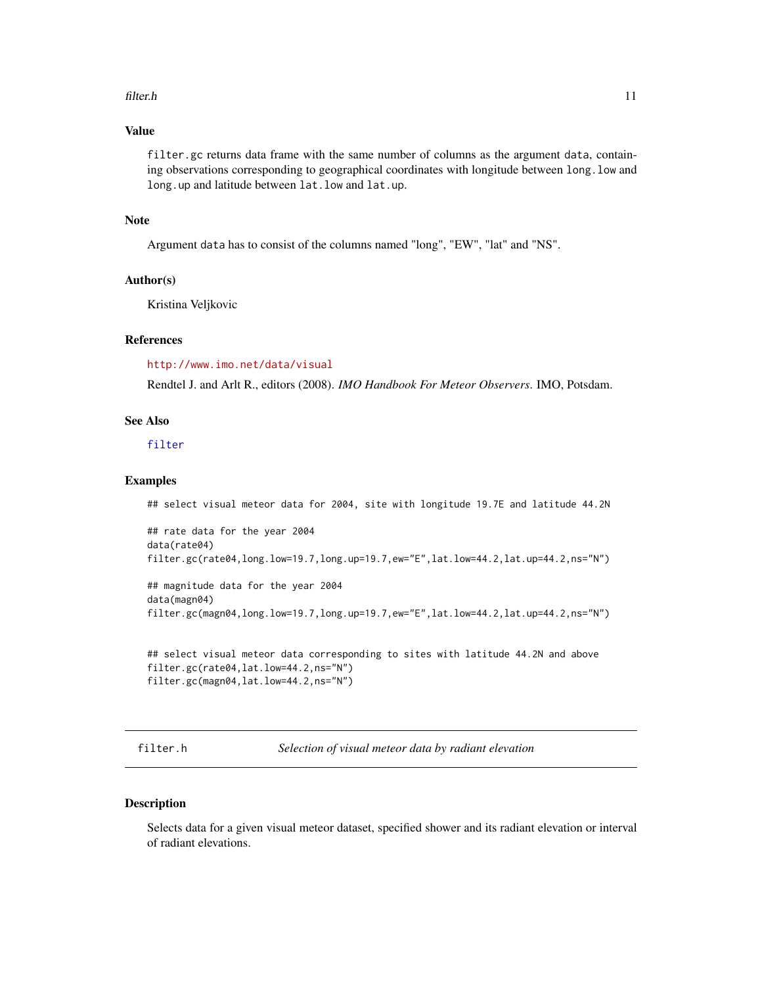#### <span id="page-10-0"></span>filter.h 11

# Value

filter.gc returns data frame with the same number of columns as the argument data, containing observations corresponding to geographical coordinates with longitude between long.low and long.up and latitude between lat.low and lat.up.

# Note

Argument data has to consist of the columns named "long", "EW", "lat" and "NS".

# Author(s)

Kristina Veljkovic

### References

<http://www.imo.net/data/visual>

Rendtel J. and Arlt R., editors (2008). *IMO Handbook For Meteor Observers*. IMO, Potsdam.

#### See Also

#### [filter](#page-2-1)

# Examples

```
## select visual meteor data for 2004, site with longitude 19.7E and latitude 44.2N
```

```
## rate data for the year 2004
data(rate04)
filter.gc(rate04,long.low=19.7,long.up=19.7,ew="E",lat.low=44.2,lat.up=44.2,ns="N")
```

```
## magnitude data for the year 2004
data(magn04)
filter.gc(magn04,long.low=19.7,long.up=19.7,ew="E",lat.low=44.2,lat.up=44.2,ns="N")
```

```
## select visual meteor data corresponding to sites with latitude 44.2N and above
filter.gc(rate04,lat.low=44.2,ns="N")
filter.gc(magn04,lat.low=44.2,ns="N")
```
<span id="page-10-1"></span>filter.h *Selection of visual meteor data by radiant elevation*

#### Description

Selects data for a given visual meteor dataset, specified shower and its radiant elevation or interval of radiant elevations.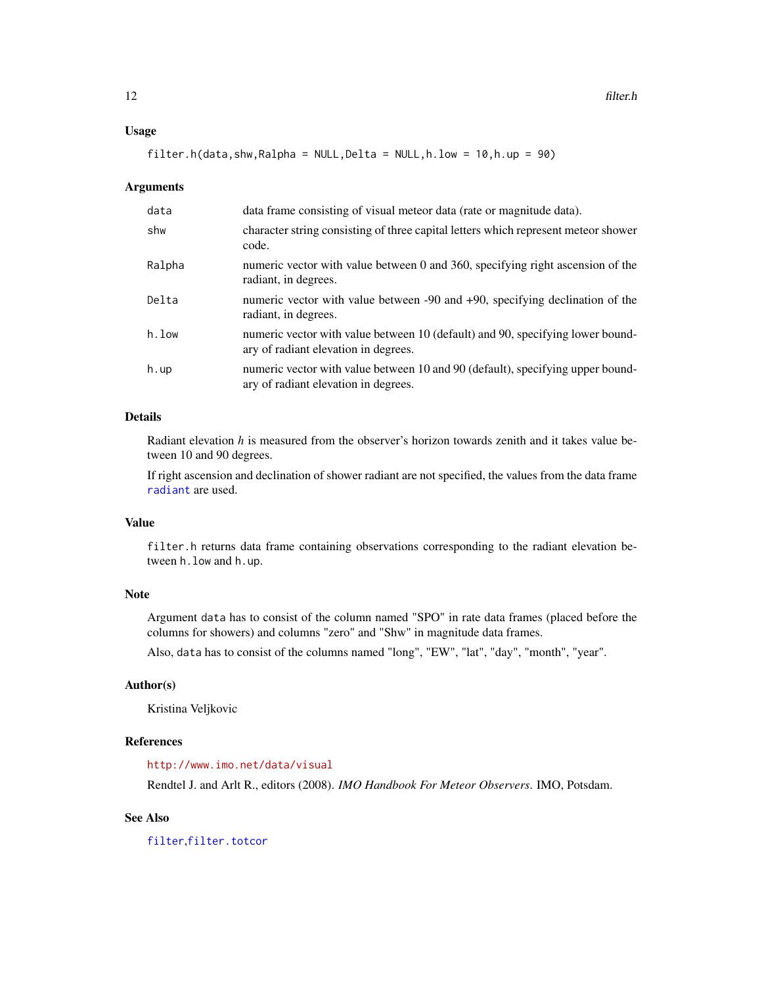#### Usage

filter.h(data,shw,Ralpha = NULL,Delta = NULL,h.low =  $10$ ,h.up =  $90$ )

#### Arguments

| data   | data frame consisting of visual meteor data (rate or magnitude data).                                                  |
|--------|------------------------------------------------------------------------------------------------------------------------|
| shw    | character string consisting of three capital letters which represent meteor shower<br>code.                            |
| Ralpha | numeric vector with value between 0 and 360, specifying right ascension of the<br>radiant, in degrees.                 |
| Delta  | numeric vector with value between -90 and +90, specifying declination of the<br>radiant, in degrees.                   |
| h.low  | numeric vector with value between 10 (default) and 90, specifying lower bound-<br>ary of radiant elevation in degrees. |
| h.up   | numeric vector with value between 10 and 90 (default), specifying upper bound-<br>ary of radiant elevation in degrees. |

# Details

Radiant elevation *h* is measured from the observer's horizon towards zenith and it takes value between 10 and 90 degrees.

If right ascension and declination of shower radiant are not specified, the values from the data frame [radiant](#page-46-1) are used.

# Value

filter.h returns data frame containing observations corresponding to the radiant elevation between h.low and h.up.

#### Note

Argument data has to consist of the column named "SPO" in rate data frames (placed before the columns for showers) and columns "zero" and "Shw" in magnitude data frames.

Also, data has to consist of the columns named "long", "EW", "lat", "day", "month", "year".

# Author(s)

Kristina Veljkovic

#### References

<http://www.imo.net/data/visual>

Rendtel J. and Arlt R., editors (2008). *IMO Handbook For Meteor Observers*. IMO, Potsdam.

#### See Also

[filter](#page-2-1),[filter.totcor](#page-19-1)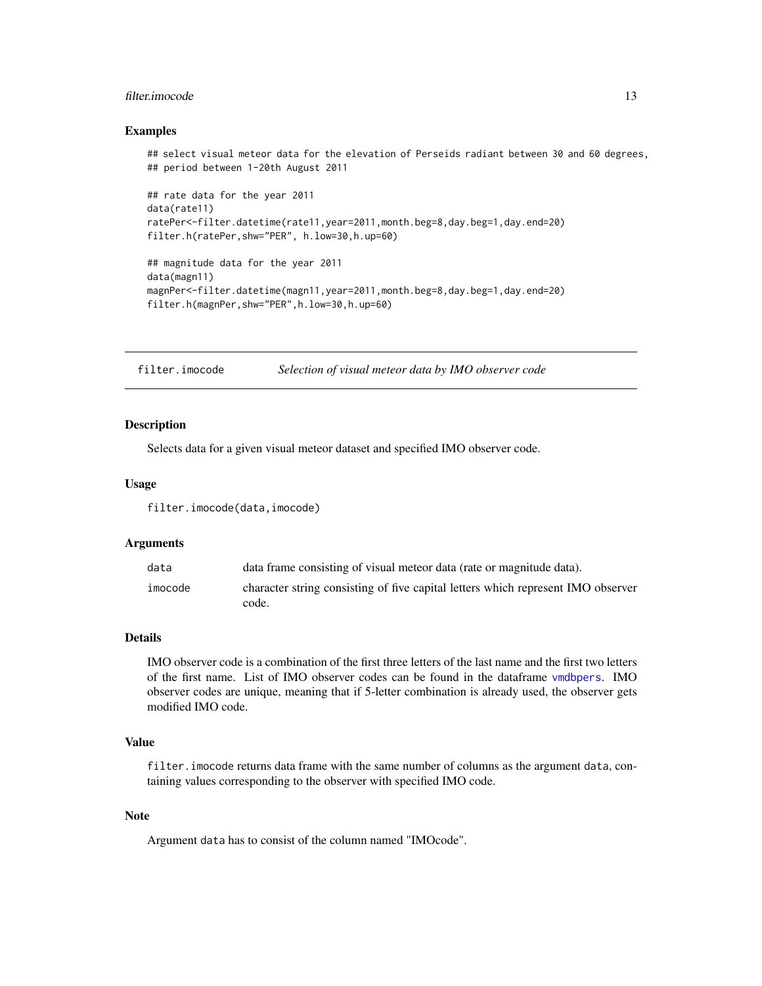# <span id="page-12-0"></span>filter.imocode 13

#### Examples

```
## select visual meteor data for the elevation of Perseids radiant between 30 and 60 degrees,
## period between 1-20th August 2011
## rate data for the year 2011
data(rate11)
ratePer<-filter.datetime(rate11,year=2011,month.beg=8,day.beg=1,day.end=20)
filter.h(ratePer,shw="PER", h.low=30,h.up=60)
## magnitude data for the year 2011
data(magn11)
magnPer<-filter.datetime(magn11,year=2011,month.beg=8,day.beg=1,day.end=20)
filter.h(magnPer,shw="PER",h.low=30,h.up=60)
```
<span id="page-12-1"></span>filter.imocode *Selection of visual meteor data by IMO observer code*

# Description

Selects data for a given visual meteor dataset and specified IMO observer code.

#### Usage

filter.imocode(data,imocode)

#### Arguments

| data    | data frame consisting of visual meteor data (rate or magnitude data).                     |
|---------|-------------------------------------------------------------------------------------------|
| imocode | character string consisting of five capital letters which represent IMO observer<br>code. |

#### Details

IMO observer code is a combination of the first three letters of the last name and the first two letters of the first name. List of IMO observer codes can be found in the dataframe [vmdbpers](#page-73-1). IMO observer codes are unique, meaning that if 5-letter combination is already used, the observer gets modified IMO code.

# Value

filter.imocode returns data frame with the same number of columns as the argument data, containing values corresponding to the observer with specified IMO code.

# Note

Argument data has to consist of the column named "IMOcode".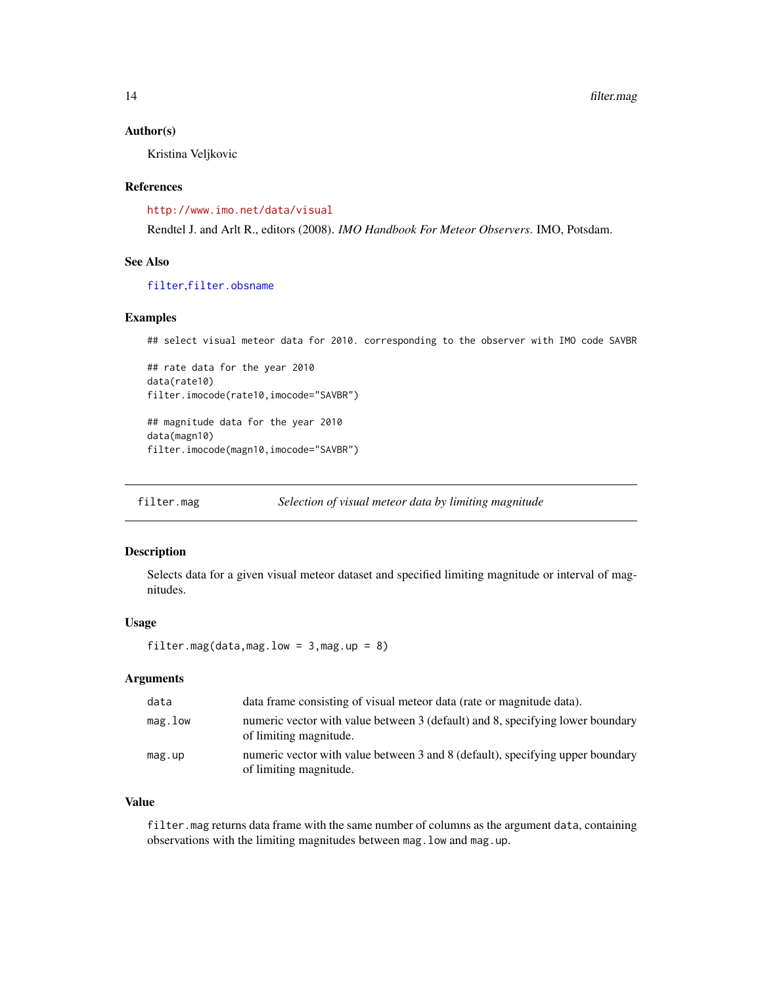#### <span id="page-13-0"></span>Author(s)

Kristina Veljkovic

#### References

<http://www.imo.net/data/visual>

Rendtel J. and Arlt R., editors (2008). *IMO Handbook For Meteor Observers*. IMO, Potsdam.

# See Also

[filter](#page-2-1),[filter.obsname](#page-14-1)

#### Examples

```
## select visual meteor data for 2010. corresponding to the observer with IMO code SAVBR
```

```
## rate data for the year 2010
data(rate10)
filter.imocode(rate10,imocode="SAVBR")
```
## magnitude data for the year 2010 data(magn10) filter.imocode(magn10,imocode="SAVBR")

<span id="page-13-1"></span>filter.mag *Selection of visual meteor data by limiting magnitude*

# Description

Selects data for a given visual meteor dataset and specified limiting magnitude or interval of magnitudes.

# Usage

filter.mag(data,mag.low =  $3$ ,mag.up =  $8$ )

# Arguments

| data       | data frame consisting of visual meteor data (rate or magnitude data).                                    |
|------------|----------------------------------------------------------------------------------------------------------|
| $mag.$ low | numeric vector with value between 3 (default) and 8, specifying lower boundary<br>of limiting magnitude. |
| mag.up     | numeric vector with value between 3 and 8 (default), specifying upper boundary<br>of limiting magnitude. |

# Value

filter.mag returns data frame with the same number of columns as the argument data, containing observations with the limiting magnitudes between mag. low and mag.up.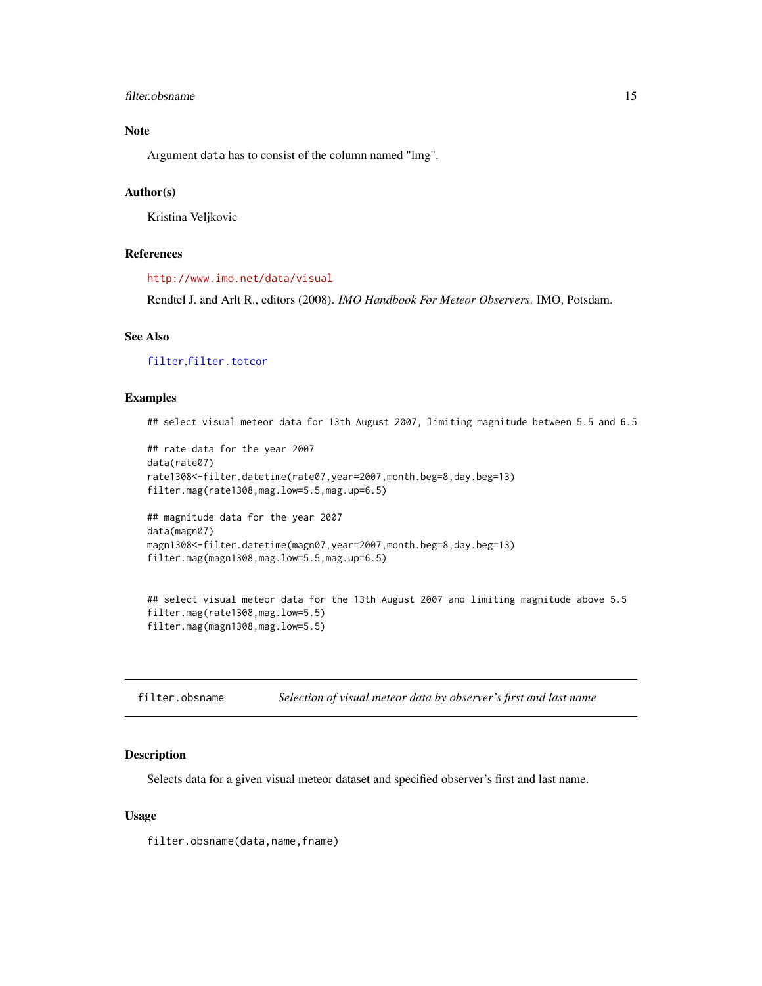# <span id="page-14-0"></span>filter.obsname 15

# Note

Argument data has to consist of the column named "lmg".

# Author(s)

Kristina Veljkovic

# References

<http://www.imo.net/data/visual>

Rendtel J. and Arlt R., editors (2008). *IMO Handbook For Meteor Observers*. IMO, Potsdam.

# See Also

[filter](#page-2-1),[filter.totcor](#page-19-1)

# Examples

## select visual meteor data for 13th August 2007, limiting magnitude between 5.5 and 6.5

```
## rate data for the year 2007
data(rate07)
rate1308<-filter.datetime(rate07,year=2007,month.beg=8,day.beg=13)
filter.mag(rate1308,mag.low=5.5,mag.up=6.5)
## magnitude data for the year 2007
data(magn07)
magn1308<-filter.datetime(magn07,year=2007,month.beg=8,day.beg=13)
filter.mag(magn1308,mag.low=5.5,mag.up=6.5)
```

```
## select visual meteor data for the 13th August 2007 and limiting magnitude above 5.5
filter.mag(rate1308,mag.low=5.5)
filter.mag(magn1308,mag.low=5.5)
```
<span id="page-14-1"></span>filter.obsname *Selection of visual meteor data by observer's first and last name*

#### Description

Selects data for a given visual meteor dataset and specified observer's first and last name.

# Usage

filter.obsname(data,name,fname)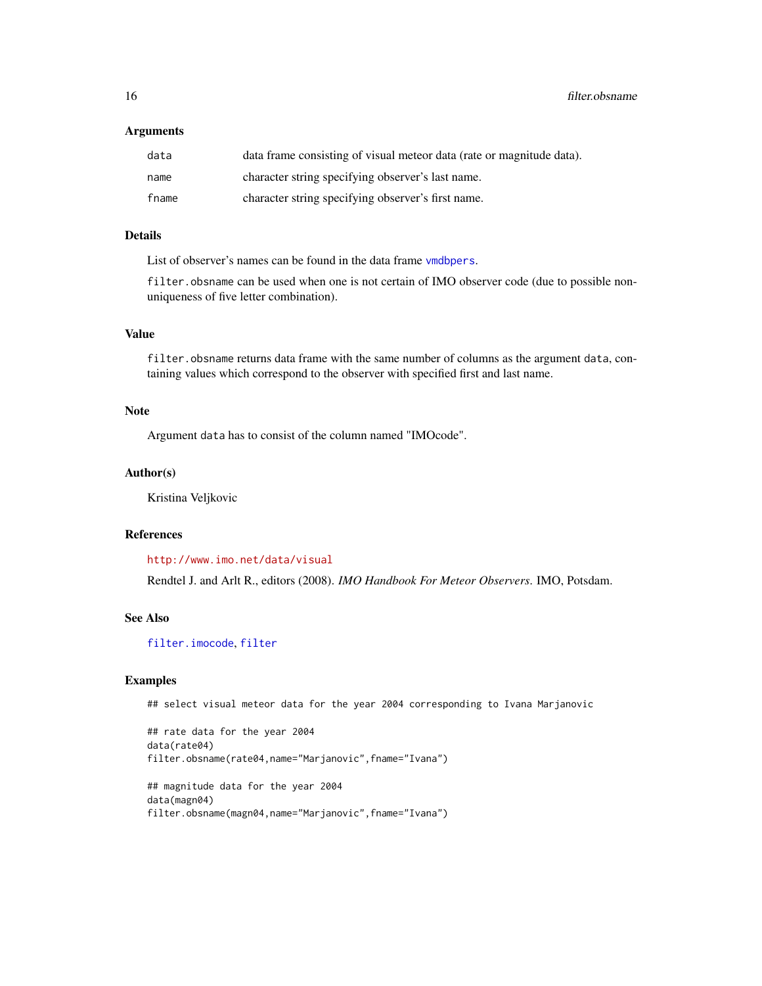16 filter.obsname

#### Arguments

| data  | data frame consisting of visual meteor data (rate or magnitude data). |
|-------|-----------------------------------------------------------------------|
| name  | character string specifying observer's last name.                     |
| fname | character string specifying observer's first name.                    |

# Details

List of observer's names can be found in the data frame [vmdbpers](#page-73-1).

filter.obsname can be used when one is not certain of IMO observer code (due to possible nonuniqueness of five letter combination).

# Value

filter.obsname returns data frame with the same number of columns as the argument data, containing values which correspond to the observer with specified first and last name.

#### Note

Argument data has to consist of the column named "IMOcode".

#### Author(s)

Kristina Veljkovic

# References

<http://www.imo.net/data/visual>

Rendtel J. and Arlt R., editors (2008). *IMO Handbook For Meteor Observers*. IMO, Potsdam.

#### See Also

[filter.imocode](#page-12-1), [filter](#page-2-1)

#### Examples

## select visual meteor data for the year 2004 corresponding to Ivana Marjanovic

```
## rate data for the year 2004
data(rate04)
filter.obsname(rate04,name="Marjanovic",fname="Ivana")
## magnitude data for the year 2004
data(magn04)
filter.obsname(magn04,name="Marjanovic",fname="Ivana")
```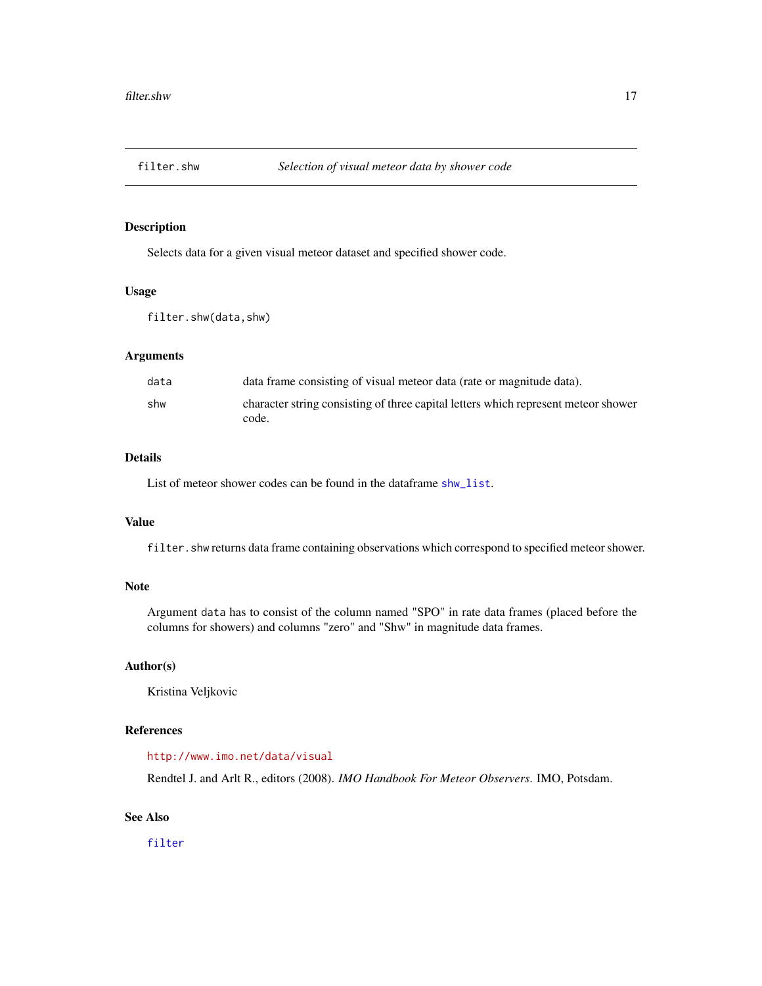<span id="page-16-1"></span><span id="page-16-0"></span>

# Description

Selects data for a given visual meteor dataset and specified shower code.

#### Usage

filter.shw(data,shw)

# Arguments

| data | data frame consisting of visual meteor data (rate or magnitude data).                       |
|------|---------------------------------------------------------------------------------------------|
| shw  | character string consisting of three capital letters which represent meteor shower<br>code. |

#### Details

List of meteor shower codes can be found in the dataframe [shw\\_list](#page-71-1).

# Value

filter.shw returns data frame containing observations which correspond to specified meteor shower.

# Note

Argument data has to consist of the column named "SPO" in rate data frames (placed before the columns for showers) and columns "zero" and "Shw" in magnitude data frames.

# Author(s)

Kristina Veljkovic

# References

#### <http://www.imo.net/data/visual>

Rendtel J. and Arlt R., editors (2008). *IMO Handbook For Meteor Observers*. IMO, Potsdam.

# See Also

[filter](#page-2-1)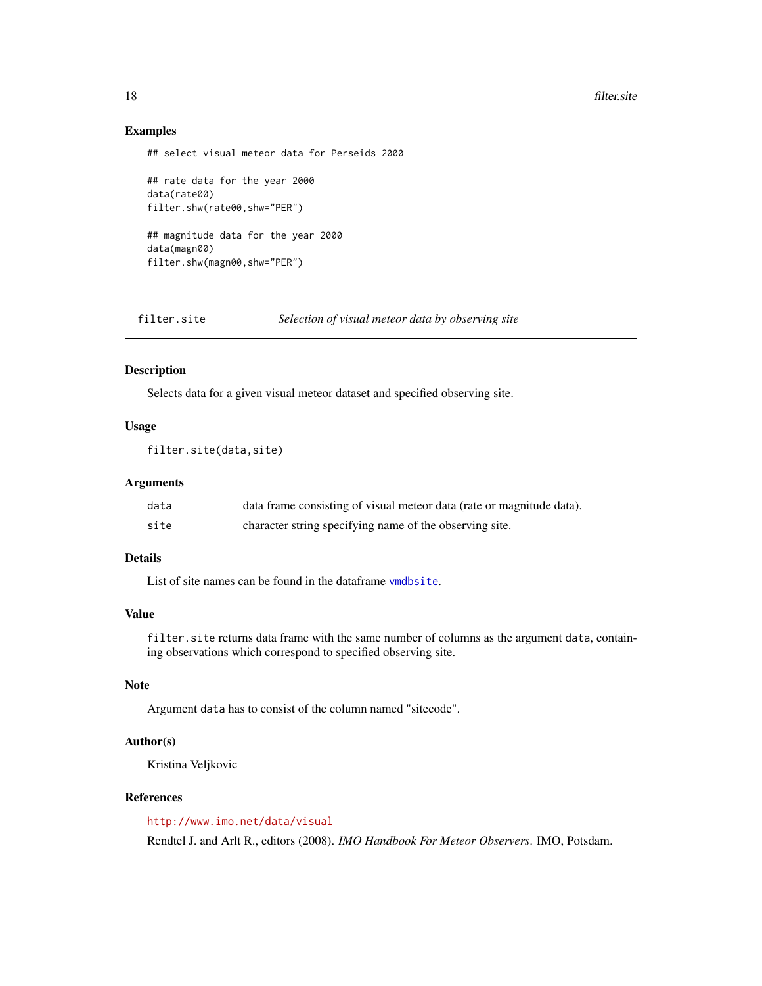#### <span id="page-17-0"></span>18 filter.site and the state of the state of the state of the state of the state of the state of the state of the state of the state of the state of the state of the state of the state of the state of the state of the stat

#### Examples

## select visual meteor data for Perseids 2000

## rate data for the year 2000 data(rate00) filter.shw(rate00,shw="PER") ## magnitude data for the year 2000 data(magn00) filter.shw(magn00,shw="PER")

<span id="page-17-1"></span>filter.site *Selection of visual meteor data by observing site*

# Description

Selects data for a given visual meteor dataset and specified observing site.

#### Usage

```
filter.site(data,site)
```
#### Arguments

| data | data frame consisting of visual meteor data (rate or magnitude data). |
|------|-----------------------------------------------------------------------|
| site | character string specifying name of the observing site.               |

# Details

List of site names can be found in the dataframe [vmdbsite](#page-74-1).

#### Value

filter.site returns data frame with the same number of columns as the argument data, containing observations which correspond to specified observing site.

# Note

Argument data has to consist of the column named "sitecode".

#### Author(s)

Kristina Veljkovic

#### References

<http://www.imo.net/data/visual>

Rendtel J. and Arlt R., editors (2008). *IMO Handbook For Meteor Observers*. IMO, Potsdam.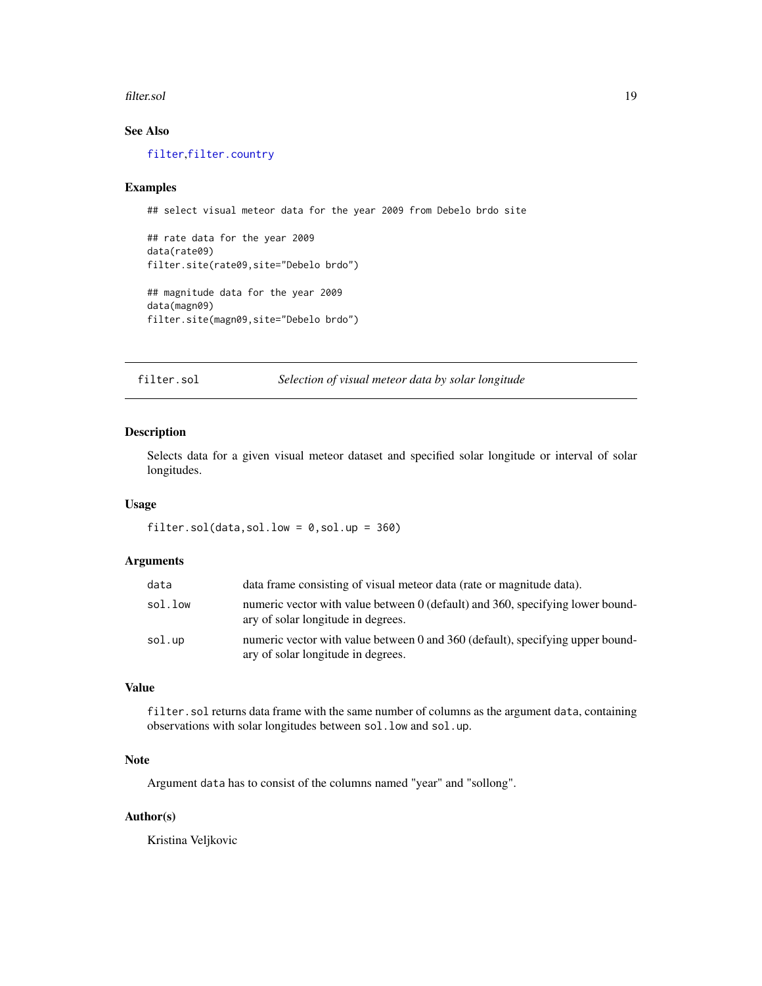#### <span id="page-18-0"></span>filter.sol 19

# See Also

[filter](#page-2-1),[filter.country](#page-5-1)

#### Examples

```
## select visual meteor data for the year 2009 from Debelo brdo site
```
## rate data for the year 2009 data(rate09) filter.site(rate09,site="Debelo brdo") ## magnitude data for the year 2009 data(magn09) filter.site(magn09,site="Debelo brdo")

<span id="page-18-1"></span>filter.sol *Selection of visual meteor data by solar longitude*

# Description

Selects data for a given visual meteor dataset and specified solar longitude or interval of solar longitudes.

#### Usage

filter.sol(data,sol.low =  $0$ ,sol.up =  $360$ )

# Arguments

| data    | data frame consisting of visual meteor data (rate or magnitude data).                                                |
|---------|----------------------------------------------------------------------------------------------------------------------|
| sol.low | numeric vector with value between 0 (default) and 360, specifying lower bound-<br>ary of solar longitude in degrees. |
| sol.up  | numeric vector with value between 0 and 360 (default), specifying upper bound-<br>ary of solar longitude in degrees. |

# Value

filter.sol returns data frame with the same number of columns as the argument data, containing observations with solar longitudes between sol.low and sol.up.

# Note

Argument data has to consist of the columns named "year" and "sollong".

# Author(s)

Kristina Veljkovic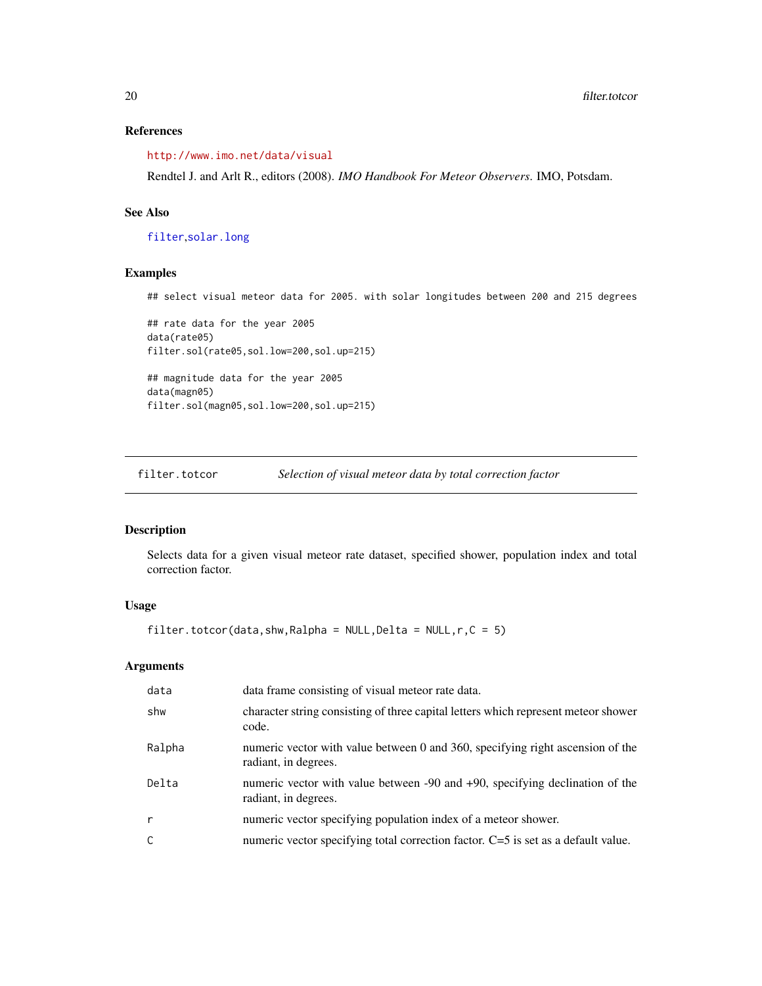# <span id="page-19-0"></span>References

<http://www.imo.net/data/visual>

Rendtel J. and Arlt R., editors (2008). *IMO Handbook For Meteor Observers*. IMO, Potsdam.

# See Also

[filter](#page-2-1),[solar.long](#page-71-2)

# Examples

## select visual meteor data for 2005. with solar longitudes between 200 and 215 degrees

```
## rate data for the year 2005
data(rate05)
filter.sol(rate05,sol.low=200,sol.up=215)
## magnitude data for the year 2005
data(magn05)
filter.sol(magn05,sol.low=200,sol.up=215)
```
<span id="page-19-1"></span>filter.totcor *Selection of visual meteor data by total correction factor*

# Description

Selects data for a given visual meteor rate dataset, specified shower, population index and total correction factor.

# Usage

 $filter.totor(data, shw, Ralpha = NULL, Delta = NULL, r, C = 5)$ 

### Arguments

| data         | data frame consisting of visual meteor rate data.                                                      |
|--------------|--------------------------------------------------------------------------------------------------------|
| shw          | character string consisting of three capital letters which represent meteor shower<br>code.            |
| Ralpha       | numeric vector with value between 0 and 360, specifying right ascension of the<br>radiant, in degrees. |
| Delta        | numeric vector with value between -90 and +90, specifying declination of the<br>radiant, in degrees.   |
| $\mathsf{r}$ | numeric vector specifying population index of a meteor shower.                                         |
| C            | numeric vector specifying total correction factor. C=5 is set as a default value.                      |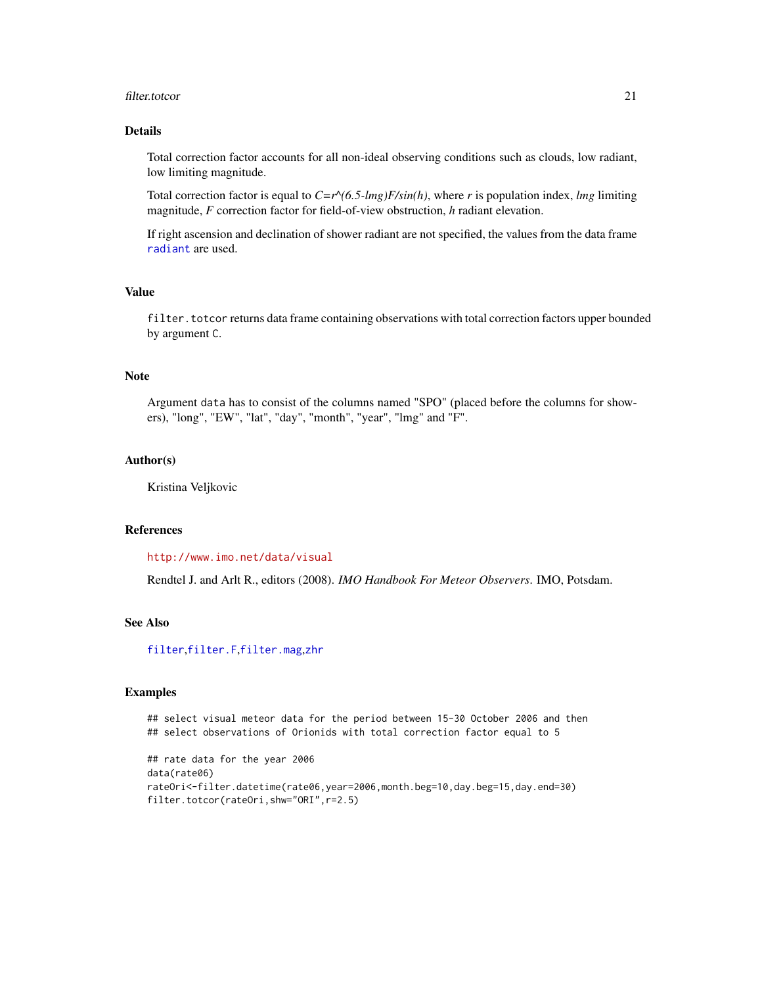#### filter.totcor 21

# Details

Total correction factor accounts for all non-ideal observing conditions such as clouds, low radiant, low limiting magnitude.

Total correction factor is equal to  $C=r^{\prime}(6.5-lmg)F/sin(h)$ , where *r* is population index, *lmg* limiting magnitude, *F* correction factor for field-of-view obstruction, *h* radiant elevation.

If right ascension and declination of shower radiant are not specified, the values from the data frame [radiant](#page-46-1) are used.

# Value

filter. totcor returns data frame containing observations with total correction factors upper bounded by argument C.

# Note

Argument data has to consist of the columns named "SPO" (placed before the columns for showers), "long", "EW", "lat", "day", "month", "year", "lmg" and "F".

#### Author(s)

Kristina Veljkovic

#### References

<http://www.imo.net/data/visual>

Rendtel J. and Arlt R., editors (2008). *IMO Handbook For Meteor Observers*. IMO, Potsdam.

# See Also

[filter](#page-2-1),[filter.F](#page-8-1),[filter.mag](#page-13-1),[zhr](#page-75-1)

# Examples

## select visual meteor data for the period between 15-30 October 2006 and then ## select observations of Orionids with total correction factor equal to 5

```
## rate data for the year 2006
data(rate06)
rateOri<-filter.datetime(rate06,year=2006,month.beg=10,day.beg=15,day.end=30)
filter.totcor(rateOri,shw="ORI",r=2.5)
```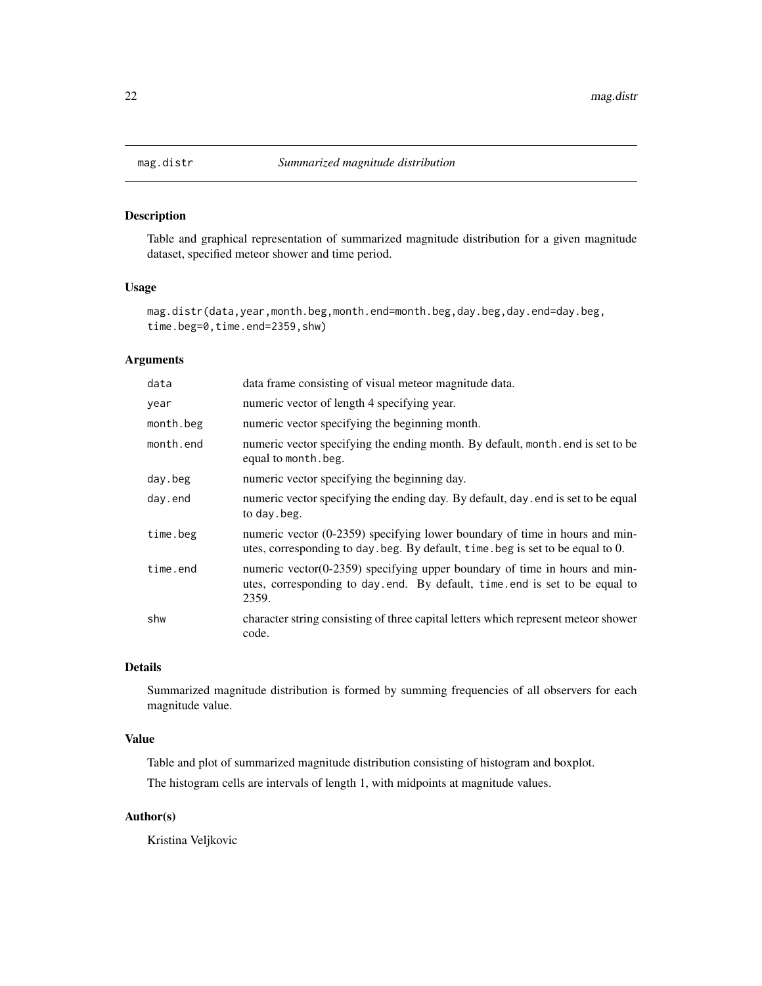# Description

Table and graphical representation of summarized magnitude distribution for a given magnitude dataset, specified meteor shower and time period.

# Usage

```
mag.distr(data,year,month.beg,month.end=month.beg,day.beg,day.end=day.beg,
time.beg=0,time.end=2359,shw)
```
# Arguments

| data      | data frame consisting of visual meteor magnitude data.                                                                                                            |
|-----------|-------------------------------------------------------------------------------------------------------------------------------------------------------------------|
| year      | numeric vector of length 4 specifying year.                                                                                                                       |
| month.beg | numeric vector specifying the beginning month.                                                                                                                    |
| month.end | numeric vector specifying the ending month. By default, month end is set to be<br>equal to month. beg.                                                            |
| day.beg   | numeric vector specifying the beginning day.                                                                                                                      |
| day.end   | numeric vector specifying the ending day. By default, day, end is set to be equal<br>to day . beg.                                                                |
| time.beg  | numeric vector (0-2359) specifying lower boundary of time in hours and min-<br>utes, corresponding to day beg. By default, time beg is set to be equal to 0.      |
| time.end  | numeric vector(0-2359) specifying upper boundary of time in hours and min-<br>utes, corresponding to day end. By default, time end is set to be equal to<br>2359. |
| shw       | character string consisting of three capital letters which represent meteor shower<br>code.                                                                       |

# Details

Summarized magnitude distribution is formed by summing frequencies of all observers for each magnitude value.

# Value

Table and plot of summarized magnitude distribution consisting of histogram and boxplot.

The histogram cells are intervals of length 1, with midpoints at magnitude values.

# Author(s)

Kristina Veljkovic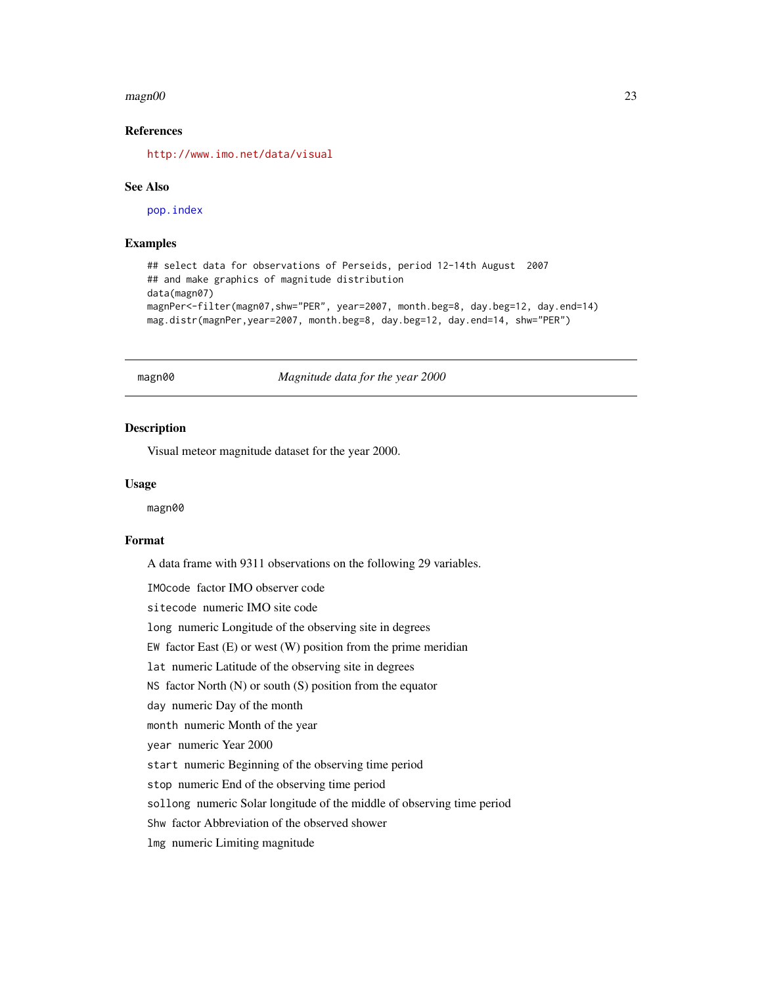#### <span id="page-22-0"></span> $magn00$  and  $23$

# References

<http://www.imo.net/data/visual>

#### See Also

[pop.index](#page-39-1)

# Examples

```
## select data for observations of Perseids, period 12-14th August 2007
## and make graphics of magnitude distribution
data(magn07)
magnPer<-filter(magn07,shw="PER", year=2007, month.beg=8, day.beg=12, day.end=14)
mag.distr(magnPer,year=2007, month.beg=8, day.beg=12, day.end=14, shw="PER")
```
magn00 *Magnitude data for the year 2000*

#### Description

Visual meteor magnitude dataset for the year 2000.

#### Usage

magn00

# Format

A data frame with 9311 observations on the following 29 variables.

IMOcode factor IMO observer code

sitecode numeric IMO site code

long numeric Longitude of the observing site in degrees

EW factor East  $(E)$  or west  $(W)$  position from the prime meridian

lat numeric Latitude of the observing site in degrees

NS factor North  $(N)$  or south  $(S)$  position from the equator

day numeric Day of the month

month numeric Month of the year

year numeric Year 2000

start numeric Beginning of the observing time period

stop numeric End of the observing time period

sollong numeric Solar longitude of the middle of observing time period

Shw factor Abbreviation of the observed shower

lmg numeric Limiting magnitude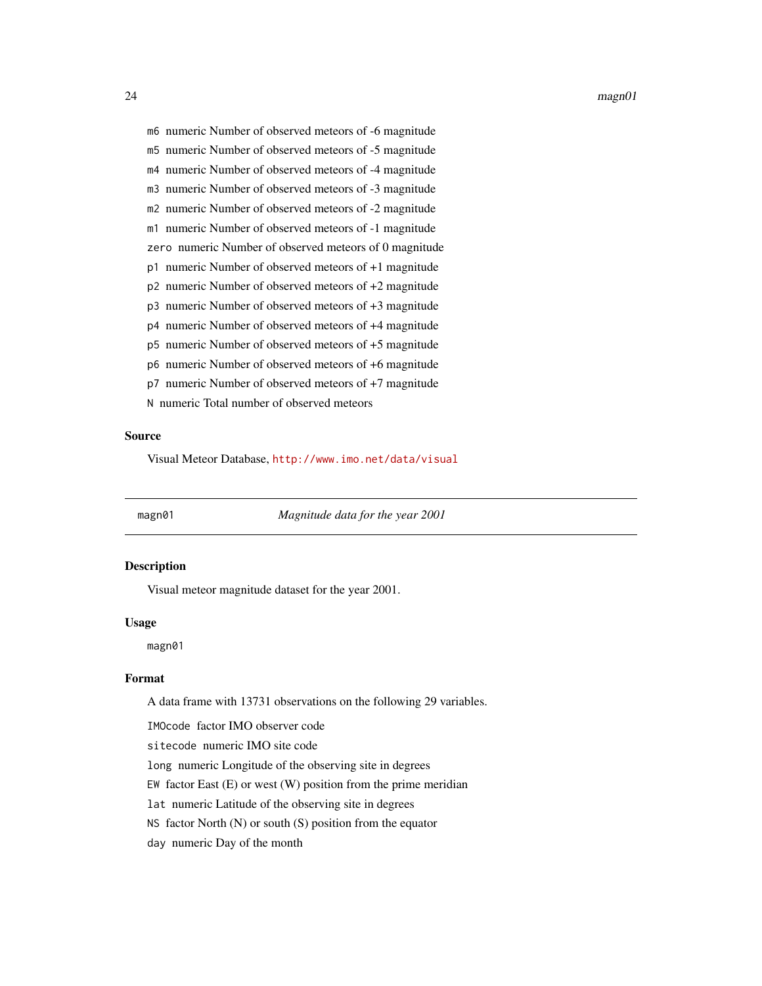<span id="page-23-0"></span>24 magn01

m6 numeric Number of observed meteors of -6 magnitude m5 numeric Number of observed meteors of -5 magnitude m4 numeric Number of observed meteors of -4 magnitude m3 numeric Number of observed meteors of -3 magnitude m2 numeric Number of observed meteors of -2 magnitude m1 numeric Number of observed meteors of -1 magnitude zero numeric Number of observed meteors of 0 magnitude p1 numeric Number of observed meteors of +1 magnitude p2 numeric Number of observed meteors of +2 magnitude p3 numeric Number of observed meteors of +3 magnitude p4 numeric Number of observed meteors of +4 magnitude p5 numeric Number of observed meteors of +5 magnitude p6 numeric Number of observed meteors of +6 magnitude p7 numeric Number of observed meteors of +7 magnitude N numeric Total number of observed meteors

#### Source

Visual Meteor Database, <http://www.imo.net/data/visual>

magn01 *Magnitude data for the year 2001*

# Description

Visual meteor magnitude dataset for the year 2001.

#### Usage

magn01

#### Format

A data frame with 13731 observations on the following 29 variables.

IMOcode factor IMO observer code

sitecode numeric IMO site code

long numeric Longitude of the observing site in degrees

EW factor East  $(E)$  or west  $(W)$  position from the prime meridian

lat numeric Latitude of the observing site in degrees

NS factor North  $(N)$  or south  $(S)$  position from the equator

day numeric Day of the month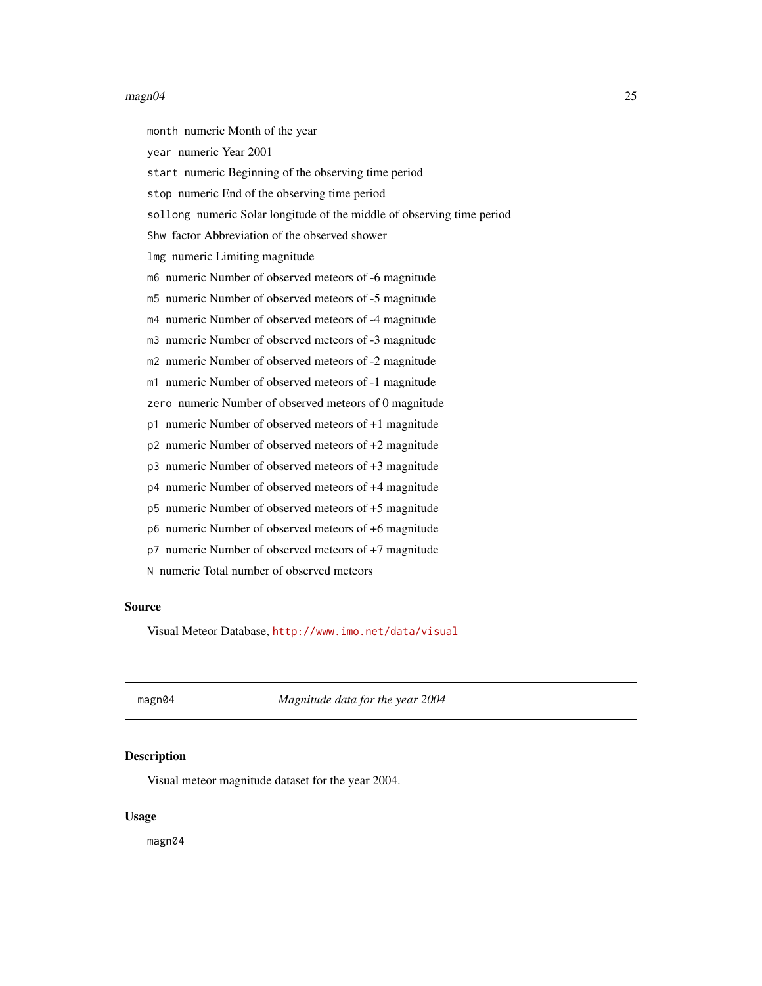#### <span id="page-24-0"></span> $magn04$  25

month numeric Month of the year

year numeric Year 2001

start numeric Beginning of the observing time period

stop numeric End of the observing time period

sollong numeric Solar longitude of the middle of observing time period

Shw factor Abbreviation of the observed shower

lmg numeric Limiting magnitude

m6 numeric Number of observed meteors of -6 magnitude

m5 numeric Number of observed meteors of -5 magnitude

m4 numeric Number of observed meteors of -4 magnitude

m3 numeric Number of observed meteors of -3 magnitude

m2 numeric Number of observed meteors of -2 magnitude

m1 numeric Number of observed meteors of -1 magnitude

zero numeric Number of observed meteors of 0 magnitude

p1 numeric Number of observed meteors of +1 magnitude

p2 numeric Number of observed meteors of +2 magnitude

p3 numeric Number of observed meteors of +3 magnitude

p4 numeric Number of observed meteors of +4 magnitude

p5 numeric Number of observed meteors of +5 magnitude

p6 numeric Number of observed meteors of +6 magnitude

p7 numeric Number of observed meteors of +7 magnitude

N numeric Total number of observed meteors

#### Source

Visual Meteor Database, <http://www.imo.net/data/visual>

magn04 *Magnitude data for the year 2004*

#### **Description**

Visual meteor magnitude dataset for the year 2004.

#### Usage

magn04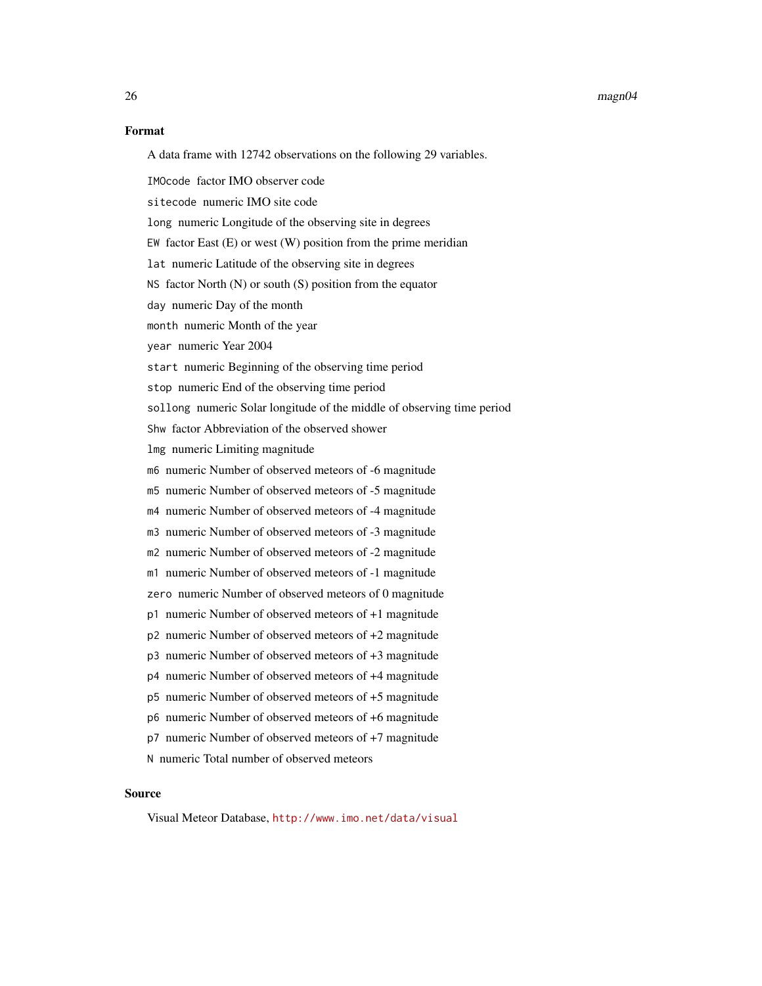#### 26 magn04

#### Format

| A data frame with 12742 observations on the following 29 variables. |
|---------------------------------------------------------------------|
|---------------------------------------------------------------------|

IMOcode factor IMO observer code

sitecode numeric IMO site code

long numeric Longitude of the observing site in degrees

EW factor East  $(E)$  or west  $(W)$  position from the prime meridian

lat numeric Latitude of the observing site in degrees

NS factor North (N) or south (S) position from the equator

day numeric Day of the month

month numeric Month of the year

year numeric Year 2004

start numeric Beginning of the observing time period

stop numeric End of the observing time period

sollong numeric Solar longitude of the middle of observing time period

Shw factor Abbreviation of the observed shower

lmg numeric Limiting magnitude

m6 numeric Number of observed meteors of -6 magnitude

m5 numeric Number of observed meteors of -5 magnitude

m4 numeric Number of observed meteors of -4 magnitude

m3 numeric Number of observed meteors of -3 magnitude

m2 numeric Number of observed meteors of -2 magnitude

m1 numeric Number of observed meteors of -1 magnitude

zero numeric Number of observed meteors of 0 magnitude

- p1 numeric Number of observed meteors of +1 magnitude
- p2 numeric Number of observed meteors of +2 magnitude
- p3 numeric Number of observed meteors of +3 magnitude

p4 numeric Number of observed meteors of +4 magnitude

p5 numeric Number of observed meteors of +5 magnitude

p6 numeric Number of observed meteors of +6 magnitude

p7 numeric Number of observed meteors of +7 magnitude

N numeric Total number of observed meteors

#### Source

Visual Meteor Database, <http://www.imo.net/data/visual>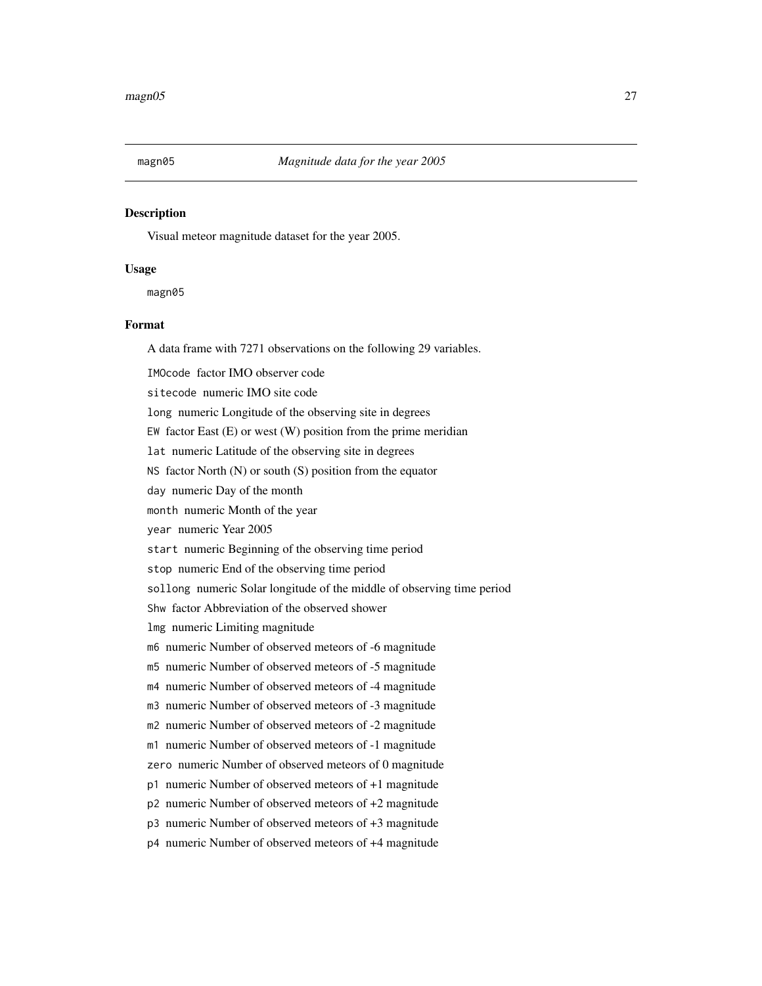<span id="page-26-0"></span>

### Description

Visual meteor magnitude dataset for the year 2005.

#### Usage

magn05

# Format

A data frame with 7271 observations on the following 29 variables.

IMOcode factor IMO observer code

sitecode numeric IMO site code

long numeric Longitude of the observing site in degrees

EW factor East  $(E)$  or west  $(W)$  position from the prime meridian

lat numeric Latitude of the observing site in degrees

NS factor North (N) or south (S) position from the equator

day numeric Day of the month

month numeric Month of the year

year numeric Year 2005

start numeric Beginning of the observing time period

stop numeric End of the observing time period

sollong numeric Solar longitude of the middle of observing time period

Shw factor Abbreviation of the observed shower

lmg numeric Limiting magnitude

m6 numeric Number of observed meteors of -6 magnitude

m5 numeric Number of observed meteors of -5 magnitude

m4 numeric Number of observed meteors of -4 magnitude

m3 numeric Number of observed meteors of -3 magnitude

m2 numeric Number of observed meteors of -2 magnitude

m1 numeric Number of observed meteors of -1 magnitude

zero numeric Number of observed meteors of 0 magnitude

p1 numeric Number of observed meteors of +1 magnitude

p2 numeric Number of observed meteors of +2 magnitude

p3 numeric Number of observed meteors of +3 magnitude

p4 numeric Number of observed meteors of +4 magnitude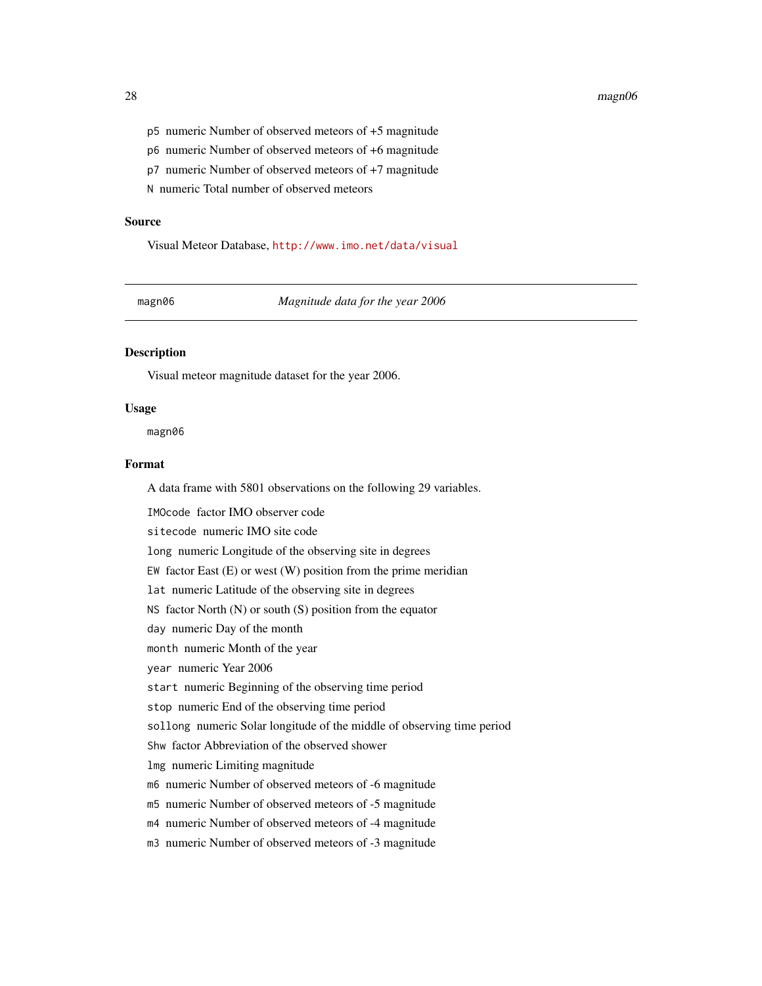#### <span id="page-27-0"></span>28 magn06

- p5 numeric Number of observed meteors of +5 magnitude
- p6 numeric Number of observed meteors of +6 magnitude
- p7 numeric Number of observed meteors of +7 magnitude

N numeric Total number of observed meteors

#### Source

Visual Meteor Database, <http://www.imo.net/data/visual>

magn06 *Magnitude data for the year 2006*

# Description

Visual meteor magnitude dataset for the year 2006.

#### Usage

magn06

# Format

A data frame with 5801 observations on the following 29 variables.

IMOcode factor IMO observer code sitecode numeric IMO site code long numeric Longitude of the observing site in degrees EW factor East  $(E)$  or west  $(W)$  position from the prime meridian lat numeric Latitude of the observing site in degrees NS factor North (N) or south (S) position from the equator day numeric Day of the month month numeric Month of the year year numeric Year 2006 start numeric Beginning of the observing time period stop numeric End of the observing time period sollong numeric Solar longitude of the middle of observing time period Shw factor Abbreviation of the observed shower lmg numeric Limiting magnitude m6 numeric Number of observed meteors of -6 magnitude m5 numeric Number of observed meteors of -5 magnitude m4 numeric Number of observed meteors of -4 magnitude m3 numeric Number of observed meteors of -3 magnitude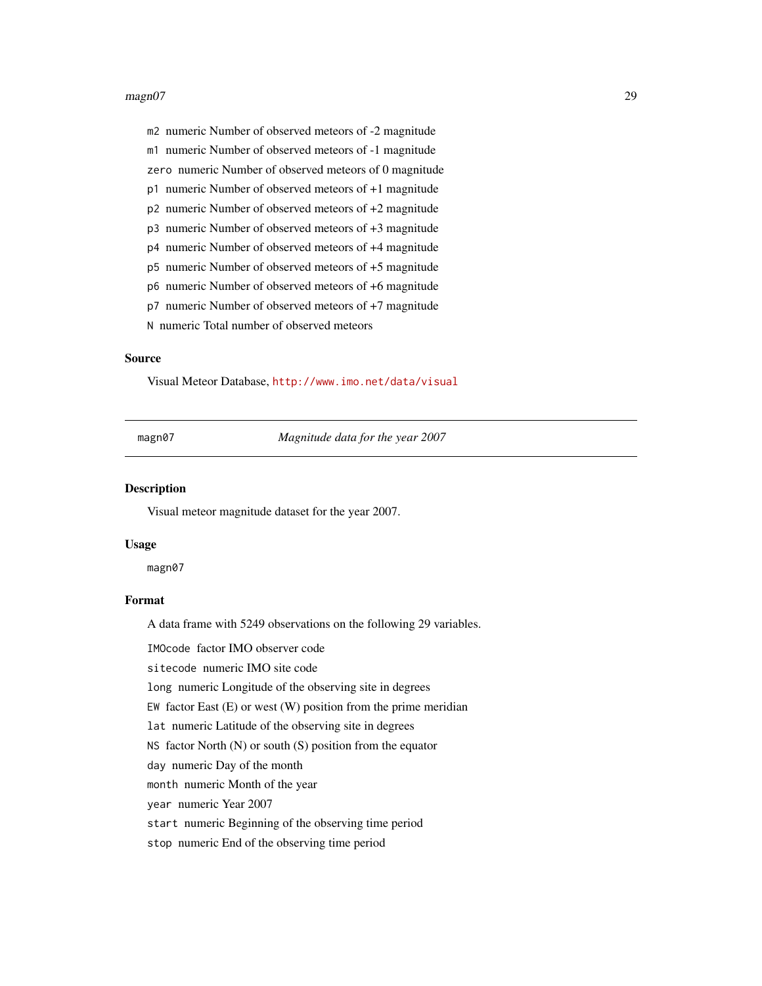#### <span id="page-28-0"></span>magn07 29

m2 numeric Number of observed meteors of -2 magnitude

m1 numeric Number of observed meteors of -1 magnitude

zero numeric Number of observed meteors of 0 magnitude

p1 numeric Number of observed meteors of +1 magnitude

p2 numeric Number of observed meteors of +2 magnitude

p3 numeric Number of observed meteors of +3 magnitude

p4 numeric Number of observed meteors of +4 magnitude

p5 numeric Number of observed meteors of +5 magnitude

p6 numeric Number of observed meteors of +6 magnitude

p7 numeric Number of observed meteors of +7 magnitude

N numeric Total number of observed meteors

# Source

Visual Meteor Database, <http://www.imo.net/data/visual>

magn07 *Magnitude data for the year 2007*

#### Description

Visual meteor magnitude dataset for the year 2007.

#### Usage

magn07

#### Format

A data frame with 5249 observations on the following 29 variables.

IMOcode factor IMO observer code

sitecode numeric IMO site code

long numeric Longitude of the observing site in degrees

EW factor East  $(E)$  or west  $(W)$  position from the prime meridian

lat numeric Latitude of the observing site in degrees

NS factor North (N) or south (S) position from the equator

day numeric Day of the month

month numeric Month of the year

year numeric Year 2007

start numeric Beginning of the observing time period

stop numeric End of the observing time period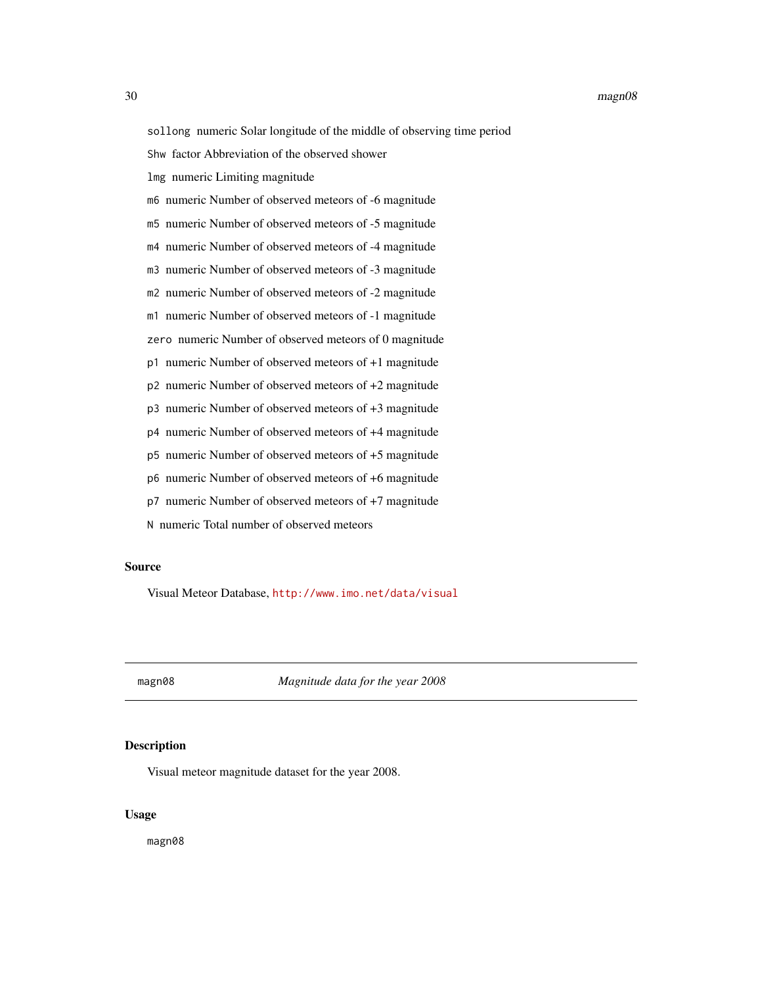<span id="page-29-0"></span>sollong numeric Solar longitude of the middle of observing time period

Shw factor Abbreviation of the observed shower

lmg numeric Limiting magnitude

m6 numeric Number of observed meteors of -6 magnitude

m5 numeric Number of observed meteors of -5 magnitude

m4 numeric Number of observed meteors of -4 magnitude

m3 numeric Number of observed meteors of -3 magnitude

m2 numeric Number of observed meteors of -2 magnitude

m1 numeric Number of observed meteors of -1 magnitude

zero numeric Number of observed meteors of 0 magnitude

p1 numeric Number of observed meteors of +1 magnitude

p2 numeric Number of observed meteors of +2 magnitude

p3 numeric Number of observed meteors of +3 magnitude

p4 numeric Number of observed meteors of +4 magnitude

p5 numeric Number of observed meteors of +5 magnitude

p6 numeric Number of observed meteors of +6 magnitude

p7 numeric Number of observed meteors of +7 magnitude

N numeric Total number of observed meteors

#### Source

Visual Meteor Database, <http://www.imo.net/data/visual>

magn08 *Magnitude data for the year 2008*

# **Description**

Visual meteor magnitude dataset for the year 2008.

#### Usage

magn08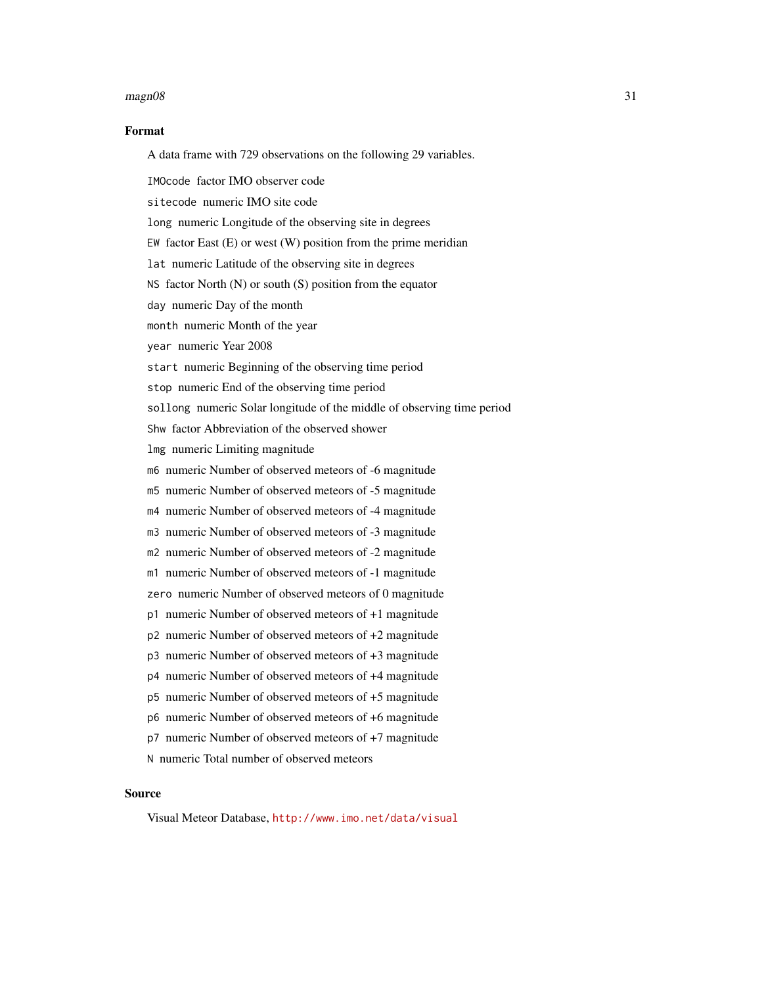#### $magn08$  31

#### Format

A data frame with 729 observations on the following 29 variables.

IMOcode factor IMO observer code

sitecode numeric IMO site code

long numeric Longitude of the observing site in degrees

EW factor East  $(E)$  or west  $(W)$  position from the prime meridian

lat numeric Latitude of the observing site in degrees

NS factor North (N) or south (S) position from the equator

day numeric Day of the month

month numeric Month of the year

year numeric Year 2008

start numeric Beginning of the observing time period

stop numeric End of the observing time period

sollong numeric Solar longitude of the middle of observing time period

Shw factor Abbreviation of the observed shower

lmg numeric Limiting magnitude

m6 numeric Number of observed meteors of -6 magnitude

m5 numeric Number of observed meteors of -5 magnitude

m4 numeric Number of observed meteors of -4 magnitude

m3 numeric Number of observed meteors of -3 magnitude

m2 numeric Number of observed meteors of -2 magnitude

m1 numeric Number of observed meteors of -1 magnitude

zero numeric Number of observed meteors of 0 magnitude

- p1 numeric Number of observed meteors of +1 magnitude
- p2 numeric Number of observed meteors of +2 magnitude
- p3 numeric Number of observed meteors of +3 magnitude

p4 numeric Number of observed meteors of +4 magnitude

p5 numeric Number of observed meteors of +5 magnitude

p6 numeric Number of observed meteors of +6 magnitude

p7 numeric Number of observed meteors of +7 magnitude

N numeric Total number of observed meteors

#### Source

Visual Meteor Database, <http://www.imo.net/data/visual>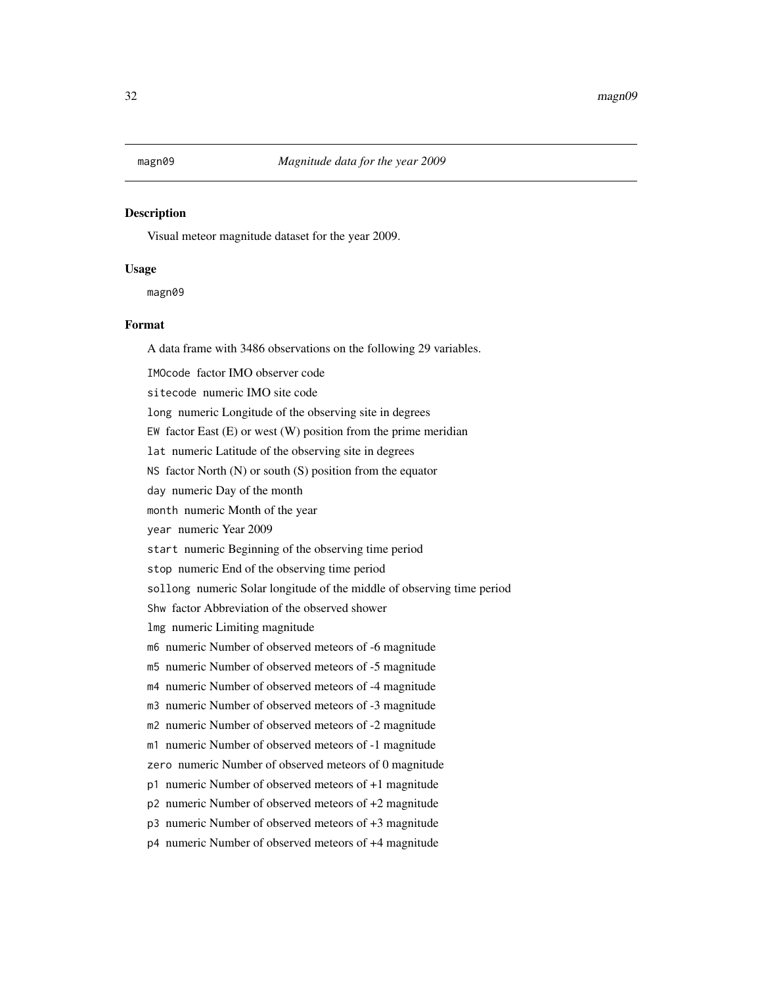# <span id="page-31-0"></span>Description

Visual meteor magnitude dataset for the year 2009.

#### Usage

magn09

#### Format

A data frame with 3486 observations on the following 29 variables.

IMOcode factor IMO observer code

sitecode numeric IMO site code

long numeric Longitude of the observing site in degrees

EW factor East  $(E)$  or west  $(W)$  position from the prime meridian

lat numeric Latitude of the observing site in degrees

NS factor North (N) or south (S) position from the equator

day numeric Day of the month

month numeric Month of the year

year numeric Year 2009

start numeric Beginning of the observing time period

stop numeric End of the observing time period

sollong numeric Solar longitude of the middle of observing time period

Shw factor Abbreviation of the observed shower

lmg numeric Limiting magnitude

m6 numeric Number of observed meteors of -6 magnitude

m5 numeric Number of observed meteors of -5 magnitude

m4 numeric Number of observed meteors of -4 magnitude

m3 numeric Number of observed meteors of -3 magnitude

m2 numeric Number of observed meteors of -2 magnitude

m1 numeric Number of observed meteors of -1 magnitude

zero numeric Number of observed meteors of 0 magnitude

p1 numeric Number of observed meteors of +1 magnitude

p2 numeric Number of observed meteors of +2 magnitude

p3 numeric Number of observed meteors of +3 magnitude

p4 numeric Number of observed meteors of +4 magnitude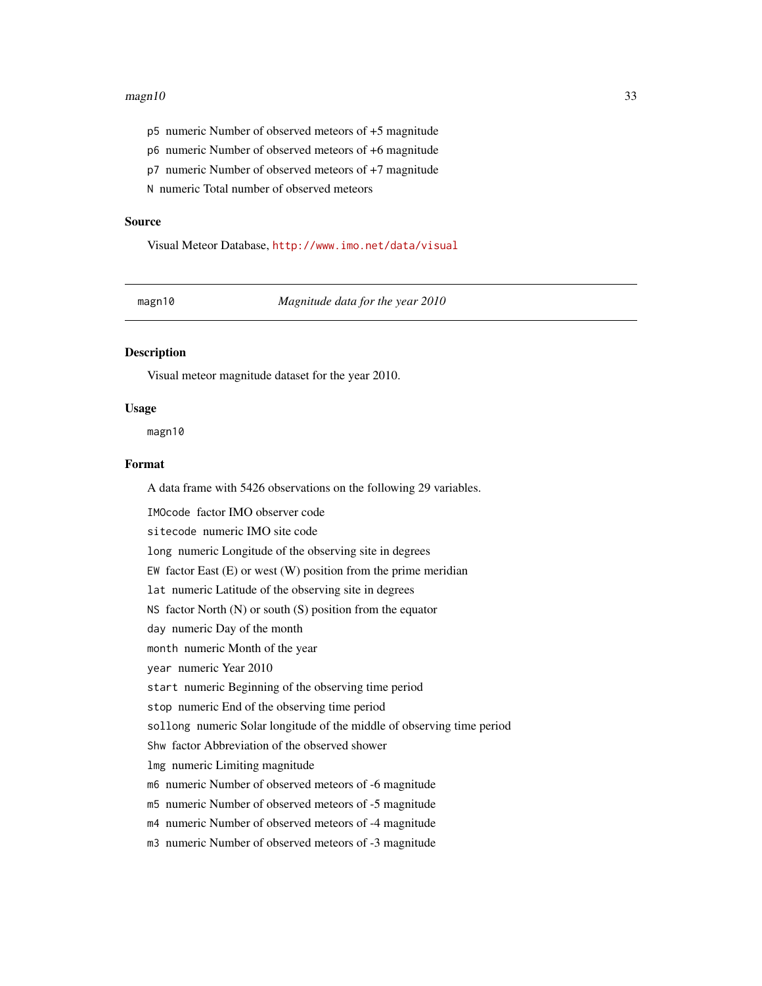#### <span id="page-32-0"></span> $magn10$  33

- p5 numeric Number of observed meteors of +5 magnitude
- p6 numeric Number of observed meteors of +6 magnitude
- p7 numeric Number of observed meteors of +7 magnitude

N numeric Total number of observed meteors

#### Source

Visual Meteor Database, <http://www.imo.net/data/visual>

magn10 *Magnitude data for the year 2010*

# Description

Visual meteor magnitude dataset for the year 2010.

#### Usage

magn10

# Format

A data frame with 5426 observations on the following 29 variables.

IMOcode factor IMO observer code sitecode numeric IMO site code long numeric Longitude of the observing site in degrees EW factor East  $(E)$  or west  $(W)$  position from the prime meridian lat numeric Latitude of the observing site in degrees NS factor North (N) or south (S) position from the equator day numeric Day of the month month numeric Month of the year year numeric Year 2010 start numeric Beginning of the observing time period stop numeric End of the observing time period sollong numeric Solar longitude of the middle of observing time period Shw factor Abbreviation of the observed shower lmg numeric Limiting magnitude m6 numeric Number of observed meteors of -6 magnitude m5 numeric Number of observed meteors of -5 magnitude m4 numeric Number of observed meteors of -4 magnitude m3 numeric Number of observed meteors of -3 magnitude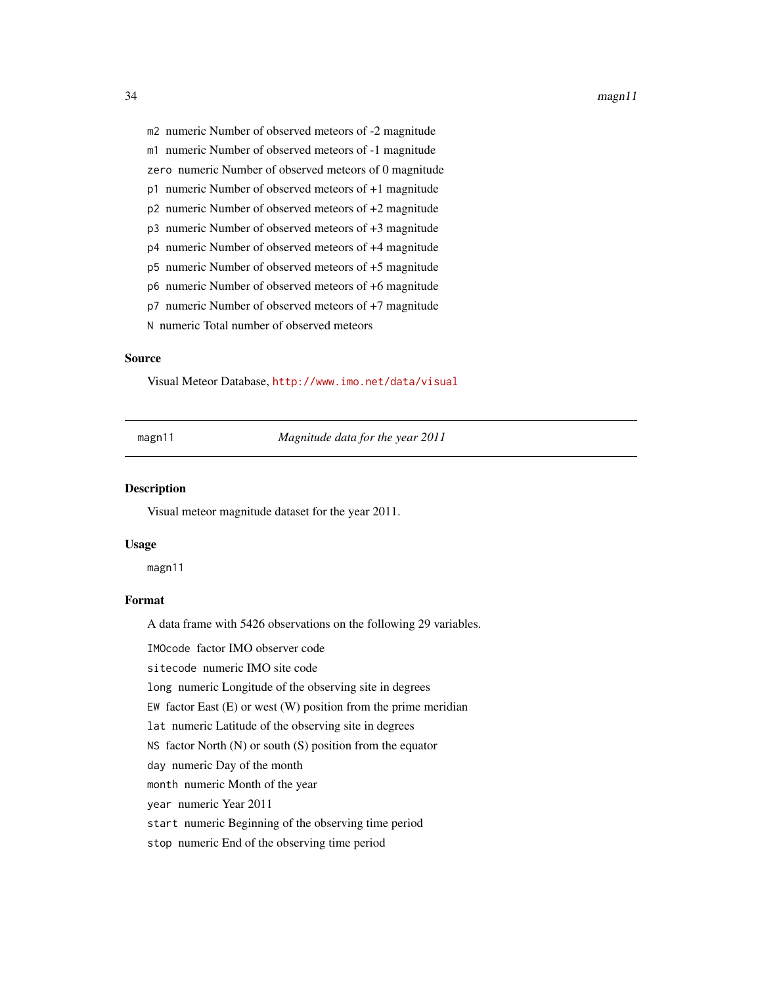- <span id="page-33-0"></span>m2 numeric Number of observed meteors of -2 magnitude
- m1 numeric Number of observed meteors of -1 magnitude
- zero numeric Number of observed meteors of 0 magnitude
- p1 numeric Number of observed meteors of +1 magnitude
- p2 numeric Number of observed meteors of +2 magnitude
- p3 numeric Number of observed meteors of +3 magnitude
- p4 numeric Number of observed meteors of +4 magnitude
- p5 numeric Number of observed meteors of +5 magnitude
- p6 numeric Number of observed meteors of +6 magnitude
- p7 numeric Number of observed meteors of +7 magnitude
- N numeric Total number of observed meteors

#### Source

Visual Meteor Database, <http://www.imo.net/data/visual>

magn11 *Magnitude data for the year 2011*

#### Description

Visual meteor magnitude dataset for the year 2011.

#### Usage

magn11

# Format

A data frame with 5426 observations on the following 29 variables.

IMOcode factor IMO observer code

sitecode numeric IMO site code

long numeric Longitude of the observing site in degrees

EW factor East  $(E)$  or west  $(W)$  position from the prime meridian

lat numeric Latitude of the observing site in degrees

NS factor North (N) or south (S) position from the equator

day numeric Day of the month

month numeric Month of the year

year numeric Year 2011

start numeric Beginning of the observing time period

stop numeric End of the observing time period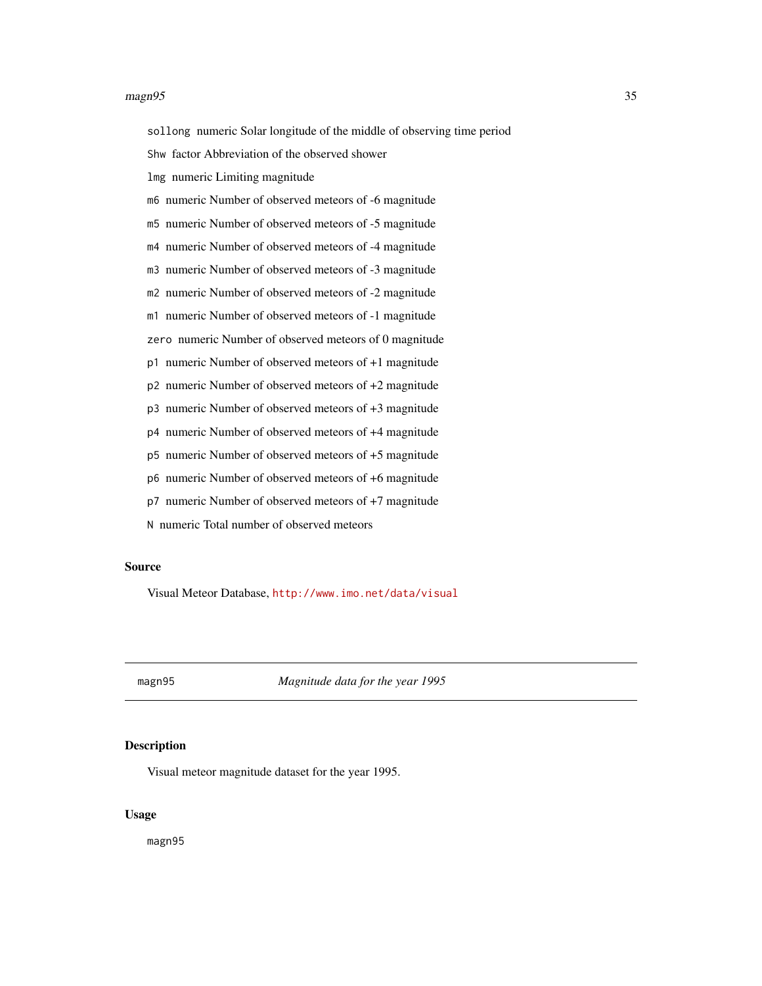#### <span id="page-34-0"></span> $magn95$  35

sollong numeric Solar longitude of the middle of observing time period

Shw factor Abbreviation of the observed shower

lmg numeric Limiting magnitude

m6 numeric Number of observed meteors of -6 magnitude

m5 numeric Number of observed meteors of -5 magnitude

m4 numeric Number of observed meteors of -4 magnitude

m3 numeric Number of observed meteors of -3 magnitude

m2 numeric Number of observed meteors of -2 magnitude

m1 numeric Number of observed meteors of -1 magnitude

zero numeric Number of observed meteors of 0 magnitude

p1 numeric Number of observed meteors of +1 magnitude

p2 numeric Number of observed meteors of +2 magnitude

p3 numeric Number of observed meteors of +3 magnitude

p4 numeric Number of observed meteors of +4 magnitude

p5 numeric Number of observed meteors of +5 magnitude

p6 numeric Number of observed meteors of +6 magnitude

p7 numeric Number of observed meteors of +7 magnitude

N numeric Total number of observed meteors

#### Source

Visual Meteor Database, <http://www.imo.net/data/visual>

magn95 *Magnitude data for the year 1995*

# **Description**

Visual meteor magnitude dataset for the year 1995.

#### Usage

magn95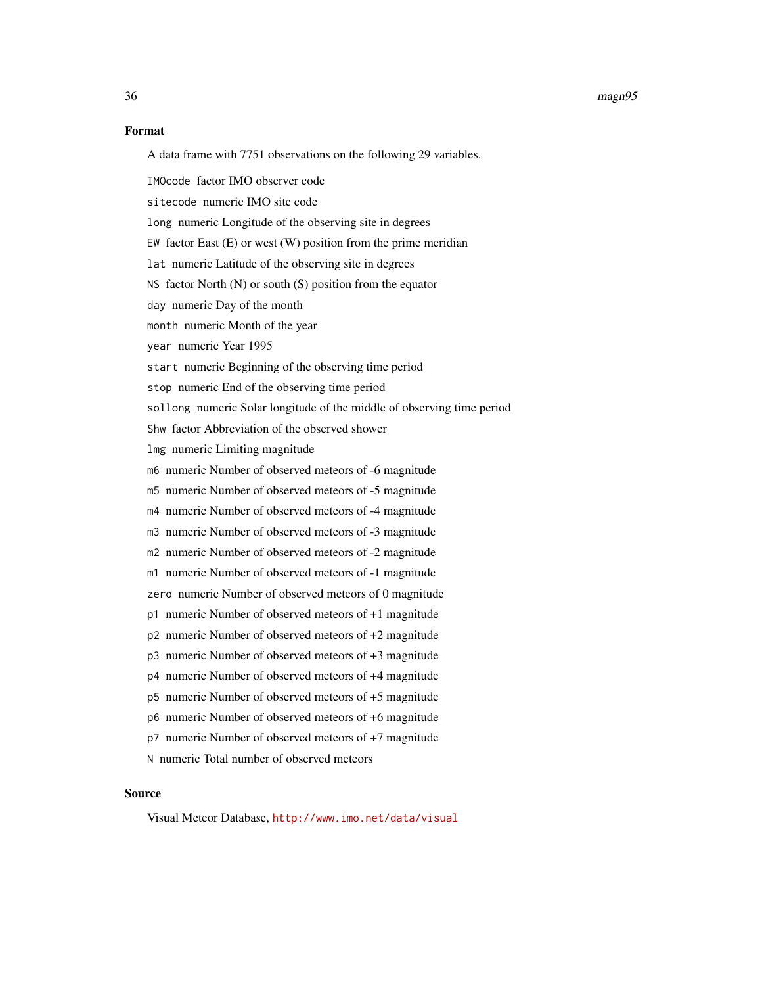#### 36 magn95

#### Format

A data frame with 7751 observations on the following 29 variables.

IMOcode factor IMO observer code

sitecode numeric IMO site code

long numeric Longitude of the observing site in degrees

EW factor East  $(E)$  or west  $(W)$  position from the prime meridian

lat numeric Latitude of the observing site in degrees

NS factor North (N) or south (S) position from the equator

day numeric Day of the month

month numeric Month of the year

year numeric Year 1995

start numeric Beginning of the observing time period

stop numeric End of the observing time period

sollong numeric Solar longitude of the middle of observing time period

Shw factor Abbreviation of the observed shower

lmg numeric Limiting magnitude

m6 numeric Number of observed meteors of -6 magnitude

m5 numeric Number of observed meteors of -5 magnitude

m4 numeric Number of observed meteors of -4 magnitude

m3 numeric Number of observed meteors of -3 magnitude

m2 numeric Number of observed meteors of -2 magnitude

m1 numeric Number of observed meteors of -1 magnitude

zero numeric Number of observed meteors of 0 magnitude

- p1 numeric Number of observed meteors of +1 magnitude
- p2 numeric Number of observed meteors of +2 magnitude
- p3 numeric Number of observed meteors of +3 magnitude

p4 numeric Number of observed meteors of +4 magnitude

p5 numeric Number of observed meteors of +5 magnitude

p6 numeric Number of observed meteors of +6 magnitude

p7 numeric Number of observed meteors of +7 magnitude

N numeric Total number of observed meteors

#### Source

Visual Meteor Database, <http://www.imo.net/data/visual>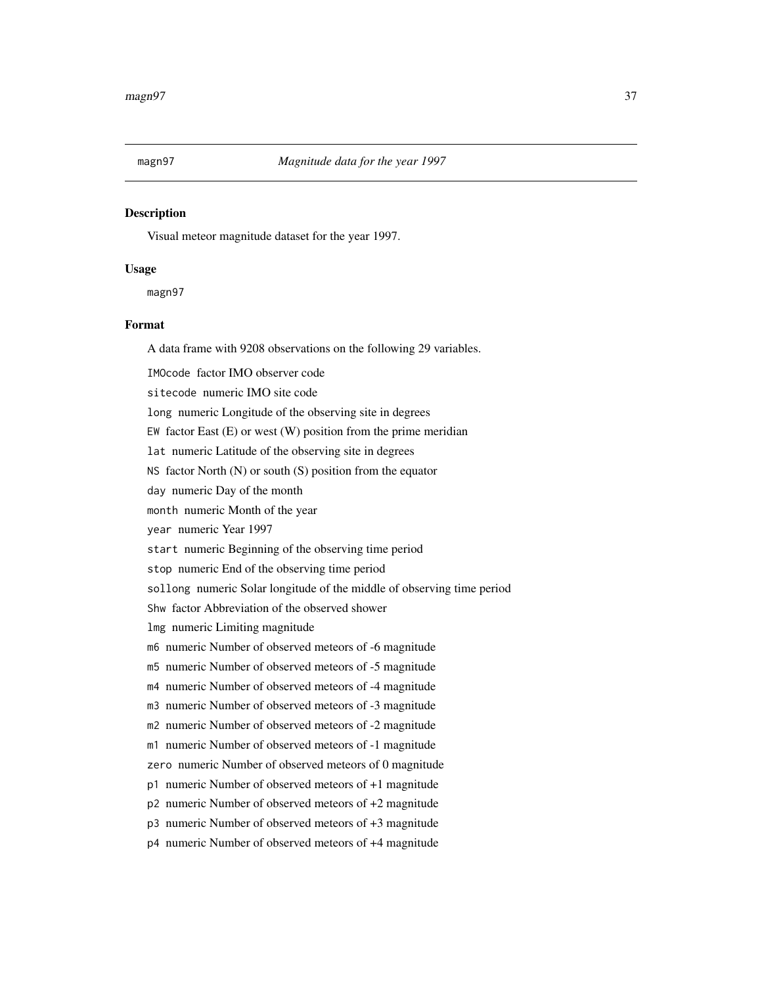Visual meteor magnitude dataset for the year 1997.

## Usage

magn97

# Format

A data frame with 9208 observations on the following 29 variables.

IMOcode factor IMO observer code

sitecode numeric IMO site code

long numeric Longitude of the observing site in degrees

EW factor East  $(E)$  or west  $(W)$  position from the prime meridian

lat numeric Latitude of the observing site in degrees

NS factor North (N) or south (S) position from the equator

day numeric Day of the month

month numeric Month of the year

year numeric Year 1997

start numeric Beginning of the observing time period

stop numeric End of the observing time period

sollong numeric Solar longitude of the middle of observing time period

Shw factor Abbreviation of the observed shower

lmg numeric Limiting magnitude

m6 numeric Number of observed meteors of -6 magnitude

m5 numeric Number of observed meteors of -5 magnitude

m4 numeric Number of observed meteors of -4 magnitude

m3 numeric Number of observed meteors of -3 magnitude

m2 numeric Number of observed meteors of -2 magnitude

m1 numeric Number of observed meteors of -1 magnitude

zero numeric Number of observed meteors of 0 magnitude

p1 numeric Number of observed meteors of +1 magnitude

p2 numeric Number of observed meteors of +2 magnitude

p3 numeric Number of observed meteors of +3 magnitude

p4 numeric Number of observed meteors of +4 magnitude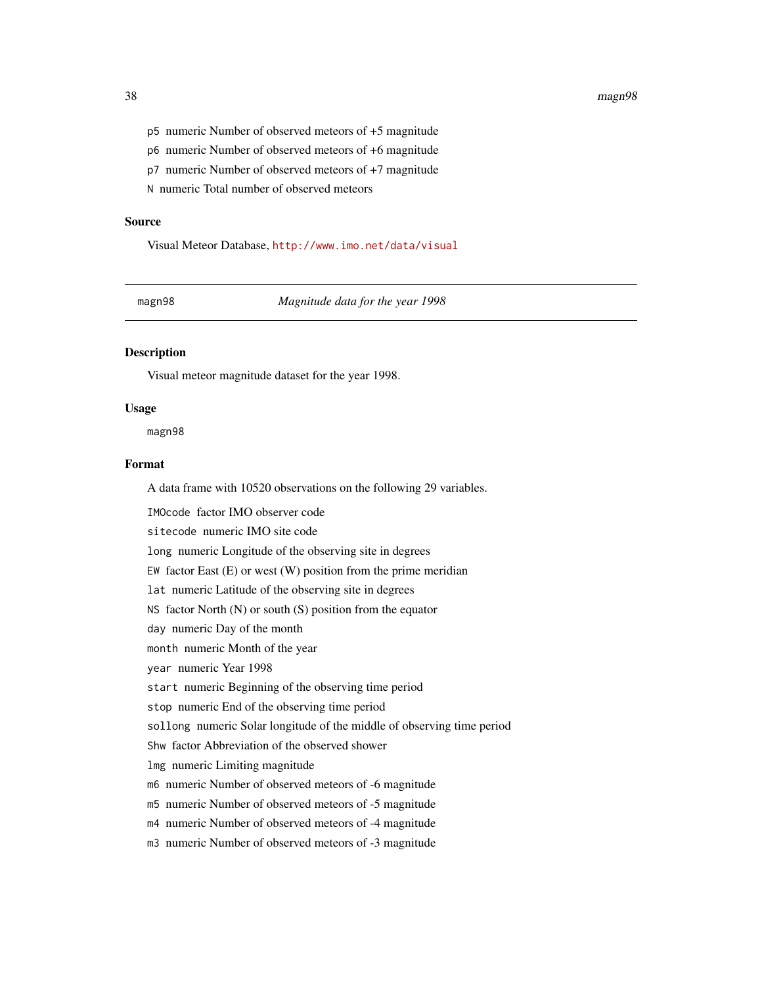#### 38 magn98

- p5 numeric Number of observed meteors of +5 magnitude
- p6 numeric Number of observed meteors of +6 magnitude
- p7 numeric Number of observed meteors of +7 magnitude

N numeric Total number of observed meteors

#### Source

Visual Meteor Database, <http://www.imo.net/data/visual>

magn98 *Magnitude data for the year 1998*

# Description

Visual meteor magnitude dataset for the year 1998.

#### Usage

magn98

# Format

A data frame with 10520 observations on the following 29 variables.

IMOcode factor IMO observer code sitecode numeric IMO site code long numeric Longitude of the observing site in degrees EW factor East  $(E)$  or west  $(W)$  position from the prime meridian lat numeric Latitude of the observing site in degrees NS factor North (N) or south (S) position from the equator day numeric Day of the month month numeric Month of the year year numeric Year 1998 start numeric Beginning of the observing time period stop numeric End of the observing time period sollong numeric Solar longitude of the middle of observing time period Shw factor Abbreviation of the observed shower lmg numeric Limiting magnitude m6 numeric Number of observed meteors of -6 magnitude m5 numeric Number of observed meteors of -5 magnitude m4 numeric Number of observed meteors of -4 magnitude m3 numeric Number of observed meteors of -3 magnitude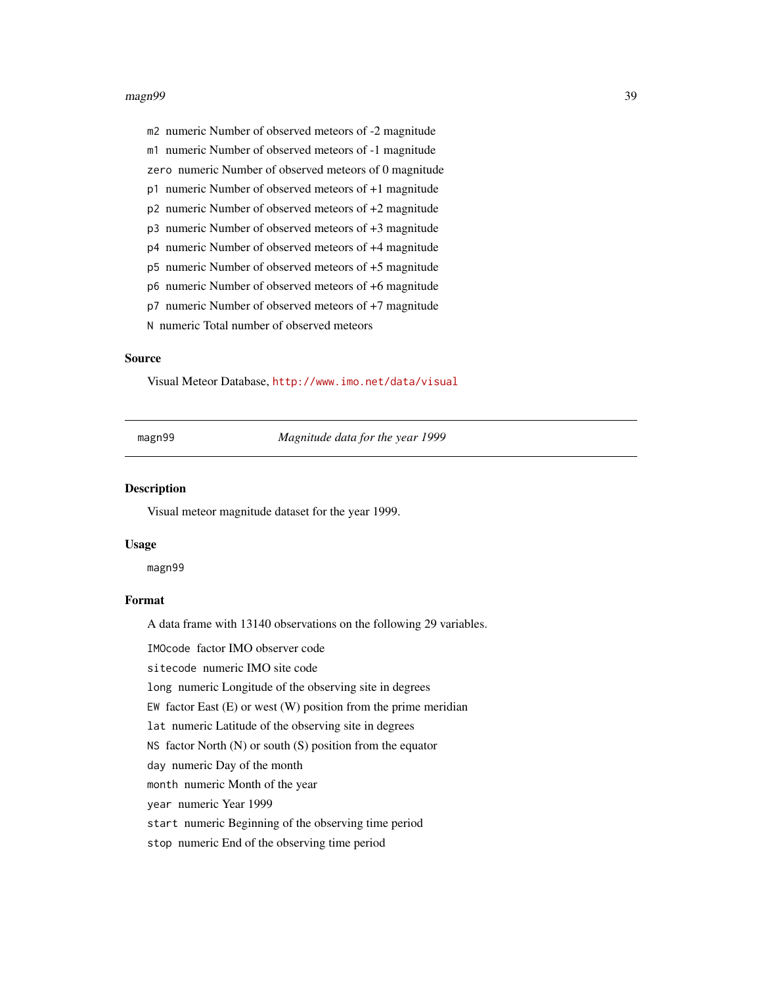#### magn99 39

m2 numeric Number of observed meteors of -2 magnitude

m1 numeric Number of observed meteors of -1 magnitude

zero numeric Number of observed meteors of 0 magnitude

p1 numeric Number of observed meteors of +1 magnitude

p2 numeric Number of observed meteors of +2 magnitude

p3 numeric Number of observed meteors of +3 magnitude

p4 numeric Number of observed meteors of +4 magnitude

p5 numeric Number of observed meteors of +5 magnitude

p6 numeric Number of observed meteors of +6 magnitude

p7 numeric Number of observed meteors of +7 magnitude

N numeric Total number of observed meteors

# Source

Visual Meteor Database, <http://www.imo.net/data/visual>

magn99 *Magnitude data for the year 1999*

#### Description

Visual meteor magnitude dataset for the year 1999.

#### Usage

magn99

# Format

A data frame with 13140 observations on the following 29 variables.

IMOcode factor IMO observer code

sitecode numeric IMO site code

long numeric Longitude of the observing site in degrees

EW factor East  $(E)$  or west  $(W)$  position from the prime meridian

lat numeric Latitude of the observing site in degrees

NS factor North (N) or south (S) position from the equator

day numeric Day of the month

month numeric Month of the year

year numeric Year 1999

start numeric Beginning of the observing time period

stop numeric End of the observing time period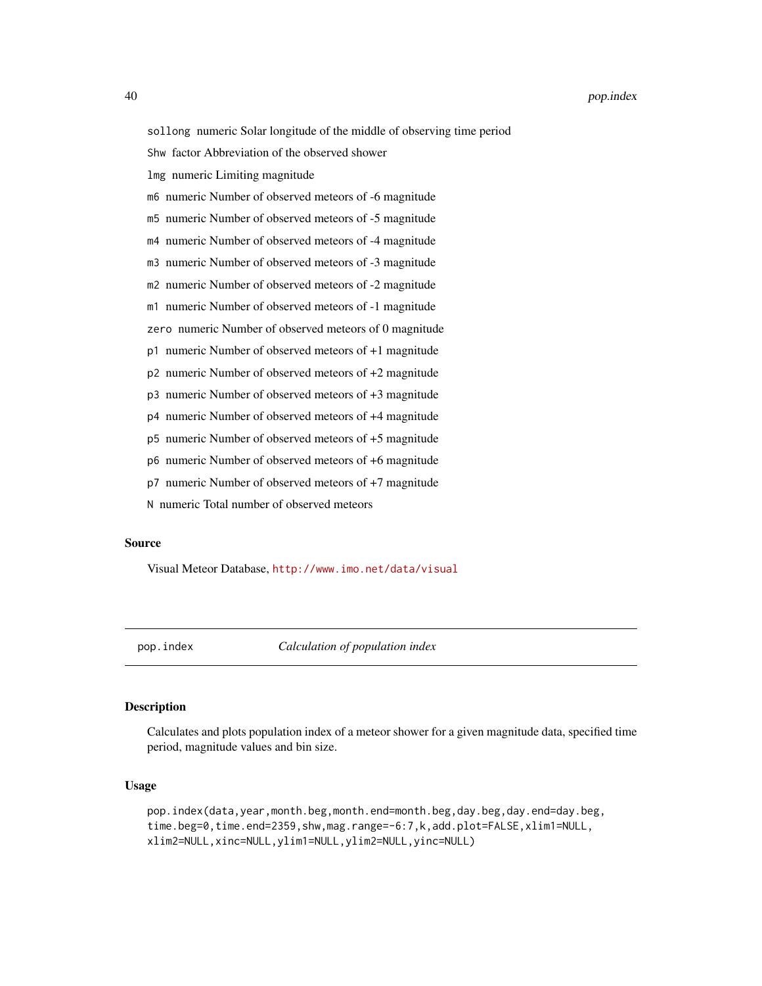sollong numeric Solar longitude of the middle of observing time period Shw factor Abbreviation of the observed shower lmg numeric Limiting magnitude m6 numeric Number of observed meteors of -6 magnitude m5 numeric Number of observed meteors of -5 magnitude m4 numeric Number of observed meteors of -4 magnitude m3 numeric Number of observed meteors of -3 magnitude m2 numeric Number of observed meteors of -2 magnitude m1 numeric Number of observed meteors of -1 magnitude zero numeric Number of observed meteors of 0 magnitude p1 numeric Number of observed meteors of +1 magnitude

p2 numeric Number of observed meteors of +2 magnitude

p3 numeric Number of observed meteors of +3 magnitude

p4 numeric Number of observed meteors of +4 magnitude

p5 numeric Number of observed meteors of +5 magnitude

p6 numeric Number of observed meteors of +6 magnitude

p7 numeric Number of observed meteors of +7 magnitude

N numeric Total number of observed meteors

# Source

Visual Meteor Database, <http://www.imo.net/data/visual>

<span id="page-39-0"></span>

pop.index *Calculation of population index*

## **Description**

Calculates and plots population index of a meteor shower for a given magnitude data, specified time period, magnitude values and bin size.

# Usage

pop.index(data,year,month.beg,month.end=month.beg,day.beg,day.end=day.beg, time.beg=0,time.end=2359,shw,mag.range=-6:7,k,add.plot=FALSE,xlim1=NULL, xlim2=NULL,xinc=NULL,ylim1=NULL,ylim2=NULL,yinc=NULL)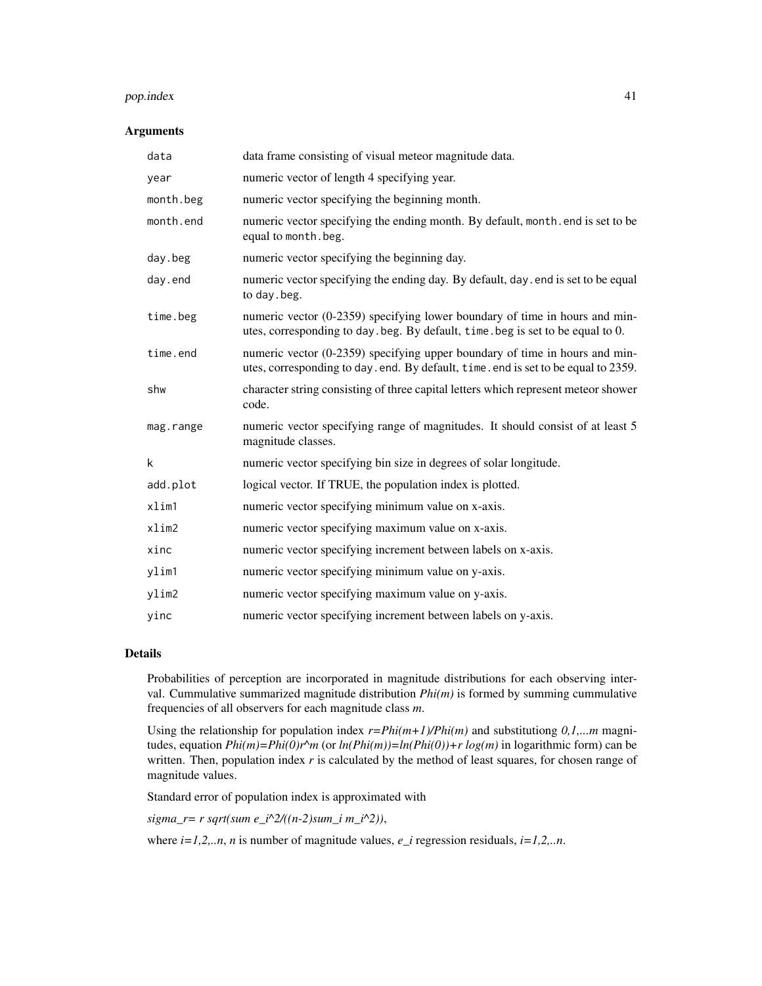#### pop.index 41

# Arguments

| data      | data frame consisting of visual meteor magnitude data.                                                                                                          |
|-----------|-----------------------------------------------------------------------------------------------------------------------------------------------------------------|
| year      | numeric vector of length 4 specifying year.                                                                                                                     |
| month.beg | numeric vector specifying the beginning month.                                                                                                                  |
| month.end | numeric vector specifying the ending month. By default, month end is set to be<br>equal to month.beg.                                                           |
| day.beg   | numeric vector specifying the beginning day.                                                                                                                    |
| day.end   | numeric vector specifying the ending day. By default, day, end is set to be equal<br>to day beg.                                                                |
| time.beg  | numeric vector (0-2359) specifying lower boundary of time in hours and min-<br>utes, corresponding to day. beg. By default, time. beg is set to be equal to 0.  |
| time.end  | numeric vector (0-2359) specifying upper boundary of time in hours and min-<br>utes, corresponding to day.end. By default, time.end is set to be equal to 2359. |
| shw       | character string consisting of three capital letters which represent meteor shower<br>code.                                                                     |
| mag.range | numeric vector specifying range of magnitudes. It should consist of at least 5<br>magnitude classes.                                                            |
| k         | numeric vector specifying bin size in degrees of solar longitude.                                                                                               |
| add.plot  | logical vector. If TRUE, the population index is plotted.                                                                                                       |
| xlim1     | numeric vector specifying minimum value on x-axis.                                                                                                              |
| xlim2     | numeric vector specifying maximum value on x-axis.                                                                                                              |
| xinc      | numeric vector specifying increment between labels on x-axis.                                                                                                   |
| ylim1     | numeric vector specifying minimum value on y-axis.                                                                                                              |
| ylim2     | numeric vector specifying maximum value on y-axis.                                                                                                              |
| yinc      | numeric vector specifying increment between labels on y-axis.                                                                                                   |

# Details

Probabilities of perception are incorporated in magnitude distributions for each observing interval. Cummulative summarized magnitude distribution *Phi(m)* is formed by summing cummulative frequencies of all observers for each magnitude class *m*.

Using the relationship for population index  $r=Phi(1+m+1)/Phi(m)$  and substitutiong  $0,1,...m$  magnitudes, equation  $Phi(im)=Phi(0)r\hat{m}$  (or  $ln(Phi(im))=ln(Phi(0))+r \log(m)$  in logarithmic form) can be written. Then, population index *r* is calculated by the method of least squares, for chosen range of magnitude values.

Standard error of population index is approximated with

*sigma\_r= r sqrt(sum e\_i^2/((n-2)sum\_i m\_i^2))*,

where *i=1,2,..n*, *n* is number of magnitude values, *e\_i* regression residuals, *i=1,2,..n*.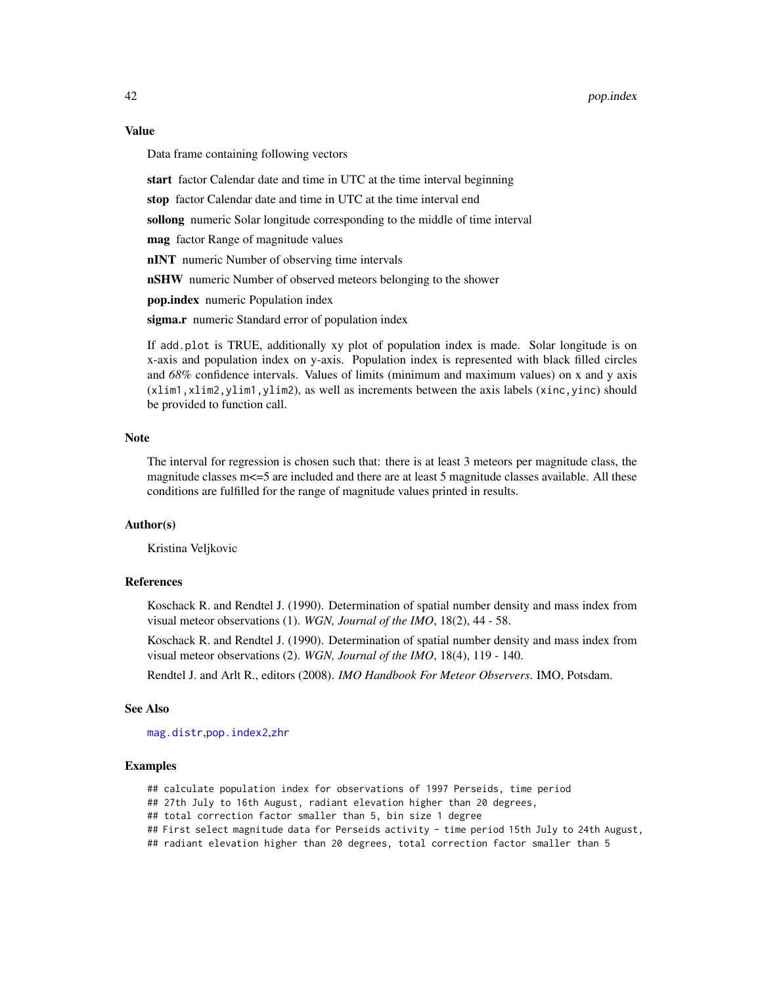#### Value

Data frame containing following vectors

start factor Calendar date and time in UTC at the time interval beginning

stop factor Calendar date and time in UTC at the time interval end

sollong numeric Solar longitude corresponding to the middle of time interval

mag factor Range of magnitude values

nINT numeric Number of observing time intervals

nSHW numeric Number of observed meteors belonging to the shower

pop.index numeric Population index

sigma.r numeric Standard error of population index

If add.plot is TRUE, additionally xy plot of population index is made. Solar longitude is on x-axis and population index on y-axis. Population index is represented with black filled circles and *68%* confidence intervals. Values of limits (minimum and maximum values) on x and y axis (xlim1,xlim2,ylim1,ylim2), as well as increments between the axis labels (xinc,yinc) should be provided to function call.

## Note

The interval for regression is chosen such that: there is at least 3 meteors per magnitude class, the magnitude classes  $m \leq 5$  are included and there are at least 5 magnitude classes available. All these conditions are fulfilled for the range of magnitude values printed in results.

# Author(s)

Kristina Veljkovic

# References

Koschack R. and Rendtel J. (1990). Determination of spatial number density and mass index from visual meteor observations (1). *WGN, Journal of the IMO*, 18(2), 44 - 58.

Koschack R. and Rendtel J. (1990). Determination of spatial number density and mass index from visual meteor observations (2). *WGN, Journal of the IMO*, 18(4), 119 - 140.

Rendtel J. and Arlt R., editors (2008). *IMO Handbook For Meteor Observers*. IMO, Potsdam.

#### See Also

[mag.distr](#page-21-0),[pop.index2](#page-42-0),[zhr](#page-75-0)

# **Examples**

## calculate population index for observations of 1997 Perseids, time period

## 27th July to 16th August, radiant elevation higher than 20 degrees,

## total correction factor smaller than 5, bin size 1 degree

## First select magnitude data for Perseids activity - time period 15th July to 24th August,

## radiant elevation higher than 20 degrees, total correction factor smaller than 5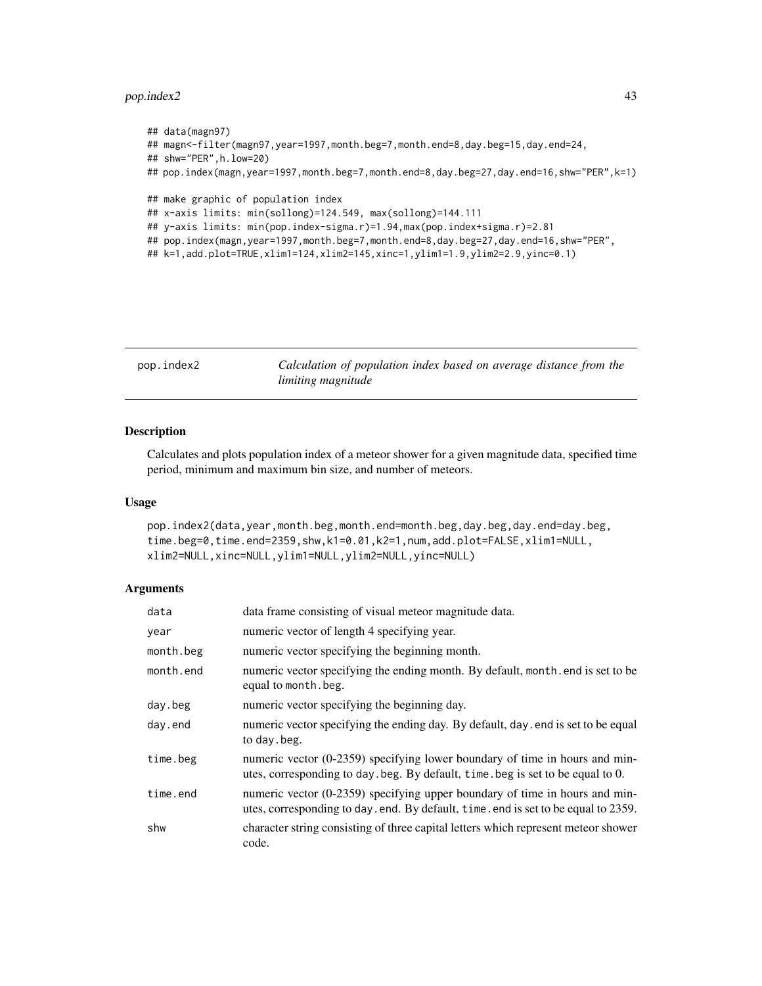# pop.index2 43

```
## data(magn97)
## magn<-filter(magn97,year=1997,month.beg=7,month.end=8,day.beg=15,day.end=24,
## shw="PER",h.low=20)
## pop.index(magn,year=1997,month.beg=7,month.end=8,day.beg=27,day.end=16,shw="PER",k=1)
## make graphic of population index
## x-axis limits: min(sollong)=124.549, max(sollong)=144.111
## y-axis limits: min(pop.index-sigma.r)=1.94,max(pop.index+sigma.r)=2.81
## pop.index(magn,year=1997,month.beg=7,month.end=8,day.beg=27,day.end=16,shw="PER",
## k=1,add.plot=TRUE,xlim1=124,xlim2=145,xinc=1,ylim1=1.9,ylim2=2.9,yinc=0.1)
```
<span id="page-42-0"></span>

| pop.index2 |  |  |  |  |
|------------|--|--|--|--|
|------------|--|--|--|--|

Calculation of population index based on average distance from the *limiting magnitude*

# Description

Calculates and plots population index of a meteor shower for a given magnitude data, specified time period, minimum and maximum bin size, and number of meteors.

#### Usage

```
pop.index2(data,year,month.beg,month.end=month.beg,day.beg,day.end=day.beg,
time.beg=0,time.end=2359,shw,k1=0.01,k2=1,num,add.plot=FALSE,xlim1=NULL,
xlim2=NULL,xinc=NULL,ylim1=NULL,ylim2=NULL,yinc=NULL)
```
# Arguments

| data      | data frame consisting of visual meteor magnitude data.                                                                                                                |
|-----------|-----------------------------------------------------------------------------------------------------------------------------------------------------------------------|
| year      | numeric vector of length 4 specifying year.                                                                                                                           |
| month.beg | numeric vector specifying the beginning month.                                                                                                                        |
| month.end | numeric vector specifying the ending month. By default, month end is set to be<br>equal to month.beg.                                                                 |
| day.beg   | numeric vector specifying the beginning day.                                                                                                                          |
| day.end   | numeric vector specifying the ending day. By default, day . end is set to be equal<br>to day beg.                                                                     |
| time.beg  | numeric vector (0-2359) specifying lower boundary of time in hours and min-<br>utes, corresponding to day. beg. By default, time. beg is set to be equal to 0.        |
| time.end  | numeric vector $(0-2359)$ specifying upper boundary of time in hours and min-<br>utes, corresponding to day . end. By default, time . end is set to be equal to 2359. |
| shw       | character string consisting of three capital letters which represent meteor shower<br>code.                                                                           |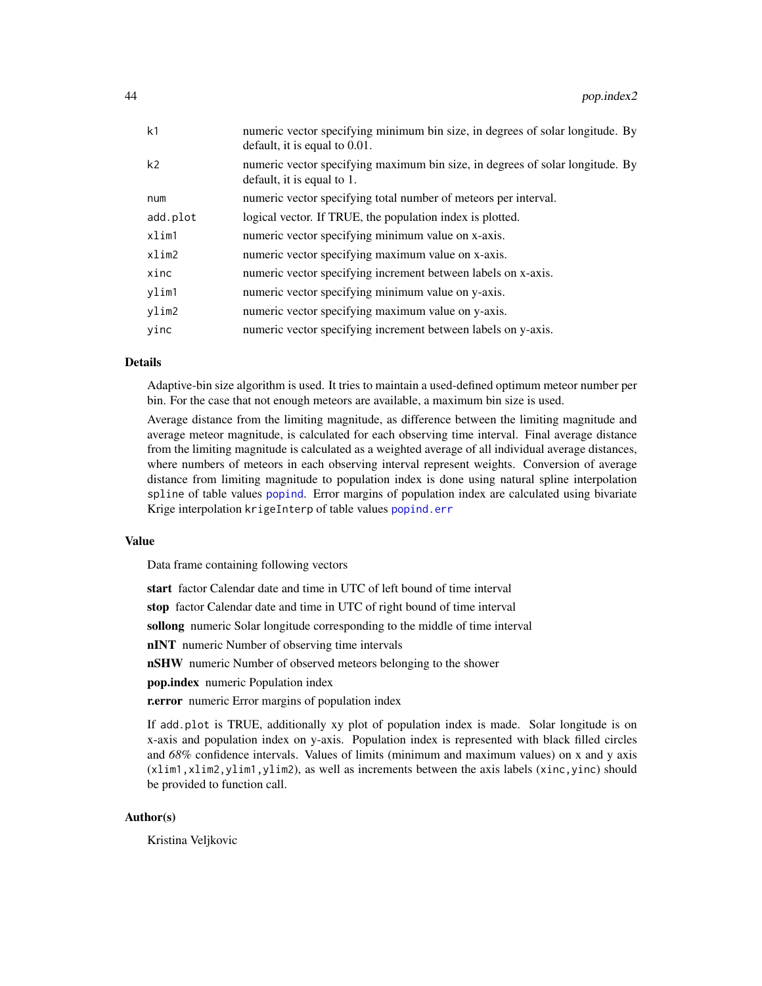| k <sub>1</sub> | numeric vector specifying minimum bin size, in degrees of solar longitude. By<br>default, it is equal to 0.01. |
|----------------|----------------------------------------------------------------------------------------------------------------|
| k <sub>2</sub> | numeric vector specifying maximum bin size, in degrees of solar longitude. By<br>default, it is equal to 1.    |
| num            | numeric vector specifying total number of meteors per interval.                                                |
| add.plot       | logical vector. If TRUE, the population index is plotted.                                                      |
| xlim1          | numeric vector specifying minimum value on x-axis.                                                             |
| xlim2          | numeric vector specifying maximum value on x-axis.                                                             |
| xinc           | numeric vector specifying increment between labels on x-axis.                                                  |
| ylim1          | numeric vector specifying minimum value on y-axis.                                                             |
| ylim2          | numeric vector specifying maximum value on y-axis.                                                             |
| vinc           | numeric vector specifying increment between labels on y-axis.                                                  |

# Details

Adaptive-bin size algorithm is used. It tries to maintain a used-defined optimum meteor number per bin. For the case that not enough meteors are available, a maximum bin size is used.

Average distance from the limiting magnitude, as difference between the limiting magnitude and average meteor magnitude, is calculated for each observing time interval. Final average distance from the limiting magnitude is calculated as a weighted average of all individual average distances, where numbers of meteors in each observing interval represent weights. Conversion of average distance from limiting magnitude to population index is done using natural spline interpolation spline of table values [popind](#page-44-0). Error margins of population index are calculated using bivariate Krige interpolation krigeInterp of table values [popind.err](#page-45-0)

#### Value

Data frame containing following vectors

start factor Calendar date and time in UTC of left bound of time interval

stop factor Calendar date and time in UTC of right bound of time interval

sollong numeric Solar longitude corresponding to the middle of time interval

nINT numeric Number of observing time intervals

nSHW numeric Number of observed meteors belonging to the shower

pop.index numeric Population index

r.error numeric Error margins of population index

If add.plot is TRUE, additionally xy plot of population index is made. Solar longitude is on x-axis and population index on y-axis. Population index is represented with black filled circles and *68%* confidence intervals. Values of limits (minimum and maximum values) on x and y axis (xlim1,xlim2,ylim1,ylim2), as well as increments between the axis labels (xinc,yinc) should be provided to function call.

# Author(s)

Kristina Veljkovic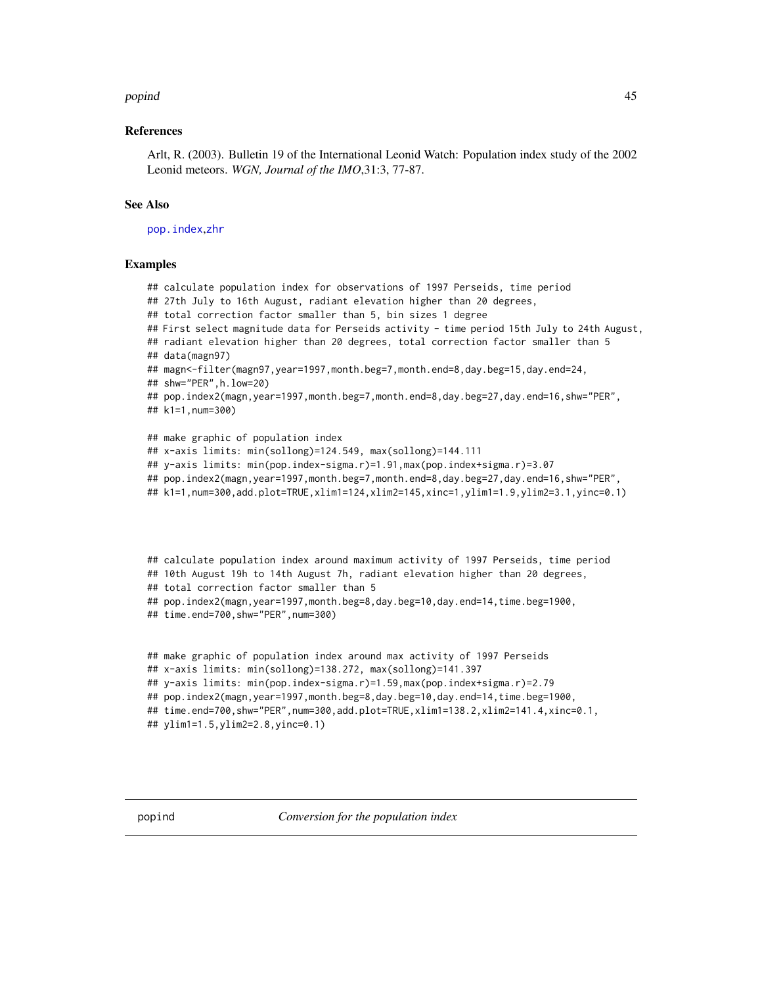#### popind that the contract of the contract of the contract of the contract of the contract of the contract of the contract of the contract of the contract of the contract of the contract of the contract of the contract of th

## References

Arlt, R. (2003). Bulletin 19 of the International Leonid Watch: Population index study of the 2002 Leonid meteors. *WGN, Journal of the IMO*,31:3, 77-87.

# See Also

[pop.index](#page-39-0),[zhr](#page-75-0)

#### Examples

## calculate population index for observations of 1997 Perseids, time period ## 27th July to 16th August, radiant elevation higher than 20 degrees, ## total correction factor smaller than 5, bin sizes 1 degree ## First select magnitude data for Perseids activity - time period 15th July to 24th August, ## radiant elevation higher than 20 degrees, total correction factor smaller than 5 ## data(magn97) ## magn<-filter(magn97,year=1997,month.beg=7,month.end=8,day.beg=15,day.end=24, ## shw="PER",h.low=20) ## pop.index2(magn,year=1997,month.beg=7,month.end=8,day.beg=27,day.end=16,shw="PER", ## k1=1,num=300) ## make graphic of population index ## x-axis limits: min(sollong)=124.549, max(sollong)=144.111 ## y-axis limits: min(pop.index-sigma.r)=1.91,max(pop.index+sigma.r)=3.07 ## pop.index2(magn,year=1997,month.beg=7,month.end=8,day.beg=27,day.end=16,shw="PER", ## k1=1,num=300,add.plot=TRUE,xlim1=124,xlim2=145,xinc=1,ylim1=1.9,ylim2=3.1,yinc=0.1)

```
## calculate population index around maximum activity of 1997 Perseids, time period
## 10th August 19h to 14th August 7h, radiant elevation higher than 20 degrees,
## total correction factor smaller than 5
## pop.index2(magn,year=1997,month.beg=8,day.beg=10,day.end=14,time.beg=1900,
## time.end=700,shw="PER",num=300)
```

```
## make graphic of population index around max activity of 1997 Perseids
## x-axis limits: min(sollong)=138.272, max(sollong)=141.397
## y-axis limits: min(pop.index-sigma.r)=1.59,max(pop.index+sigma.r)=2.79
## pop.index2(magn,year=1997,month.beg=8,day.beg=10,day.end=14,time.beg=1900,
## time.end=700,shw="PER",num=300,add.plot=TRUE,xlim1=138.2,xlim2=141.4,xinc=0.1,
## ylim1=1.5,ylim2=2.8,yinc=0.1)
```
<span id="page-44-0"></span>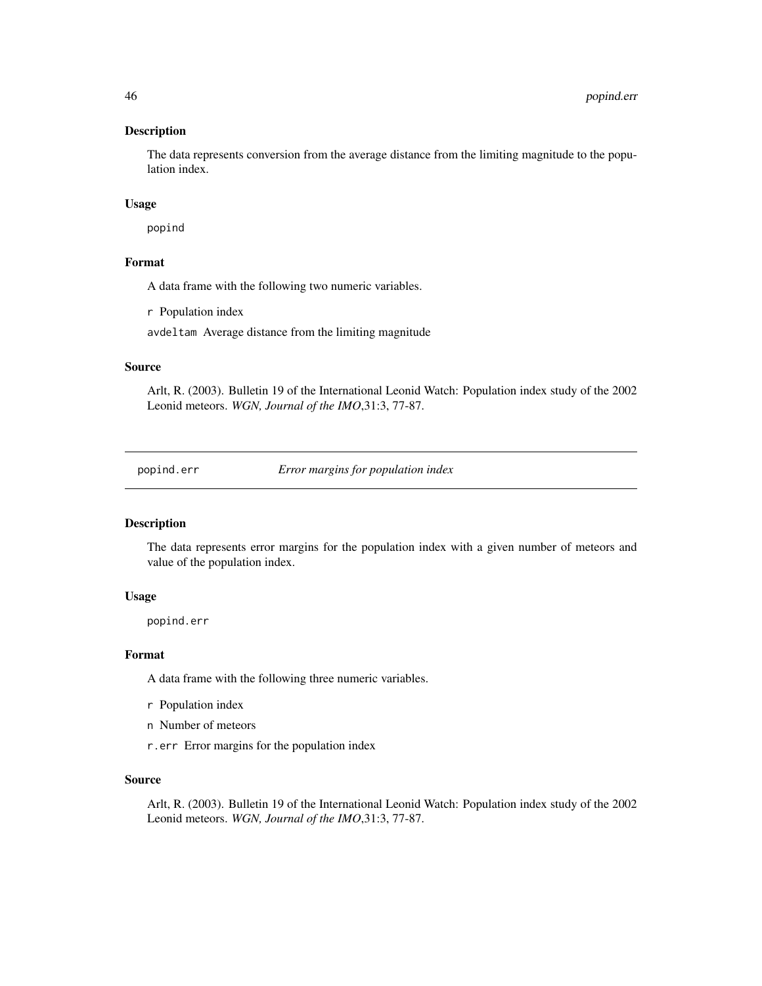The data represents conversion from the average distance from the limiting magnitude to the population index.

# Usage

popind

# Format

A data frame with the following two numeric variables.

r Population index

avdeltam Average distance from the limiting magnitude

## Source

Arlt, R. (2003). Bulletin 19 of the International Leonid Watch: Population index study of the 2002 Leonid meteors. *WGN, Journal of the IMO*,31:3, 77-87.

<span id="page-45-0"></span>popind.err *Error margins for population index*

# Description

The data represents error margins for the population index with a given number of meteors and value of the population index.

# Usage

popind.err

# Format

A data frame with the following three numeric variables.

- r Population index
- n Number of meteors
- r.err Error margins for the population index

# Source

Arlt, R. (2003). Bulletin 19 of the International Leonid Watch: Population index study of the 2002 Leonid meteors. *WGN, Journal of the IMO*,31:3, 77-87.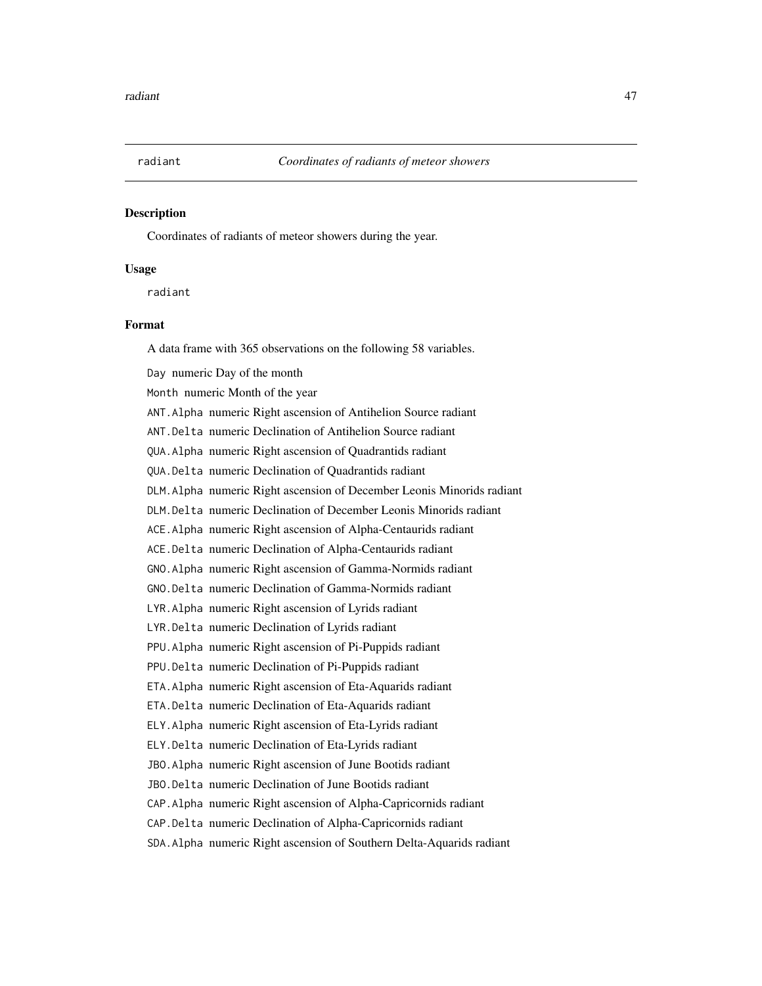Coordinates of radiants of meteor showers during the year.

# Usage

radiant

# Format

A data frame with 365 observations on the following 58 variables.

Day numeric Day of the month Month numeric Month of the year ANT.Alpha numeric Right ascension of Antihelion Source radiant ANT.Delta numeric Declination of Antihelion Source radiant QUA.Alpha numeric Right ascension of Quadrantids radiant QUA.Delta numeric Declination of Quadrantids radiant DLM.Alpha numeric Right ascension of December Leonis Minorids radiant DLM.Delta numeric Declination of December Leonis Minorids radiant ACE.Alpha numeric Right ascension of Alpha-Centaurids radiant ACE.Delta numeric Declination of Alpha-Centaurids radiant GNO.Alpha numeric Right ascension of Gamma-Normids radiant GNO.Delta numeric Declination of Gamma-Normids radiant LYR.Alpha numeric Right ascension of Lyrids radiant LYR.Delta numeric Declination of Lyrids radiant PPU.Alpha numeric Right ascension of Pi-Puppids radiant PPU.Delta numeric Declination of Pi-Puppids radiant ETA.Alpha numeric Right ascension of Eta-Aquarids radiant ETA.Delta numeric Declination of Eta-Aquarids radiant ELY.Alpha numeric Right ascension of Eta-Lyrids radiant ELY.Delta numeric Declination of Eta-Lyrids radiant JBO.Alpha numeric Right ascension of June Bootids radiant JBO.Delta numeric Declination of June Bootids radiant CAP.Alpha numeric Right ascension of Alpha-Capricornids radiant CAP.Delta numeric Declination of Alpha-Capricornids radiant SDA.Alpha numeric Right ascension of Southern Delta-Aquarids radiant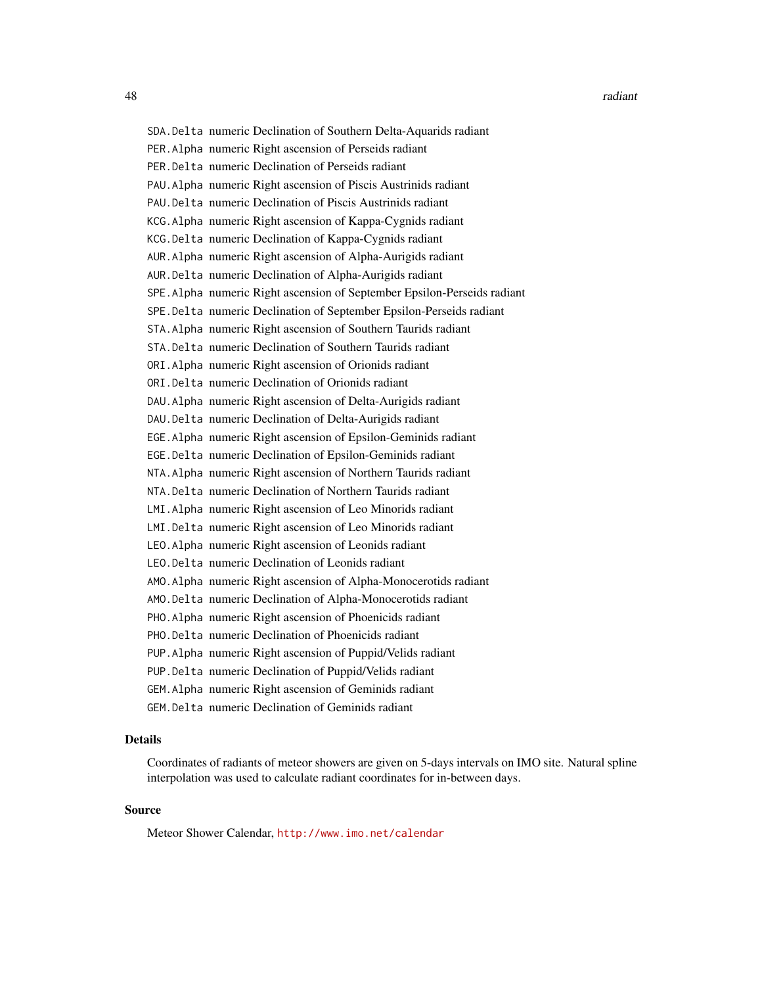SDA.Delta numeric Declination of Southern Delta-Aquarids radiant PER.Alpha numeric Right ascension of Perseids radiant PER.Delta numeric Declination of Perseids radiant PAU.Alpha numeric Right ascension of Piscis Austrinids radiant PAU.Delta numeric Declination of Piscis Austrinids radiant KCG.Alpha numeric Right ascension of Kappa-Cygnids radiant KCG.Delta numeric Declination of Kappa-Cygnids radiant AUR.Alpha numeric Right ascension of Alpha-Aurigids radiant AUR.Delta numeric Declination of Alpha-Aurigids radiant SPE.Alpha numeric Right ascension of September Epsilon-Perseids radiant SPE.Delta numeric Declination of September Epsilon-Perseids radiant STA.Alpha numeric Right ascension of Southern Taurids radiant STA.Delta numeric Declination of Southern Taurids radiant ORI.Alpha numeric Right ascension of Orionids radiant ORI.Delta numeric Declination of Orionids radiant DAU.Alpha numeric Right ascension of Delta-Aurigids radiant DAU.Delta numeric Declination of Delta-Aurigids radiant EGE.Alpha numeric Right ascension of Epsilon-Geminids radiant EGE.Delta numeric Declination of Epsilon-Geminids radiant NTA.Alpha numeric Right ascension of Northern Taurids radiant NTA.Delta numeric Declination of Northern Taurids radiant LMI.Alpha numeric Right ascension of Leo Minorids radiant LMI.Delta numeric Right ascension of Leo Minorids radiant LEO.Alpha numeric Right ascension of Leonids radiant LEO.Delta numeric Declination of Leonids radiant AMO.Alpha numeric Right ascension of Alpha-Monocerotids radiant AMO.Delta numeric Declination of Alpha-Monocerotids radiant PHO.Alpha numeric Right ascension of Phoenicids radiant PHO.Delta numeric Declination of Phoenicids radiant PUP.Alpha numeric Right ascension of Puppid/Velids radiant PUP.Delta numeric Declination of Puppid/Velids radiant GEM.Alpha numeric Right ascension of Geminids radiant GEM.Delta numeric Declination of Geminids radiant

# Details

Coordinates of radiants of meteor showers are given on 5-days intervals on IMO site. Natural spline interpolation was used to calculate radiant coordinates for in-between days.

# Source

Meteor Shower Calendar, <http://www.imo.net/calendar>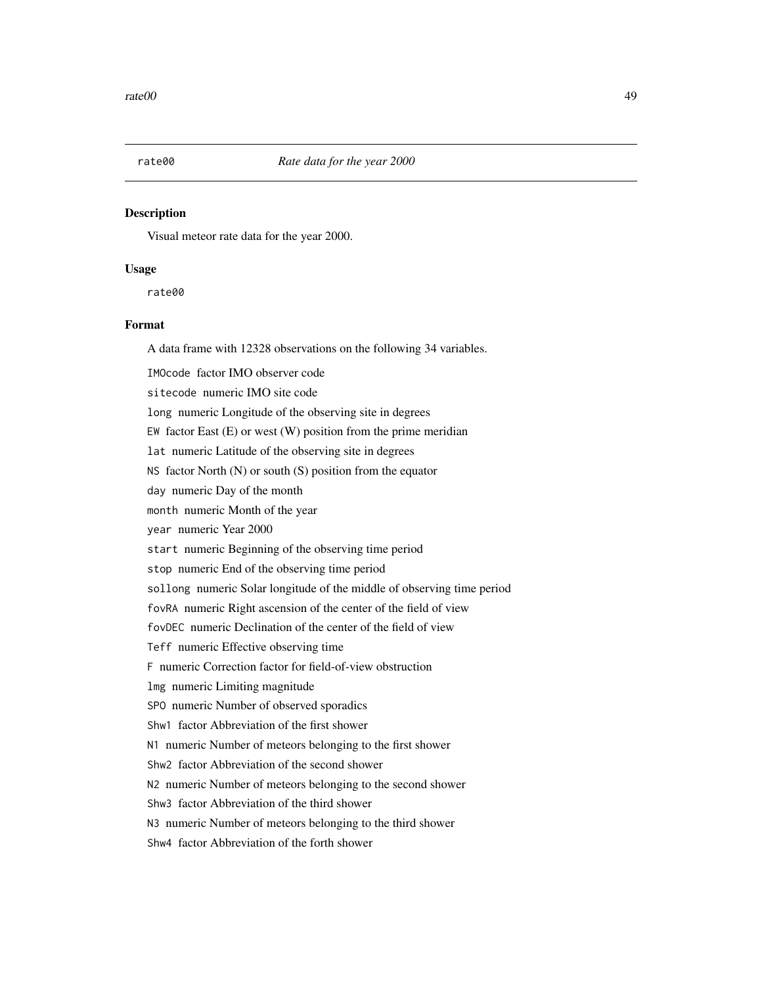Visual meteor rate data for the year 2000.

## Usage

rate00

# Format

A data frame with 12328 observations on the following 34 variables.

IMOcode factor IMO observer code

sitecode numeric IMO site code

long numeric Longitude of the observing site in degrees

EW factor East  $(E)$  or west  $(W)$  position from the prime meridian

lat numeric Latitude of the observing site in degrees

NS factor North (N) or south (S) position from the equator

day numeric Day of the month

month numeric Month of the year

year numeric Year 2000

start numeric Beginning of the observing time period

stop numeric End of the observing time period

sollong numeric Solar longitude of the middle of observing time period

fovRA numeric Right ascension of the center of the field of view

fovDEC numeric Declination of the center of the field of view

Teff numeric Effective observing time

F numeric Correction factor for field-of-view obstruction

lmg numeric Limiting magnitude

SPO numeric Number of observed sporadics

Shw1 factor Abbreviation of the first shower

N1 numeric Number of meteors belonging to the first shower

Shw2 factor Abbreviation of the second shower

N2 numeric Number of meteors belonging to the second shower

Shw3 factor Abbreviation of the third shower

N3 numeric Number of meteors belonging to the third shower

Shw4 factor Abbreviation of the forth shower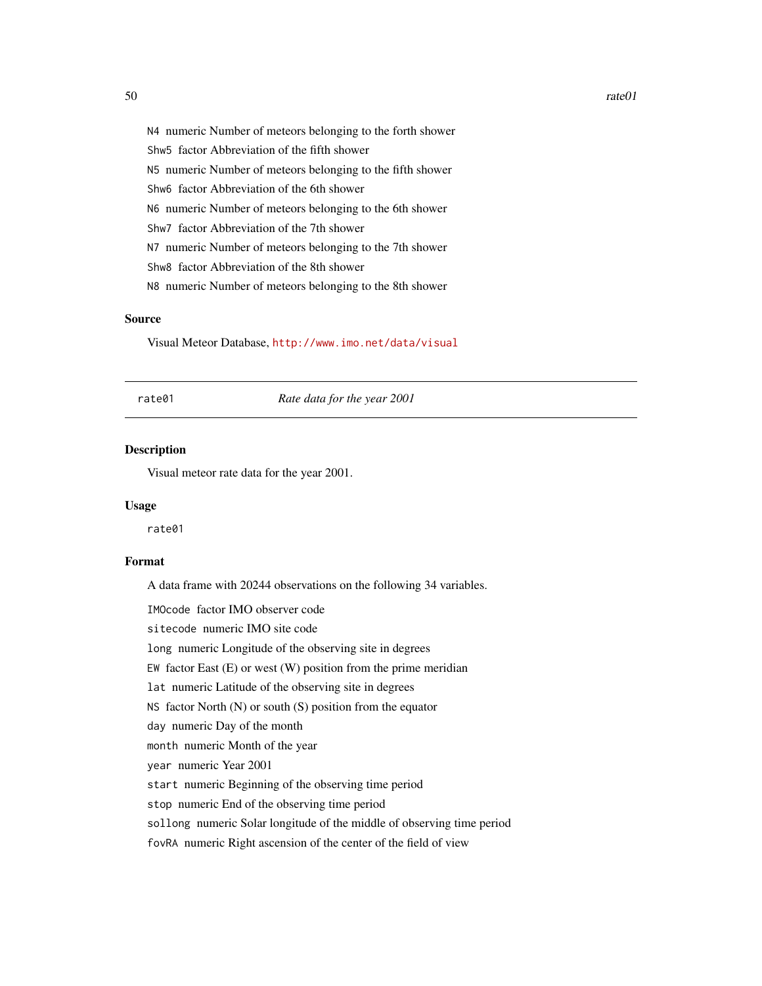N4 numeric Number of meteors belonging to the forth shower Shw5 factor Abbreviation of the fifth shower N5 numeric Number of meteors belonging to the fifth shower Shw6 factor Abbreviation of the 6th shower N6 numeric Number of meteors belonging to the 6th shower Shw7 factor Abbreviation of the 7th shower N7 numeric Number of meteors belonging to the 7th shower Shw8 factor Abbreviation of the 8th shower N8 numeric Number of meteors belonging to the 8th shower

# Source

Visual Meteor Database, <http://www.imo.net/data/visual>

rate01 *Rate data for the year 2001*

# Description

Visual meteor rate data for the year 2001.

#### Usage

rate01

# Format

A data frame with 20244 observations on the following 34 variables.

IMOcode factor IMO observer code

sitecode numeric IMO site code

long numeric Longitude of the observing site in degrees

EW factor East  $(E)$  or west  $(W)$  position from the prime meridian

lat numeric Latitude of the observing site in degrees

NS factor North  $(N)$  or south  $(S)$  position from the equator

day numeric Day of the month

month numeric Month of the year

year numeric Year 2001

start numeric Beginning of the observing time period

stop numeric End of the observing time period

sollong numeric Solar longitude of the middle of observing time period

fovRA numeric Right ascension of the center of the field of view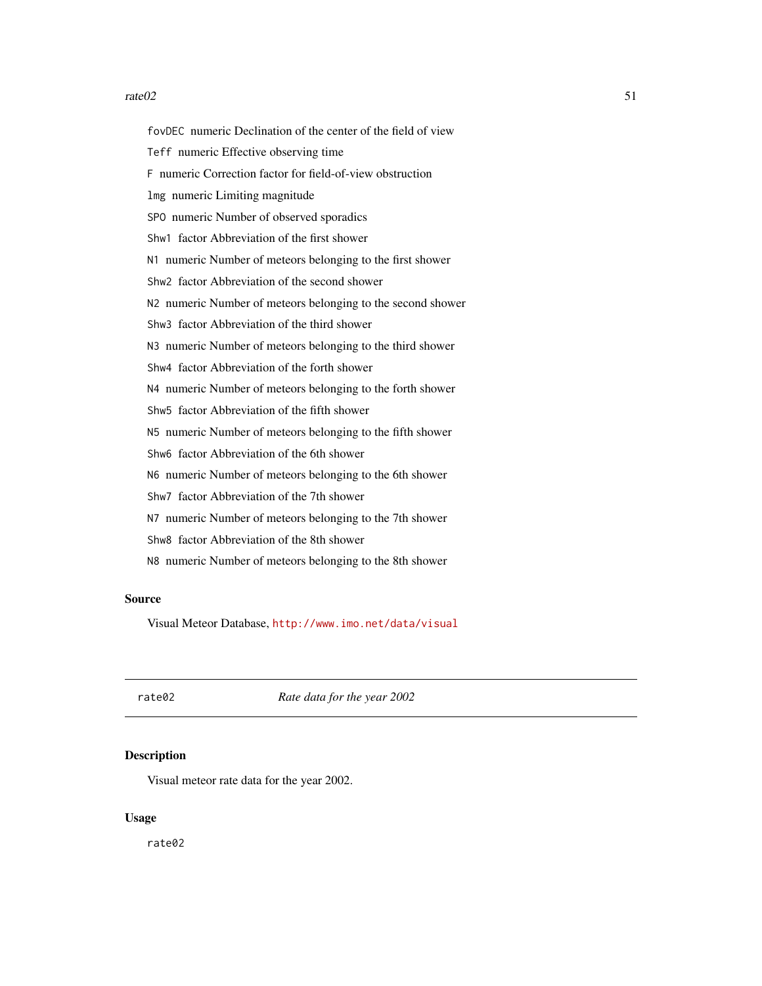#### $rate02$  51

fovDEC numeric Declination of the center of the field of view Teff numeric Effective observing time F numeric Correction factor for field-of-view obstruction lmg numeric Limiting magnitude SPO numeric Number of observed sporadics Shw1 factor Abbreviation of the first shower N1 numeric Number of meteors belonging to the first shower Shw2 factor Abbreviation of the second shower N2 numeric Number of meteors belonging to the second shower Shw3 factor Abbreviation of the third shower N3 numeric Number of meteors belonging to the third shower Shw4 factor Abbreviation of the forth shower N4 numeric Number of meteors belonging to the forth shower Shw5 factor Abbreviation of the fifth shower N5 numeric Number of meteors belonging to the fifth shower Shw6 factor Abbreviation of the 6th shower N6 numeric Number of meteors belonging to the 6th shower Shw7 factor Abbreviation of the 7th shower N7 numeric Number of meteors belonging to the 7th shower Shw8 factor Abbreviation of the 8th shower N8 numeric Number of meteors belonging to the 8th shower

## Source

Visual Meteor Database, <http://www.imo.net/data/visual>

rate02 *Rate data for the year 2002*

#### **Description**

Visual meteor rate data for the year 2002.

# Usage

rate02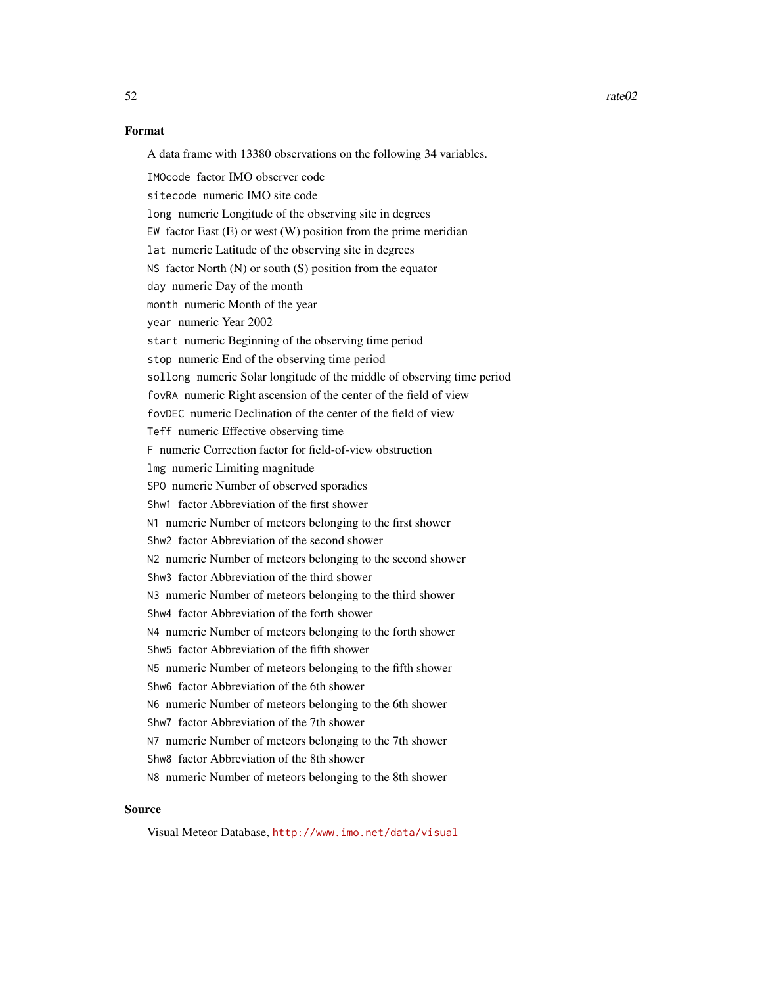# Format

A data frame with 13380 observations on the following 34 variables.

IMOcode factor IMO observer code sitecode numeric IMO site code long numeric Longitude of the observing site in degrees EW factor East (E) or west (W) position from the prime meridian lat numeric Latitude of the observing site in degrees NS factor North (N) or south (S) position from the equator day numeric Day of the month month numeric Month of the year year numeric Year 2002 start numeric Beginning of the observing time period stop numeric End of the observing time period sollong numeric Solar longitude of the middle of observing time period fovRA numeric Right ascension of the center of the field of view fovDEC numeric Declination of the center of the field of view Teff numeric Effective observing time F numeric Correction factor for field-of-view obstruction lmg numeric Limiting magnitude SPO numeric Number of observed sporadics Shw1 factor Abbreviation of the first shower N1 numeric Number of meteors belonging to the first shower Shw2 factor Abbreviation of the second shower N2 numeric Number of meteors belonging to the second shower Shw3 factor Abbreviation of the third shower N3 numeric Number of meteors belonging to the third shower Shw4 factor Abbreviation of the forth shower N4 numeric Number of meteors belonging to the forth shower Shw5 factor Abbreviation of the fifth shower N5 numeric Number of meteors belonging to the fifth shower Shw6 factor Abbreviation of the 6th shower N6 numeric Number of meteors belonging to the 6th shower Shw7 factor Abbreviation of the 7th shower N7 numeric Number of meteors belonging to the 7th shower Shw8 factor Abbreviation of the 8th shower N8 numeric Number of meteors belonging to the 8th shower

# Source

Visual Meteor Database, <http://www.imo.net/data/visual>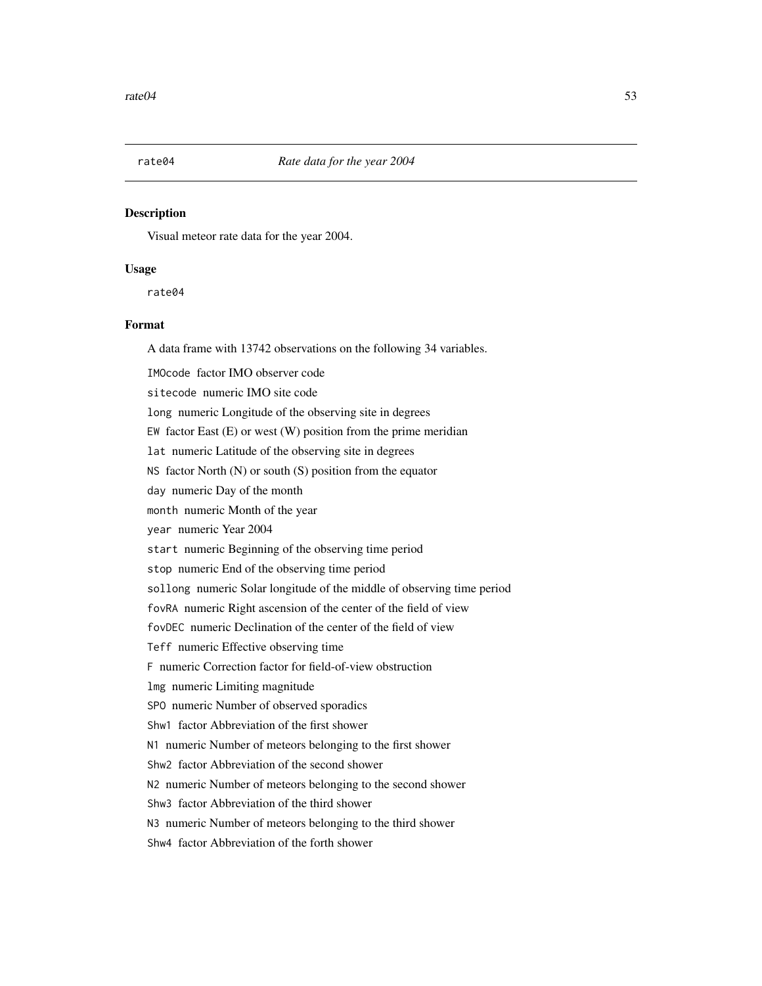Visual meteor rate data for the year 2004.

## Usage

rate04

# Format

A data frame with 13742 observations on the following 34 variables.

IMOcode factor IMO observer code

sitecode numeric IMO site code

long numeric Longitude of the observing site in degrees

EW factor East  $(E)$  or west  $(W)$  position from the prime meridian

lat numeric Latitude of the observing site in degrees

NS factor North (N) or south (S) position from the equator

day numeric Day of the month

month numeric Month of the year

year numeric Year 2004

start numeric Beginning of the observing time period

stop numeric End of the observing time period

sollong numeric Solar longitude of the middle of observing time period

fovRA numeric Right ascension of the center of the field of view

fovDEC numeric Declination of the center of the field of view

Teff numeric Effective observing time

F numeric Correction factor for field-of-view obstruction

lmg numeric Limiting magnitude

SPO numeric Number of observed sporadics

Shw1 factor Abbreviation of the first shower

N1 numeric Number of meteors belonging to the first shower

Shw2 factor Abbreviation of the second shower

N2 numeric Number of meteors belonging to the second shower

Shw3 factor Abbreviation of the third shower

N3 numeric Number of meteors belonging to the third shower

Shw4 factor Abbreviation of the forth shower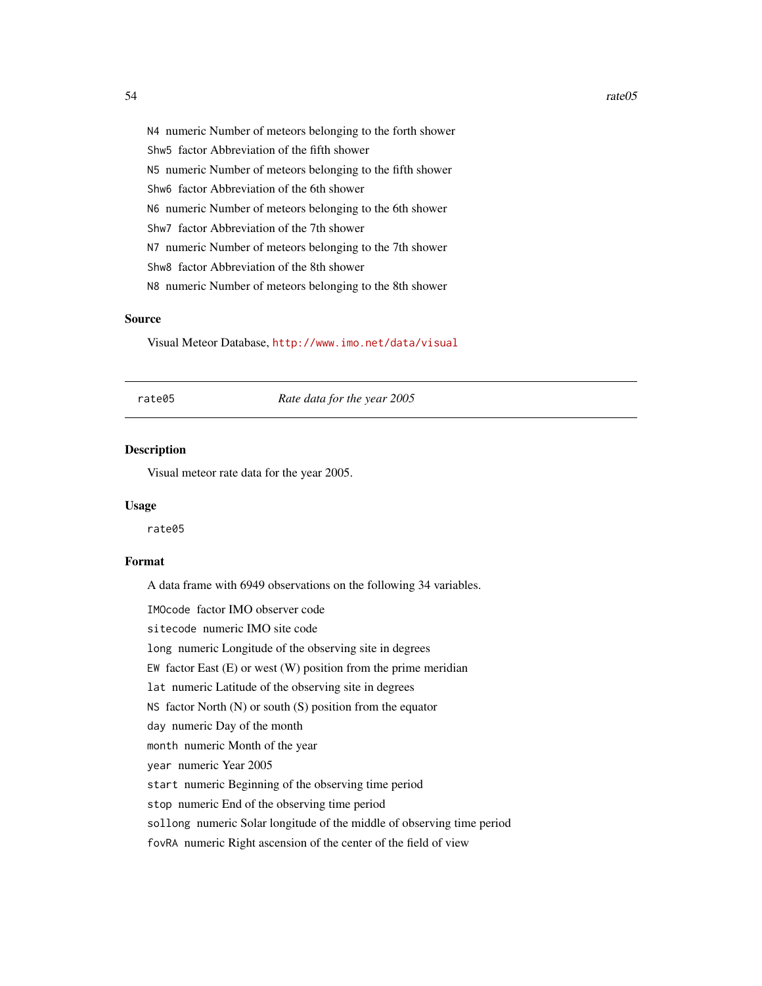N4 numeric Number of meteors belonging to the forth shower Shw5 factor Abbreviation of the fifth shower N5 numeric Number of meteors belonging to the fifth shower Shw6 factor Abbreviation of the 6th shower N6 numeric Number of meteors belonging to the 6th shower Shw7 factor Abbreviation of the 7th shower N7 numeric Number of meteors belonging to the 7th shower Shw8 factor Abbreviation of the 8th shower N8 numeric Number of meteors belonging to the 8th shower

## Source

Visual Meteor Database, <http://www.imo.net/data/visual>

rate05 *Rate data for the year 2005*

# Description

Visual meteor rate data for the year 2005.

#### Usage

rate05

# Format

A data frame with 6949 observations on the following 34 variables.

IMOcode factor IMO observer code

sitecode numeric IMO site code

long numeric Longitude of the observing site in degrees

EW factor East  $(E)$  or west  $(W)$  position from the prime meridian

lat numeric Latitude of the observing site in degrees

NS factor North  $(N)$  or south  $(S)$  position from the equator

day numeric Day of the month

month numeric Month of the year

year numeric Year 2005

start numeric Beginning of the observing time period

stop numeric End of the observing time period

sollong numeric Solar longitude of the middle of observing time period

fovRA numeric Right ascension of the center of the field of view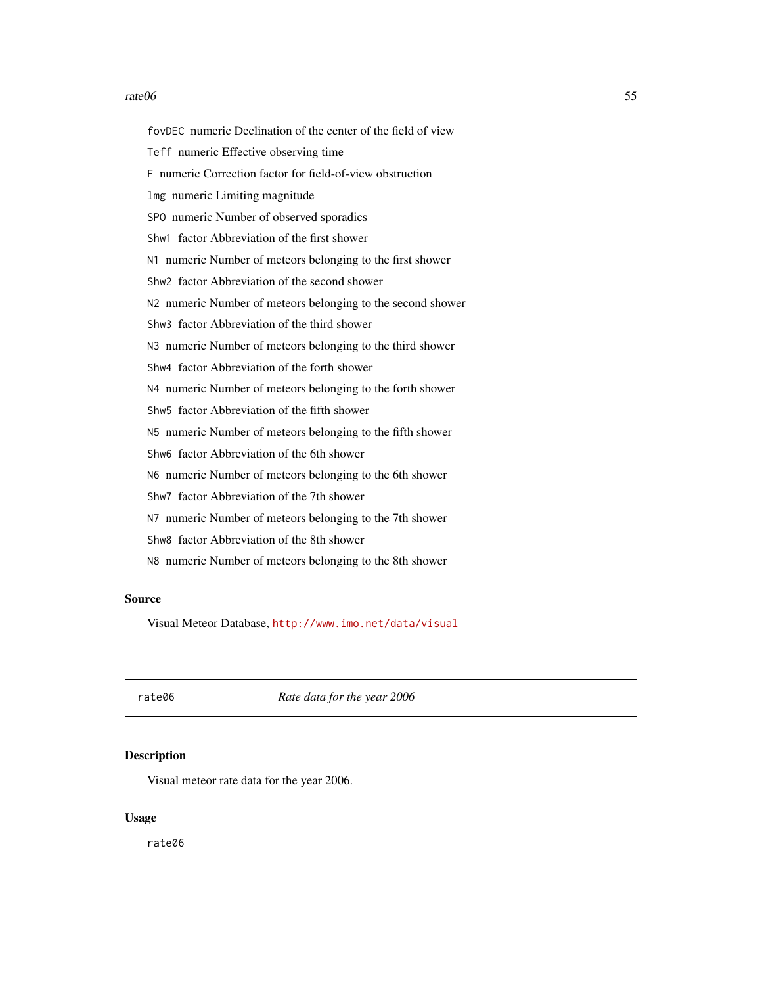#### $rate06$  55

fovDEC numeric Declination of the center of the field of view Teff numeric Effective observing time F numeric Correction factor for field-of-view obstruction lmg numeric Limiting magnitude SPO numeric Number of observed sporadics Shw1 factor Abbreviation of the first shower N1 numeric Number of meteors belonging to the first shower Shw2 factor Abbreviation of the second shower N2 numeric Number of meteors belonging to the second shower Shw3 factor Abbreviation of the third shower N3 numeric Number of meteors belonging to the third shower Shw4 factor Abbreviation of the forth shower N4 numeric Number of meteors belonging to the forth shower Shw5 factor Abbreviation of the fifth shower N5 numeric Number of meteors belonging to the fifth shower Shw6 factor Abbreviation of the 6th shower N6 numeric Number of meteors belonging to the 6th shower Shw7 factor Abbreviation of the 7th shower N7 numeric Number of meteors belonging to the 7th shower Shw8 factor Abbreviation of the 8th shower N8 numeric Number of meteors belonging to the 8th shower

## Source

Visual Meteor Database, <http://www.imo.net/data/visual>

rate06 *Rate data for the year 2006*

#### **Description**

Visual meteor rate data for the year 2006.

# Usage

rate06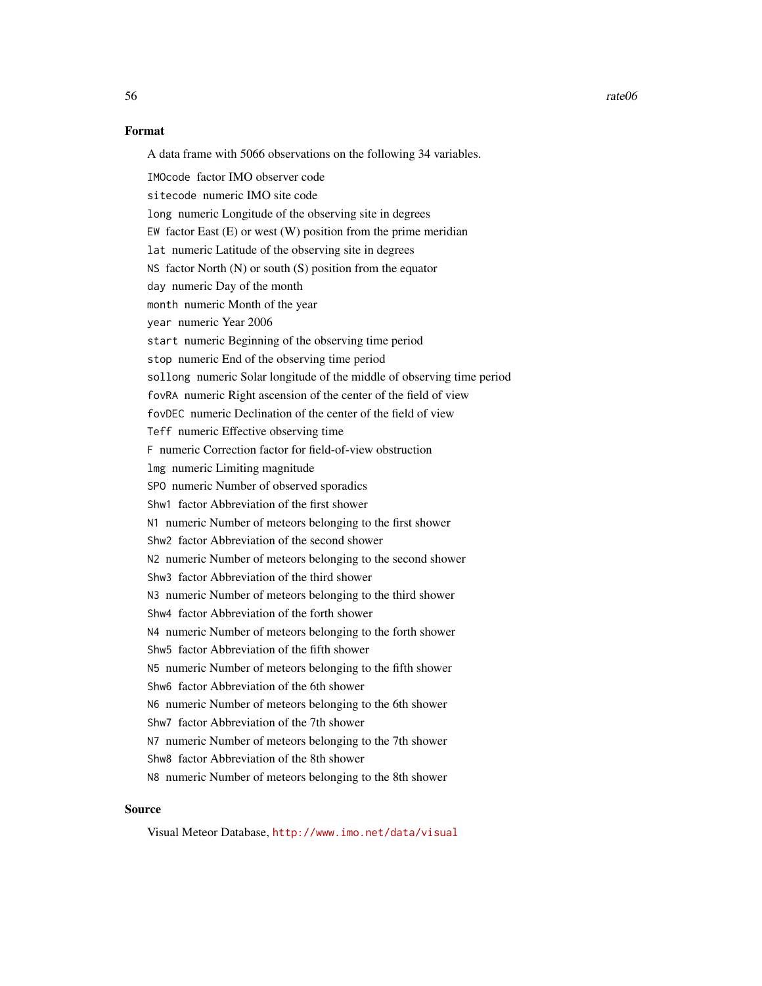$56$  rate $06$ 

# Format

A data frame with 5066 observations on the following 34 variables.

IMOcode factor IMO observer code sitecode numeric IMO site code long numeric Longitude of the observing site in degrees EW factor East (E) or west (W) position from the prime meridian lat numeric Latitude of the observing site in degrees NS factor North (N) or south (S) position from the equator day numeric Day of the month month numeric Month of the year year numeric Year 2006 start numeric Beginning of the observing time period stop numeric End of the observing time period sollong numeric Solar longitude of the middle of observing time period fovRA numeric Right ascension of the center of the field of view fovDEC numeric Declination of the center of the field of view Teff numeric Effective observing time F numeric Correction factor for field-of-view obstruction lmg numeric Limiting magnitude SPO numeric Number of observed sporadics Shw1 factor Abbreviation of the first shower N1 numeric Number of meteors belonging to the first shower Shw2 factor Abbreviation of the second shower N2 numeric Number of meteors belonging to the second shower Shw3 factor Abbreviation of the third shower N3 numeric Number of meteors belonging to the third shower Shw4 factor Abbreviation of the forth shower N4 numeric Number of meteors belonging to the forth shower Shw5 factor Abbreviation of the fifth shower N5 numeric Number of meteors belonging to the fifth shower Shw6 factor Abbreviation of the 6th shower N6 numeric Number of meteors belonging to the 6th shower Shw7 factor Abbreviation of the 7th shower N7 numeric Number of meteors belonging to the 7th shower Shw8 factor Abbreviation of the 8th shower N8 numeric Number of meteors belonging to the 8th shower

# Source

Visual Meteor Database, <http://www.imo.net/data/visual>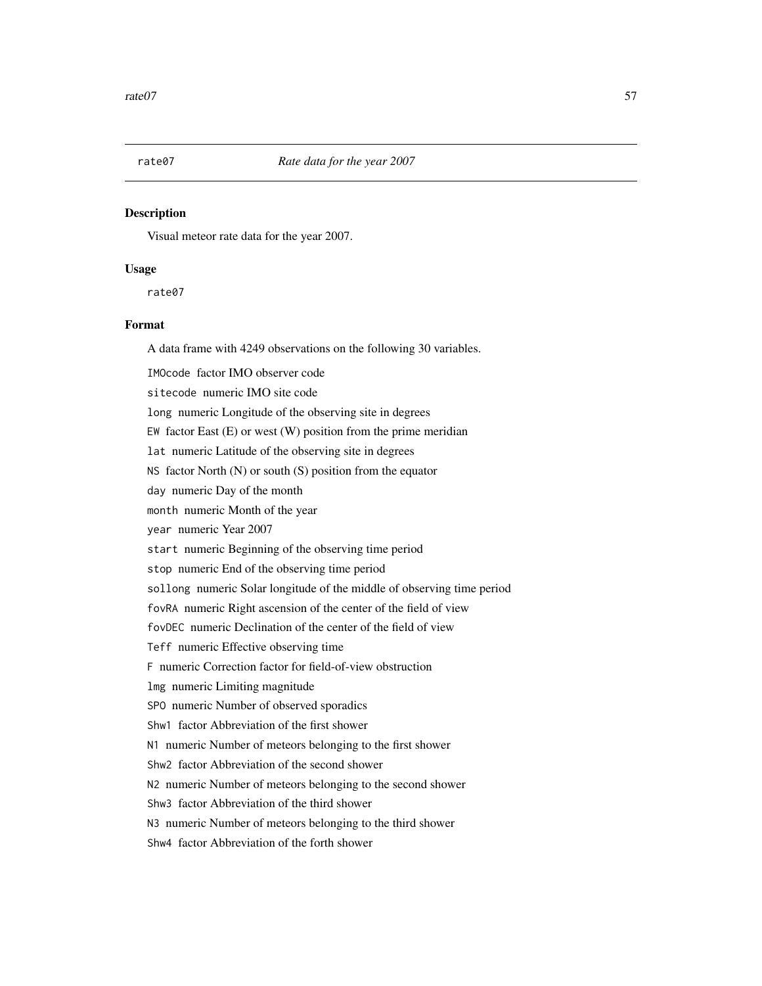Visual meteor rate data for the year 2007.

## Usage

rate07

# Format

A data frame with 4249 observations on the following 30 variables.

IMOcode factor IMO observer code

sitecode numeric IMO site code

long numeric Longitude of the observing site in degrees

EW factor East  $(E)$  or west  $(W)$  position from the prime meridian

lat numeric Latitude of the observing site in degrees

NS factor North (N) or south (S) position from the equator

day numeric Day of the month

month numeric Month of the year

year numeric Year 2007

start numeric Beginning of the observing time period

stop numeric End of the observing time period

sollong numeric Solar longitude of the middle of observing time period

fovRA numeric Right ascension of the center of the field of view

fovDEC numeric Declination of the center of the field of view

Teff numeric Effective observing time

F numeric Correction factor for field-of-view obstruction

lmg numeric Limiting magnitude

SPO numeric Number of observed sporadics

Shw1 factor Abbreviation of the first shower

N1 numeric Number of meteors belonging to the first shower

Shw2 factor Abbreviation of the second shower

N2 numeric Number of meteors belonging to the second shower

Shw3 factor Abbreviation of the third shower

N3 numeric Number of meteors belonging to the third shower

Shw4 factor Abbreviation of the forth shower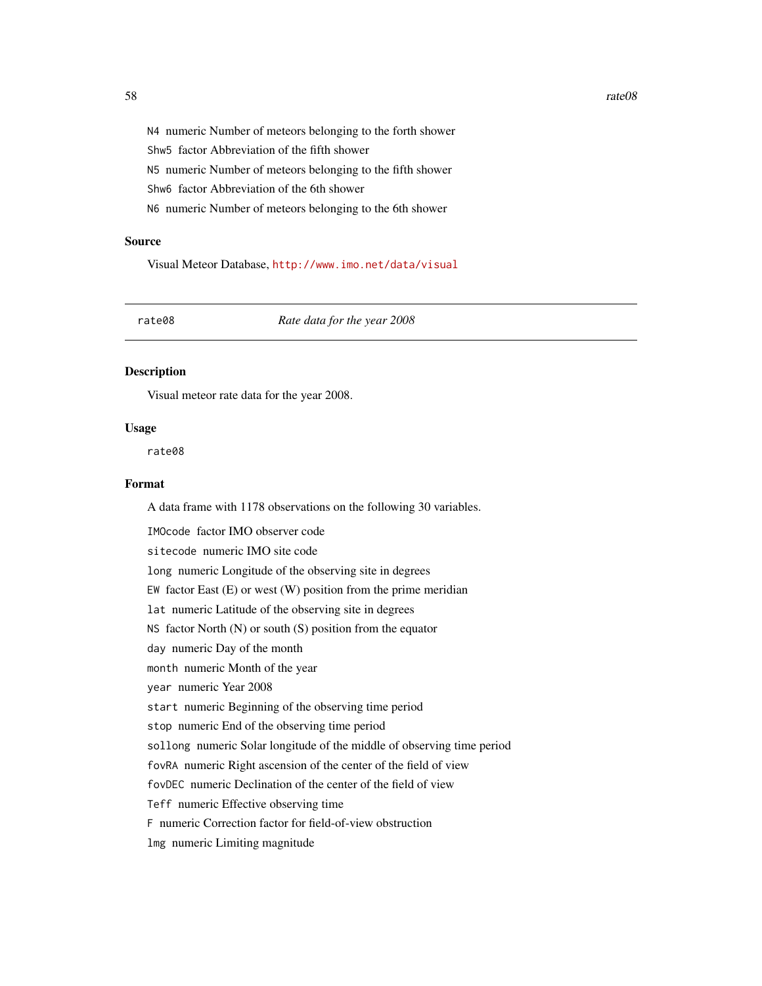N4 numeric Number of meteors belonging to the forth shower Shw5 factor Abbreviation of the fifth shower N5 numeric Number of meteors belonging to the fifth shower Shw6 factor Abbreviation of the 6th shower N6 numeric Number of meteors belonging to the 6th shower

#### Source

Visual Meteor Database, <http://www.imo.net/data/visual>

rate08 *Rate data for the year 2008*

## Description

Visual meteor rate data for the year 2008.

#### Usage

rate08

# Format

A data frame with 1178 observations on the following 30 variables.

IMOcode factor IMO observer code sitecode numeric IMO site code long numeric Longitude of the observing site in degrees EW factor East  $(E)$  or west  $(W)$  position from the prime meridian lat numeric Latitude of the observing site in degrees NS factor North (N) or south (S) position from the equator day numeric Day of the month month numeric Month of the year year numeric Year 2008 start numeric Beginning of the observing time period stop numeric End of the observing time period sollong numeric Solar longitude of the middle of observing time period fovRA numeric Right ascension of the center of the field of view fovDEC numeric Declination of the center of the field of view Teff numeric Effective observing time F numeric Correction factor for field-of-view obstruction lmg numeric Limiting magnitude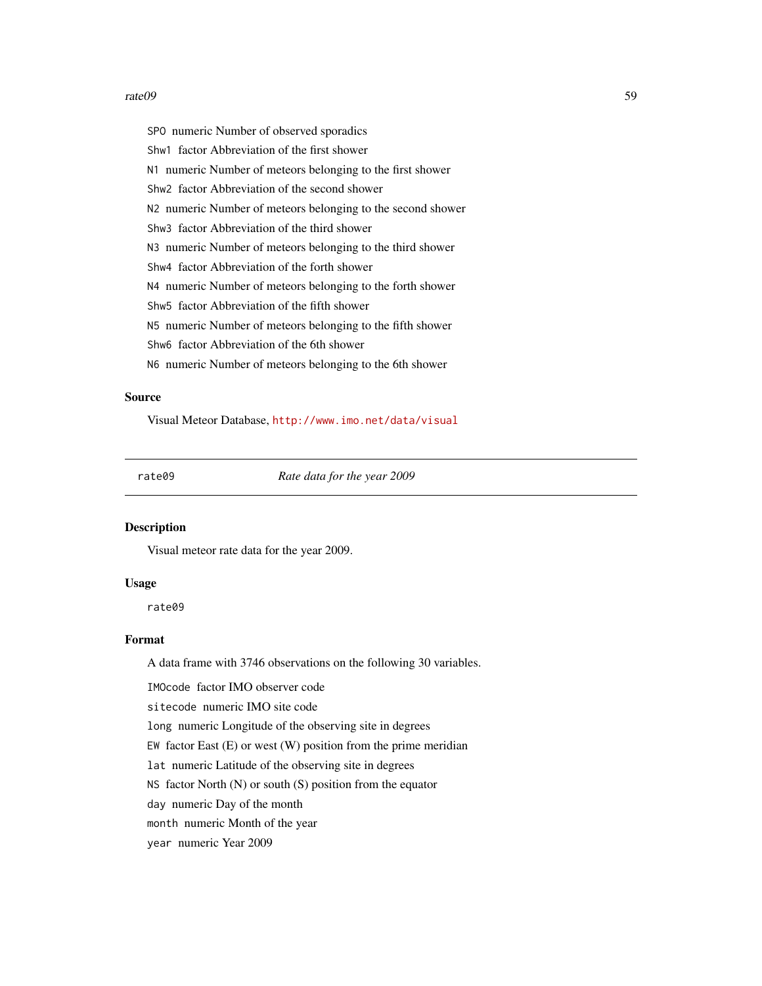#### rate09 59

SPO numeric Number of observed sporadics Shw1 factor Abbreviation of the first shower N1 numeric Number of meteors belonging to the first shower Shw2 factor Abbreviation of the second shower N2 numeric Number of meteors belonging to the second shower Shw3 factor Abbreviation of the third shower N3 numeric Number of meteors belonging to the third shower Shw4 factor Abbreviation of the forth shower N4 numeric Number of meteors belonging to the forth shower Shw5 factor Abbreviation of the fifth shower N5 numeric Number of meteors belonging to the fifth shower Shw6 factor Abbreviation of the 6th shower N6 numeric Number of meteors belonging to the 6th shower

# Source

Visual Meteor Database, <http://www.imo.net/data/visual>

rate09 *Rate data for the year 2009*

# Description

Visual meteor rate data for the year 2009.

## Usage

rate09

# Format

A data frame with 3746 observations on the following 30 variables.

IMOcode factor IMO observer code

sitecode numeric IMO site code

long numeric Longitude of the observing site in degrees

EW factor East  $(E)$  or west  $(W)$  position from the prime meridian

lat numeric Latitude of the observing site in degrees

NS factor North  $(N)$  or south  $(S)$  position from the equator

day numeric Day of the month

month numeric Month of the year

year numeric Year 2009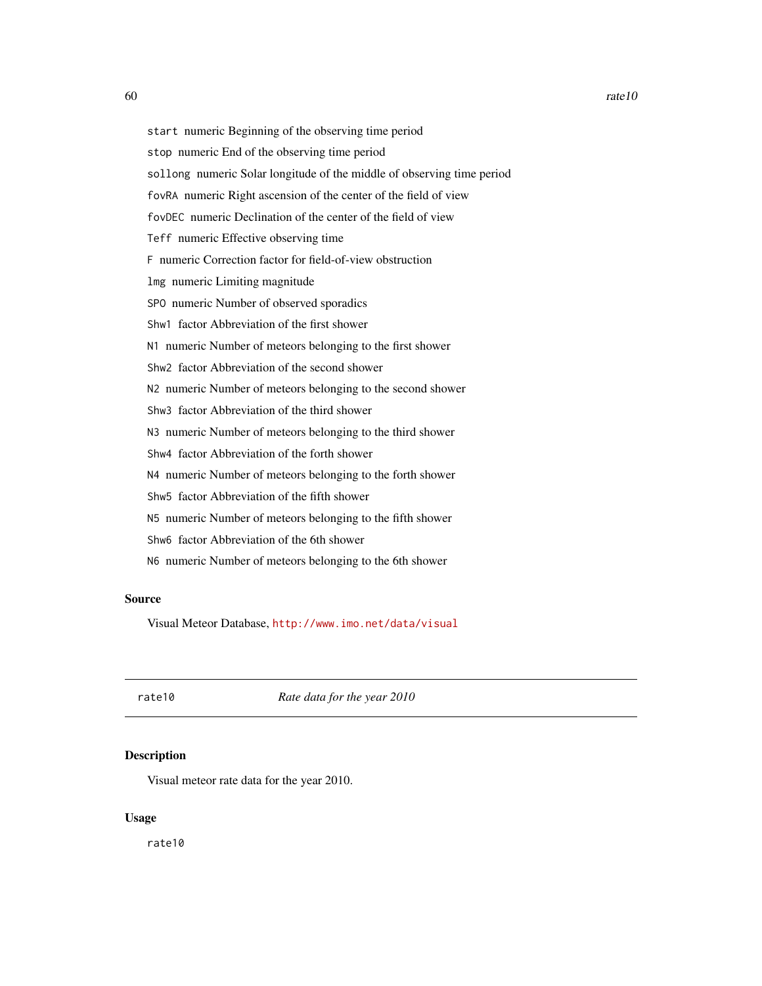start numeric Beginning of the observing time period stop numeric End of the observing time period sollong numeric Solar longitude of the middle of observing time period fovRA numeric Right ascension of the center of the field of view fovDEC numeric Declination of the center of the field of view Teff numeric Effective observing time F numeric Correction factor for field-of-view obstruction lmg numeric Limiting magnitude SPO numeric Number of observed sporadics Shw1 factor Abbreviation of the first shower N1 numeric Number of meteors belonging to the first shower Shw2 factor Abbreviation of the second shower N2 numeric Number of meteors belonging to the second shower Shw3 factor Abbreviation of the third shower N3 numeric Number of meteors belonging to the third shower Shw4 factor Abbreviation of the forth shower N4 numeric Number of meteors belonging to the forth shower Shw5 factor Abbreviation of the fifth shower N5 numeric Number of meteors belonging to the fifth shower Shw6 factor Abbreviation of the 6th shower N6 numeric Number of meteors belonging to the 6th shower

## Source

Visual Meteor Database, <http://www.imo.net/data/visual>

rate10 *Rate data for the year 2010*

# **Description**

Visual meteor rate data for the year 2010.

# Usage

rate10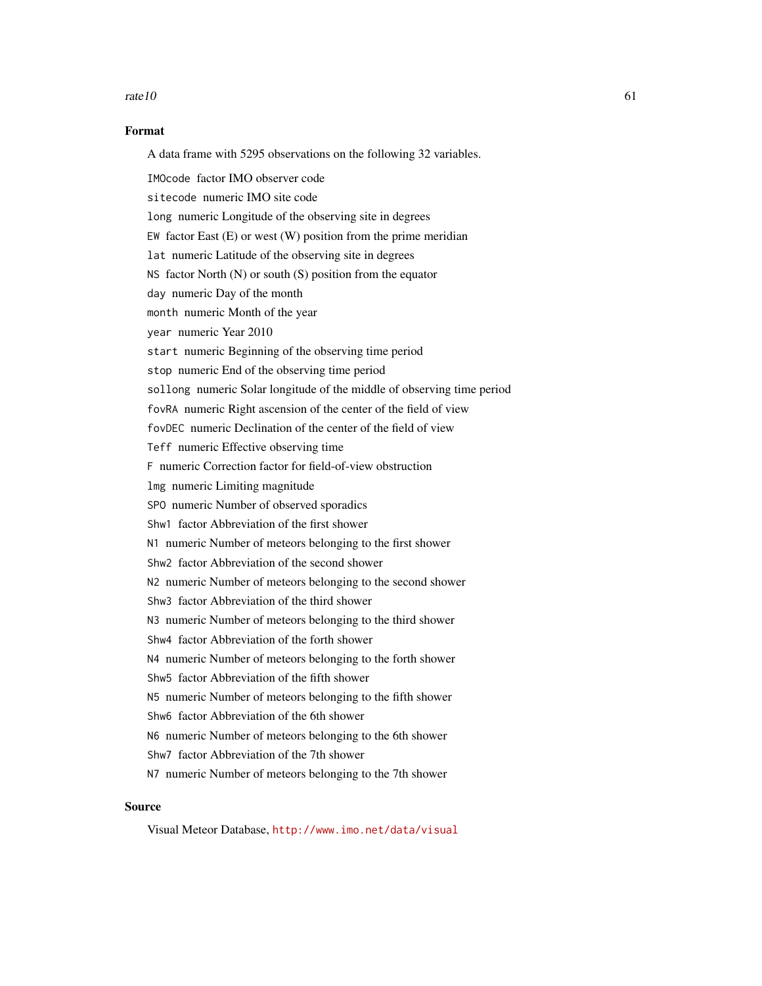#### $rate10$  61

## Format

A data frame with 5295 observations on the following 32 variables.

IMOcode factor IMO observer code sitecode numeric IMO site code long numeric Longitude of the observing site in degrees EW factor East  $(E)$  or west  $(W)$  position from the prime meridian lat numeric Latitude of the observing site in degrees NS factor North (N) or south (S) position from the equator day numeric Day of the month month numeric Month of the year year numeric Year 2010 start numeric Beginning of the observing time period stop numeric End of the observing time period sollong numeric Solar longitude of the middle of observing time period fovRA numeric Right ascension of the center of the field of view fovDEC numeric Declination of the center of the field of view Teff numeric Effective observing time F numeric Correction factor for field-of-view obstruction lmg numeric Limiting magnitude SPO numeric Number of observed sporadics Shw1 factor Abbreviation of the first shower N1 numeric Number of meteors belonging to the first shower Shw2 factor Abbreviation of the second shower N2 numeric Number of meteors belonging to the second shower Shw3 factor Abbreviation of the third shower N3 numeric Number of meteors belonging to the third shower Shw4 factor Abbreviation of the forth shower N4 numeric Number of meteors belonging to the forth shower Shw5 factor Abbreviation of the fifth shower N5 numeric Number of meteors belonging to the fifth shower Shw6 factor Abbreviation of the 6th shower N6 numeric Number of meteors belonging to the 6th shower Shw7 factor Abbreviation of the 7th shower N7 numeric Number of meteors belonging to the 7th shower

# Source

Visual Meteor Database, <http://www.imo.net/data/visual>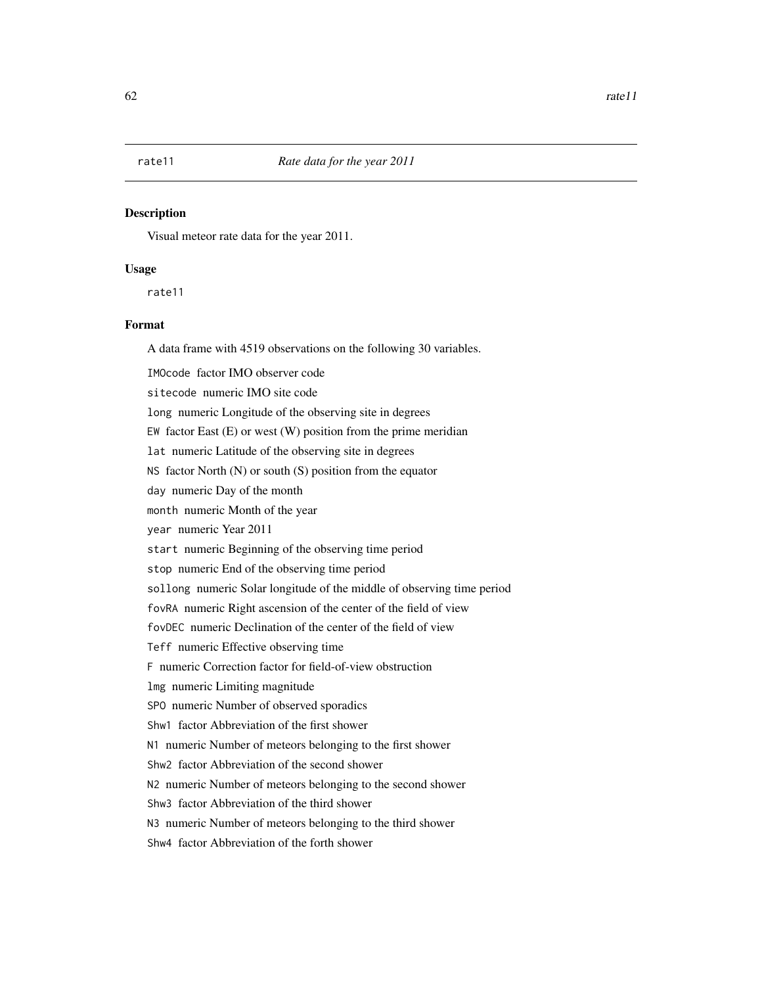Visual meteor rate data for the year 2011.

## Usage

rate11

# Format

A data frame with 4519 observations on the following 30 variables.

IMOcode factor IMO observer code

sitecode numeric IMO site code

long numeric Longitude of the observing site in degrees

EW factor East  $(E)$  or west  $(W)$  position from the prime meridian

lat numeric Latitude of the observing site in degrees

NS factor North (N) or south (S) position from the equator

day numeric Day of the month

month numeric Month of the year

year numeric Year 2011

start numeric Beginning of the observing time period

stop numeric End of the observing time period

sollong numeric Solar longitude of the middle of observing time period

fovRA numeric Right ascension of the center of the field of view

fovDEC numeric Declination of the center of the field of view

Teff numeric Effective observing time

F numeric Correction factor for field-of-view obstruction

lmg numeric Limiting magnitude

SPO numeric Number of observed sporadics

Shw1 factor Abbreviation of the first shower

N1 numeric Number of meteors belonging to the first shower

Shw2 factor Abbreviation of the second shower

N2 numeric Number of meteors belonging to the second shower

Shw3 factor Abbreviation of the third shower

N3 numeric Number of meteors belonging to the third shower

Shw4 factor Abbreviation of the forth shower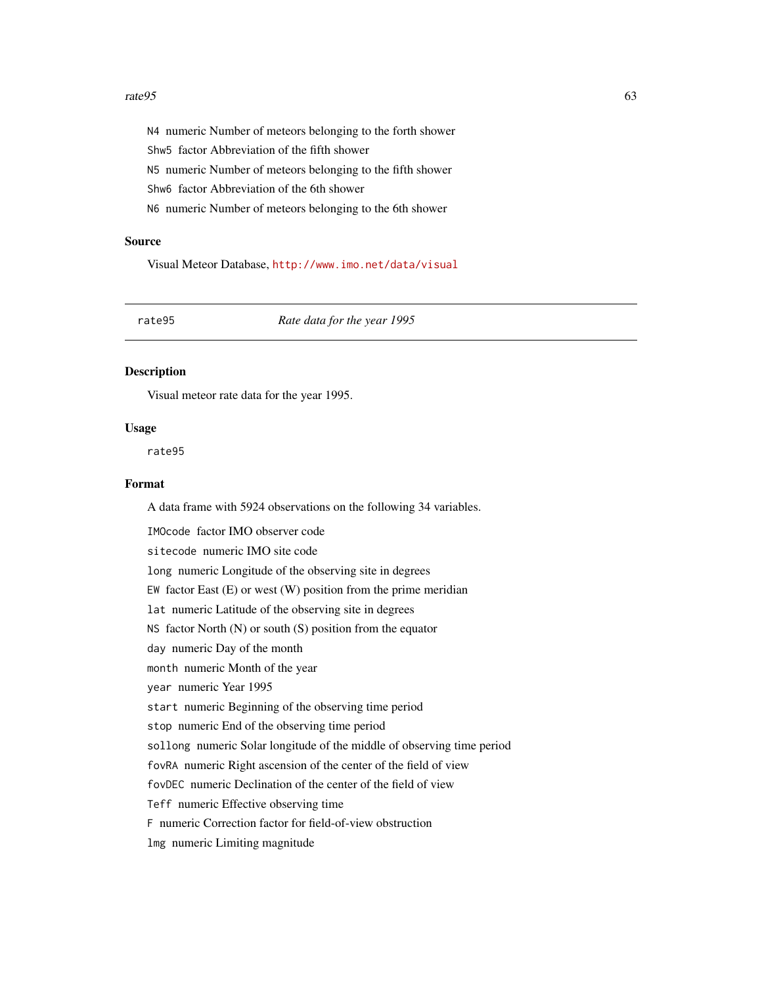#### $rate95$  63

N4 numeric Number of meteors belonging to the forth shower Shw5 factor Abbreviation of the fifth shower N5 numeric Number of meteors belonging to the fifth shower Shw6 factor Abbreviation of the 6th shower N6 numeric Number of meteors belonging to the 6th shower

## Source

Visual Meteor Database, <http://www.imo.net/data/visual>

rate95 *Rate data for the year 1995*

#### Description

Visual meteor rate data for the year 1995.

#### Usage

rate95

# Format

A data frame with 5924 observations on the following 34 variables.

IMOcode factor IMO observer code sitecode numeric IMO site code long numeric Longitude of the observing site in degrees EW factor East  $(E)$  or west  $(W)$  position from the prime meridian lat numeric Latitude of the observing site in degrees NS factor North (N) or south (S) position from the equator day numeric Day of the month month numeric Month of the year year numeric Year 1995 start numeric Beginning of the observing time period stop numeric End of the observing time period sollong numeric Solar longitude of the middle of observing time period fovRA numeric Right ascension of the center of the field of view fovDEC numeric Declination of the center of the field of view Teff numeric Effective observing time F numeric Correction factor for field-of-view obstruction lmg numeric Limiting magnitude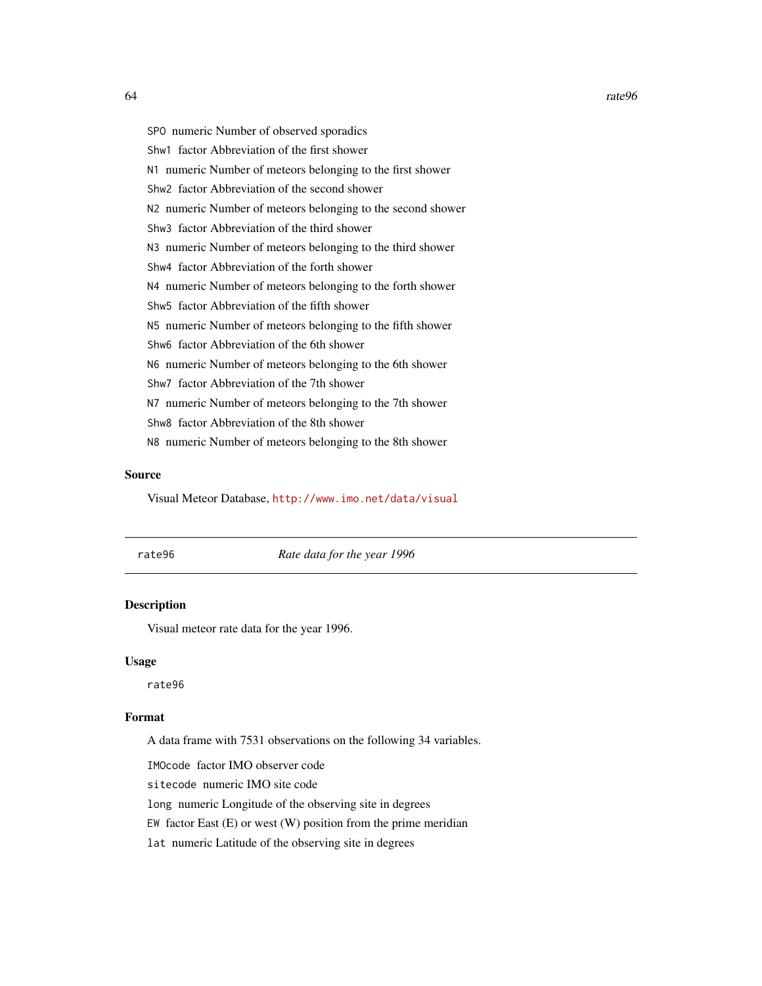SPO numeric Number of observed sporadics Shw1 factor Abbreviation of the first shower N1 numeric Number of meteors belonging to the first shower Shw2 factor Abbreviation of the second shower N2 numeric Number of meteors belonging to the second shower Shw3 factor Abbreviation of the third shower N3 numeric Number of meteors belonging to the third shower Shw4 factor Abbreviation of the forth shower N4 numeric Number of meteors belonging to the forth shower Shw5 factor Abbreviation of the fifth shower N5 numeric Number of meteors belonging to the fifth shower Shw6 factor Abbreviation of the 6th shower N6 numeric Number of meteors belonging to the 6th shower Shw7 factor Abbreviation of the 7th shower N7 numeric Number of meteors belonging to the 7th shower Shw8 factor Abbreviation of the 8th shower N8 numeric Number of meteors belonging to the 8th shower

#### Source

Visual Meteor Database, <http://www.imo.net/data/visual>

rate96 *Rate data for the year 1996*

# Description

Visual meteor rate data for the year 1996.

#### Usage

rate96

# Format

A data frame with 7531 observations on the following 34 variables.

IMOcode factor IMO observer code

sitecode numeric IMO site code

long numeric Longitude of the observing site in degrees

EW factor East  $(E)$  or west  $(W)$  position from the prime meridian

lat numeric Latitude of the observing site in degrees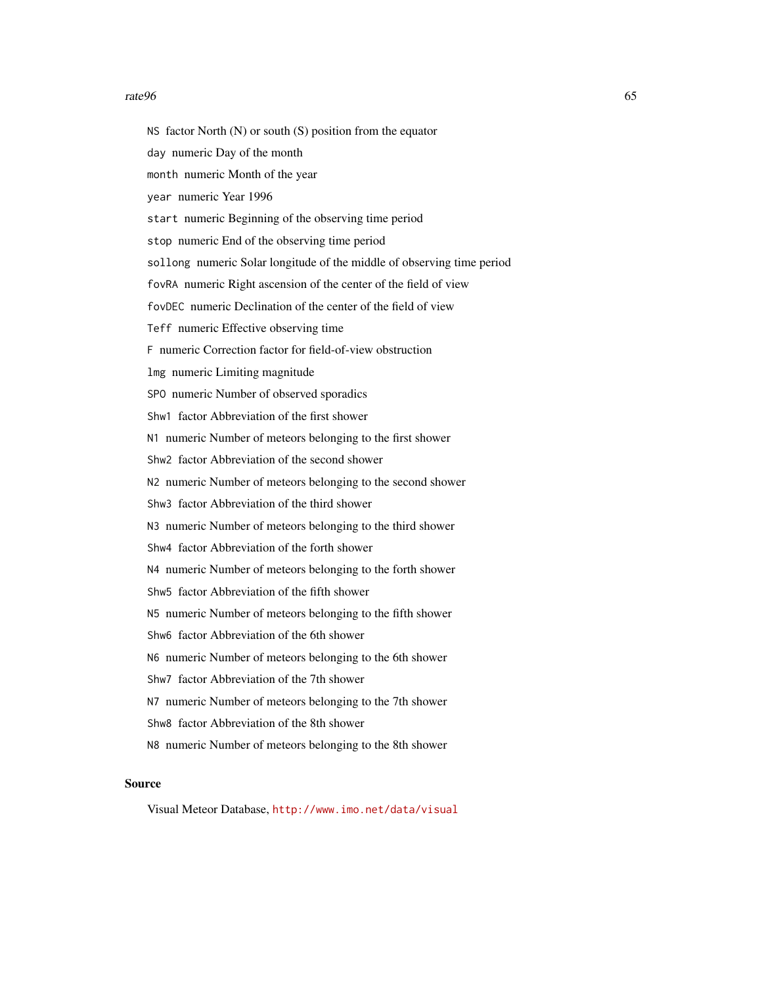#### $rate96$  65

NS factor North  $(N)$  or south  $(S)$  position from the equator

day numeric Day of the month

month numeric Month of the year

year numeric Year 1996

start numeric Beginning of the observing time period

stop numeric End of the observing time period

sollong numeric Solar longitude of the middle of observing time period

fovRA numeric Right ascension of the center of the field of view

fovDEC numeric Declination of the center of the field of view

Teff numeric Effective observing time

F numeric Correction factor for field-of-view obstruction

lmg numeric Limiting magnitude

SPO numeric Number of observed sporadics

Shw1 factor Abbreviation of the first shower

N1 numeric Number of meteors belonging to the first shower

Shw2 factor Abbreviation of the second shower

N2 numeric Number of meteors belonging to the second shower

Shw3 factor Abbreviation of the third shower

N3 numeric Number of meteors belonging to the third shower

Shw4 factor Abbreviation of the forth shower

N4 numeric Number of meteors belonging to the forth shower

Shw5 factor Abbreviation of the fifth shower

N5 numeric Number of meteors belonging to the fifth shower

Shw6 factor Abbreviation of the 6th shower

N6 numeric Number of meteors belonging to the 6th shower

Shw7 factor Abbreviation of the 7th shower

N7 numeric Number of meteors belonging to the 7th shower

Shw8 factor Abbreviation of the 8th shower

N8 numeric Number of meteors belonging to the 8th shower

#### Source

Visual Meteor Database, <http://www.imo.net/data/visual>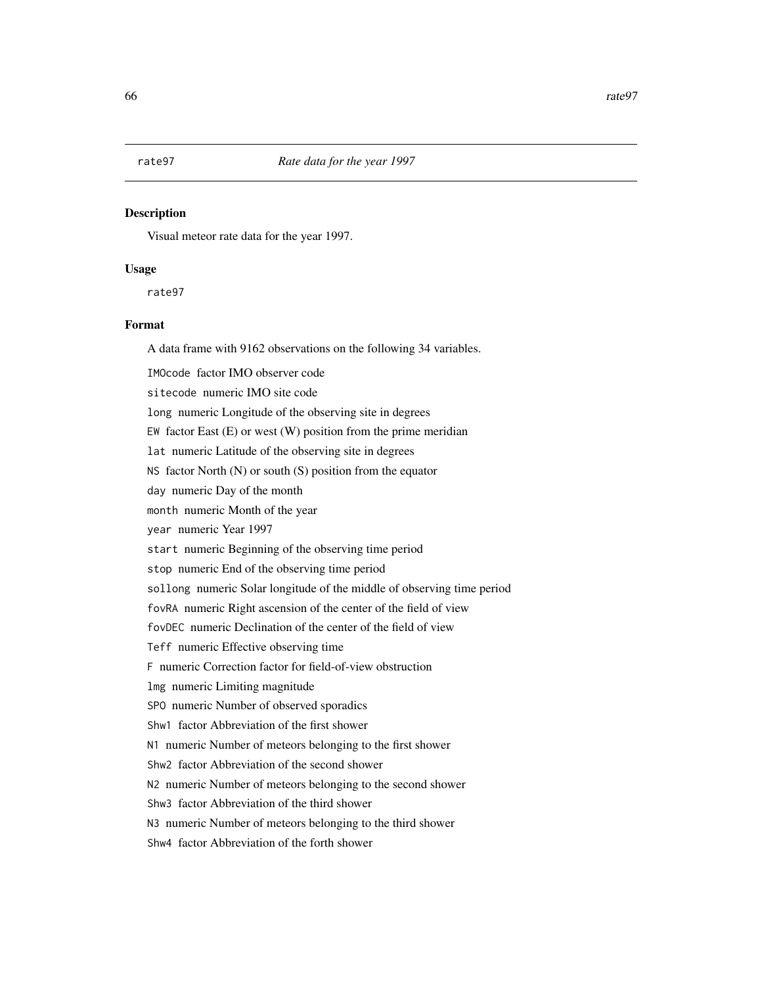Visual meteor rate data for the year 1997.

## Usage

rate97

# Format

A data frame with 9162 observations on the following 34 variables.

IMOcode factor IMO observer code

sitecode numeric IMO site code

long numeric Longitude of the observing site in degrees

EW factor East  $(E)$  or west  $(W)$  position from the prime meridian

lat numeric Latitude of the observing site in degrees

NS factor North (N) or south (S) position from the equator

day numeric Day of the month

month numeric Month of the year

year numeric Year 1997

start numeric Beginning of the observing time period

stop numeric End of the observing time period

sollong numeric Solar longitude of the middle of observing time period

fovRA numeric Right ascension of the center of the field of view

fovDEC numeric Declination of the center of the field of view

Teff numeric Effective observing time

F numeric Correction factor for field-of-view obstruction

lmg numeric Limiting magnitude

SPO numeric Number of observed sporadics

Shw1 factor Abbreviation of the first shower

N1 numeric Number of meteors belonging to the first shower

Shw2 factor Abbreviation of the second shower

N2 numeric Number of meteors belonging to the second shower

Shw3 factor Abbreviation of the third shower

N3 numeric Number of meteors belonging to the third shower

Shw4 factor Abbreviation of the forth shower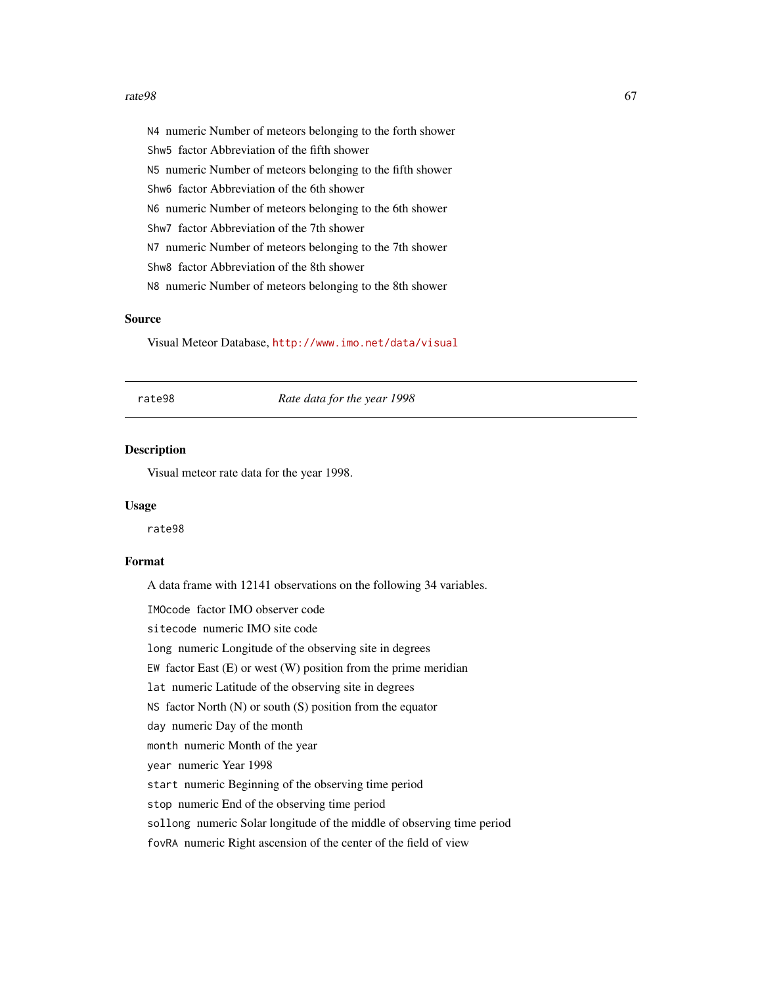#### $rate98$  67

N4 numeric Number of meteors belonging to the forth shower Shw5 factor Abbreviation of the fifth shower N5 numeric Number of meteors belonging to the fifth shower Shw6 factor Abbreviation of the 6th shower N6 numeric Number of meteors belonging to the 6th shower Shw7 factor Abbreviation of the 7th shower N7 numeric Number of meteors belonging to the 7th shower Shw8 factor Abbreviation of the 8th shower N8 numeric Number of meteors belonging to the 8th shower

# Source

Visual Meteor Database, <http://www.imo.net/data/visual>

rate98 *Rate data for the year 1998*

## Description

Visual meteor rate data for the year 1998.

#### Usage

rate98

# Format

A data frame with 12141 observations on the following 34 variables.

IMOcode factor IMO observer code

sitecode numeric IMO site code

long numeric Longitude of the observing site in degrees

EW factor East  $(E)$  or west  $(W)$  position from the prime meridian

lat numeric Latitude of the observing site in degrees

NS factor North (N) or south (S) position from the equator

day numeric Day of the month

month numeric Month of the year

year numeric Year 1998

start numeric Beginning of the observing time period

stop numeric End of the observing time period

sollong numeric Solar longitude of the middle of observing time period

fovRA numeric Right ascension of the center of the field of view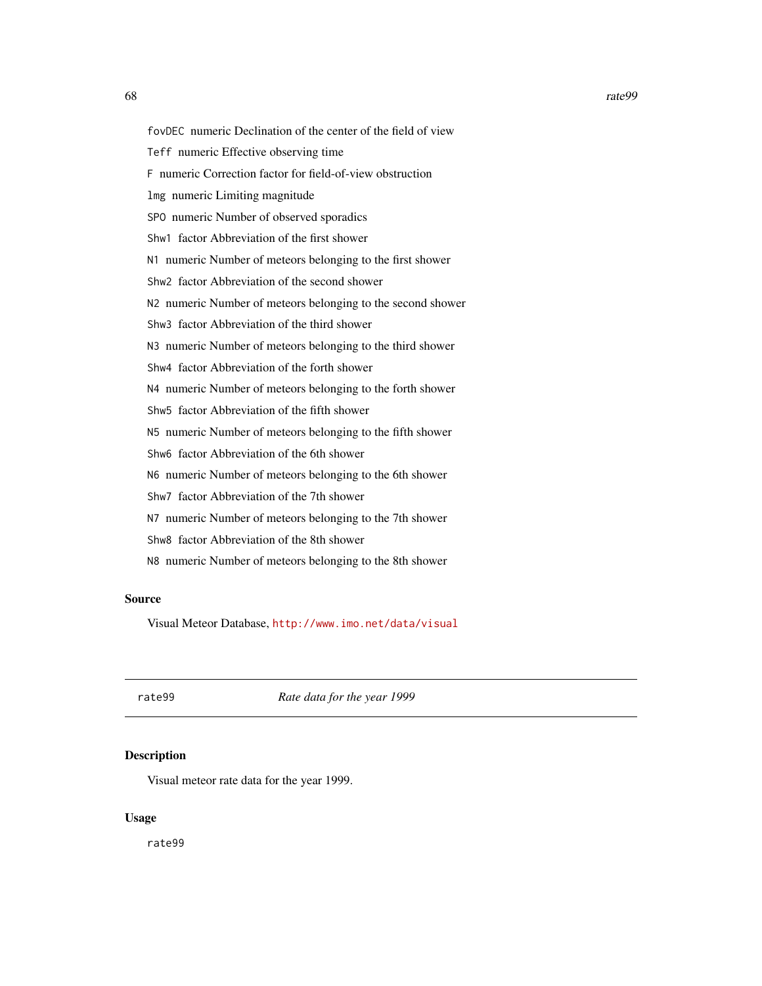fovDEC numeric Declination of the center of the field of view Teff numeric Effective observing time F numeric Correction factor for field-of-view obstruction lmg numeric Limiting magnitude SPO numeric Number of observed sporadics Shw1 factor Abbreviation of the first shower N1 numeric Number of meteors belonging to the first shower Shw2 factor Abbreviation of the second shower N2 numeric Number of meteors belonging to the second shower

Shw3 factor Abbreviation of the third shower

N3 numeric Number of meteors belonging to the third shower

Shw4 factor Abbreviation of the forth shower

N4 numeric Number of meteors belonging to the forth shower

Shw5 factor Abbreviation of the fifth shower

N5 numeric Number of meteors belonging to the fifth shower

Shw6 factor Abbreviation of the 6th shower

N6 numeric Number of meteors belonging to the 6th shower

Shw7 factor Abbreviation of the 7th shower

N7 numeric Number of meteors belonging to the 7th shower

Shw8 factor Abbreviation of the 8th shower

N8 numeric Number of meteors belonging to the 8th shower

#### Source

Visual Meteor Database, <http://www.imo.net/data/visual>

rate99 *Rate data for the year 1999*

#### **Description**

Visual meteor rate data for the year 1999.

#### Usage

rate99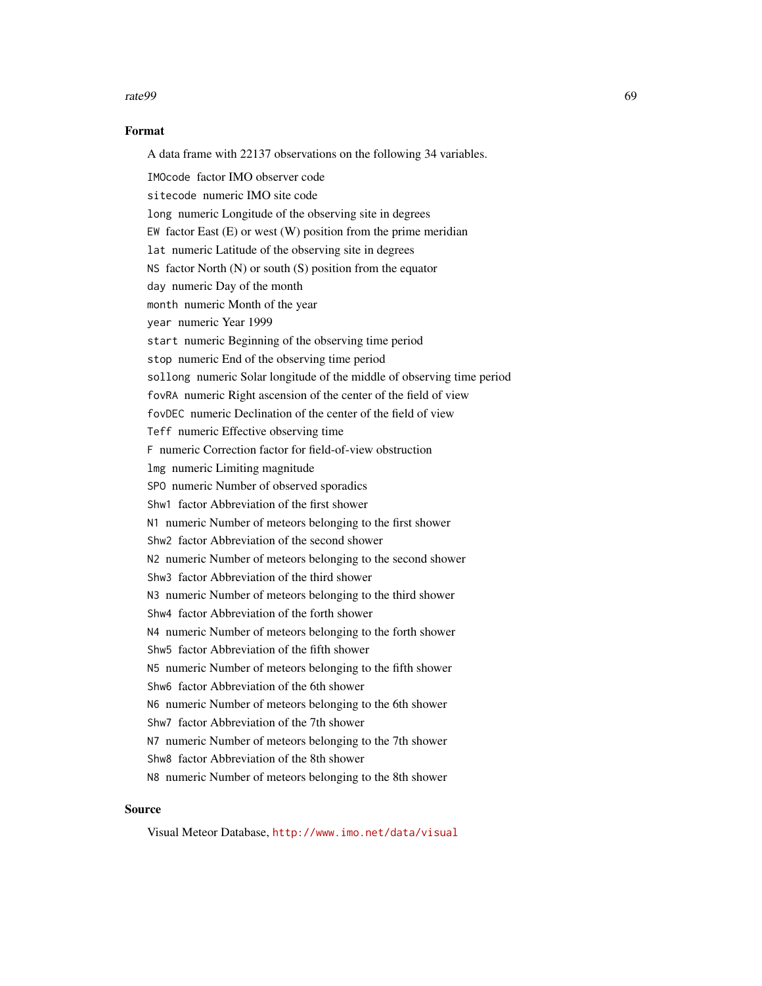#### rate99 69

# Format

A data frame with 22137 observations on the following 34 variables.

IMOcode factor IMO observer code sitecode numeric IMO site code long numeric Longitude of the observing site in degrees EW factor East (E) or west (W) position from the prime meridian lat numeric Latitude of the observing site in degrees NS factor North (N) or south (S) position from the equator day numeric Day of the month month numeric Month of the year year numeric Year 1999 start numeric Beginning of the observing time period stop numeric End of the observing time period sollong numeric Solar longitude of the middle of observing time period fovRA numeric Right ascension of the center of the field of view fovDEC numeric Declination of the center of the field of view Teff numeric Effective observing time F numeric Correction factor for field-of-view obstruction lmg numeric Limiting magnitude SPO numeric Number of observed sporadics Shw1 factor Abbreviation of the first shower N1 numeric Number of meteors belonging to the first shower Shw2 factor Abbreviation of the second shower N2 numeric Number of meteors belonging to the second shower Shw3 factor Abbreviation of the third shower N3 numeric Number of meteors belonging to the third shower Shw4 factor Abbreviation of the forth shower N4 numeric Number of meteors belonging to the forth shower Shw5 factor Abbreviation of the fifth shower N5 numeric Number of meteors belonging to the fifth shower Shw6 factor Abbreviation of the 6th shower N6 numeric Number of meteors belonging to the 6th shower Shw7 factor Abbreviation of the 7th shower N7 numeric Number of meteors belonging to the 7th shower Shw8 factor Abbreviation of the 8th shower N8 numeric Number of meteors belonging to the 8th shower

# Source

Visual Meteor Database, <http://www.imo.net/data/visual>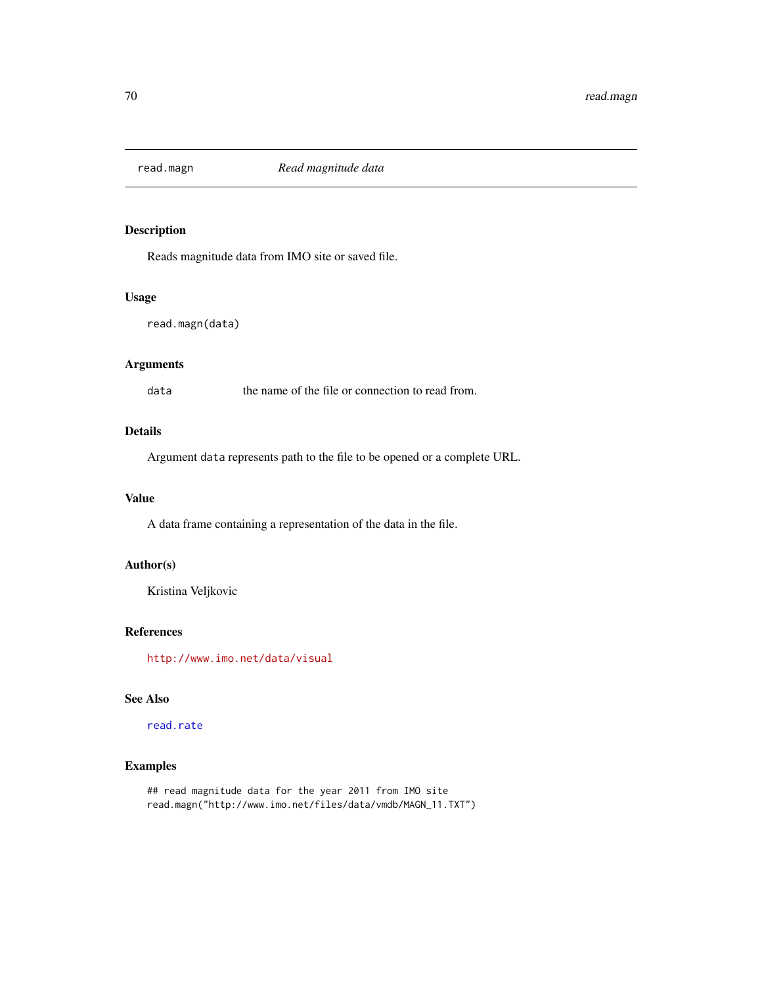<span id="page-69-0"></span>

Reads magnitude data from IMO site or saved file.

# Usage

```
read.magn(data)
```
# Arguments

data the name of the file or connection to read from.

# Details

Argument data represents path to the file to be opened or a complete URL.

# Value

A data frame containing a representation of the data in the file.

# Author(s)

Kristina Veljkovic

# References

<http://www.imo.net/data/visual>

# See Also

[read.rate](#page-70-0)

# Examples

## read magnitude data for the year 2011 from IMO site read.magn("http://www.imo.net/files/data/vmdb/MAGN\_11.TXT")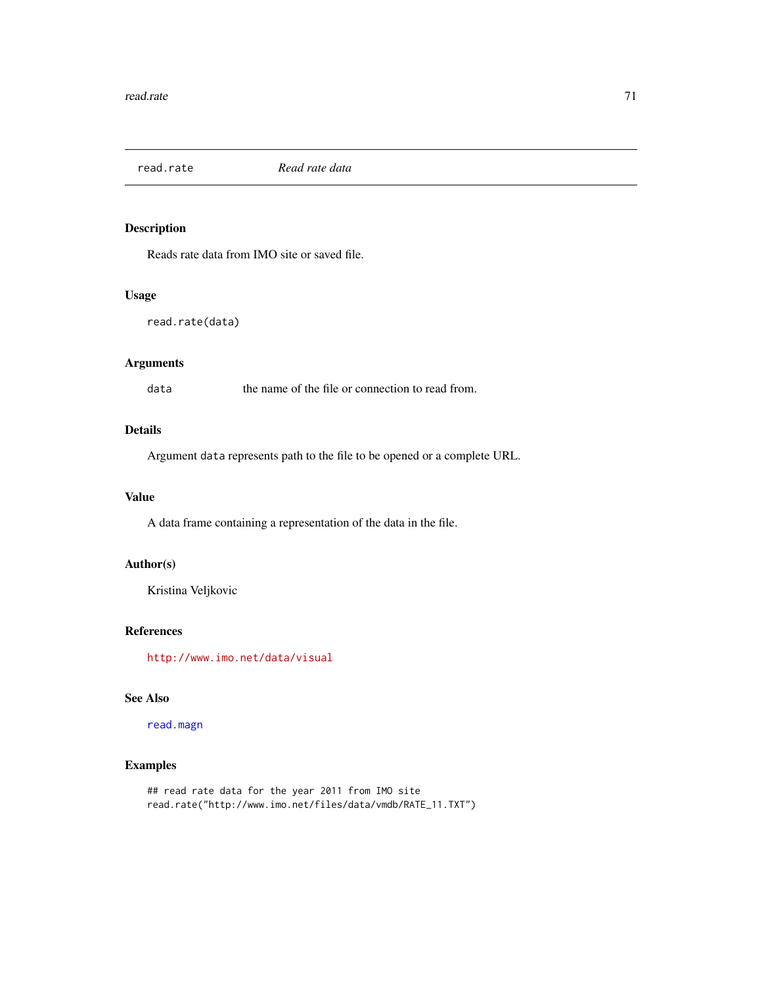<span id="page-70-0"></span>

Reads rate data from IMO site or saved file.

# Usage

read.rate(data)

# Arguments

data the name of the file or connection to read from.

# Details

Argument data represents path to the file to be opened or a complete URL.

# Value

A data frame containing a representation of the data in the file.

# Author(s)

Kristina Veljkovic

# References

<http://www.imo.net/data/visual>

# See Also

[read.magn](#page-69-0)

# Examples

```
## read rate data for the year 2011 from IMO site
read.rate("http://www.imo.net/files/data/vmdb/RATE_11.TXT")
```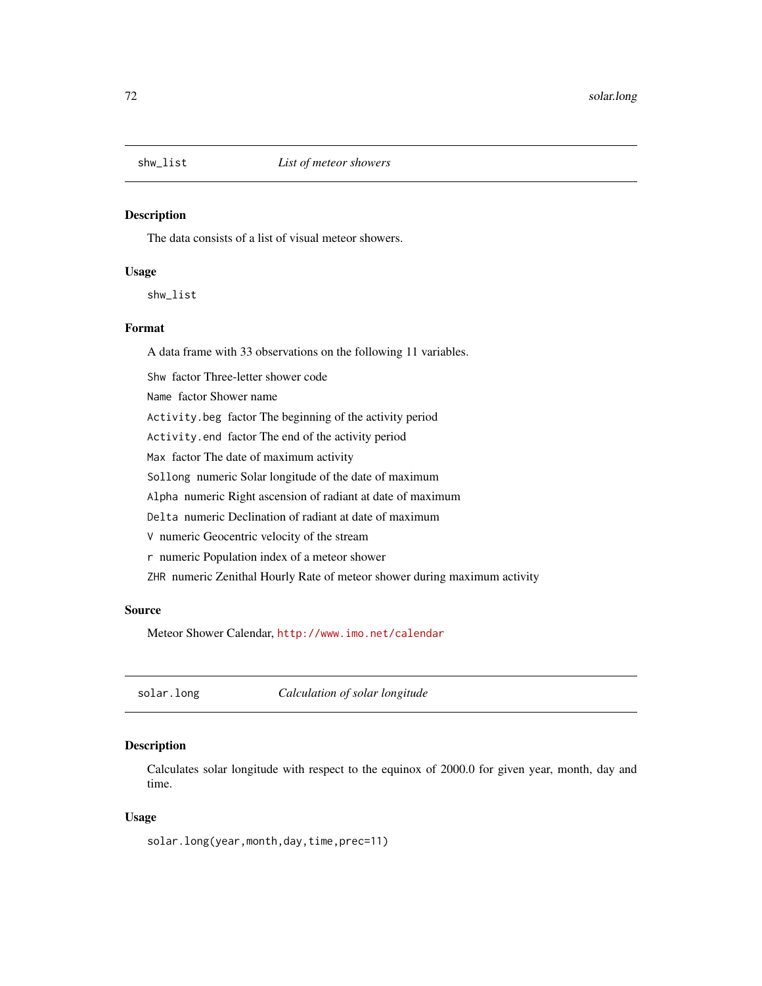The data consists of a list of visual meteor showers.

# Usage

shw\_list

# Format

A data frame with 33 observations on the following 11 variables.

Shw factor Three-letter shower code Name factor Shower name Activity.beg factor The beginning of the activity period Activity.end factor The end of the activity period Max factor The date of maximum activity Sollong numeric Solar longitude of the date of maximum Alpha numeric Right ascension of radiant at date of maximum Delta numeric Declination of radiant at date of maximum V numeric Geocentric velocity of the stream r numeric Population index of a meteor shower ZHR numeric Zenithal Hourly Rate of meteor shower during maximum activity

## Source

Meteor Shower Calendar, <http://www.imo.net/calendar>

solar.long *Calculation of solar longitude*

# Description

Calculates solar longitude with respect to the equinox of 2000.0 for given year, month, day and time.

#### Usage

solar.long(year,month,day,time,prec=11)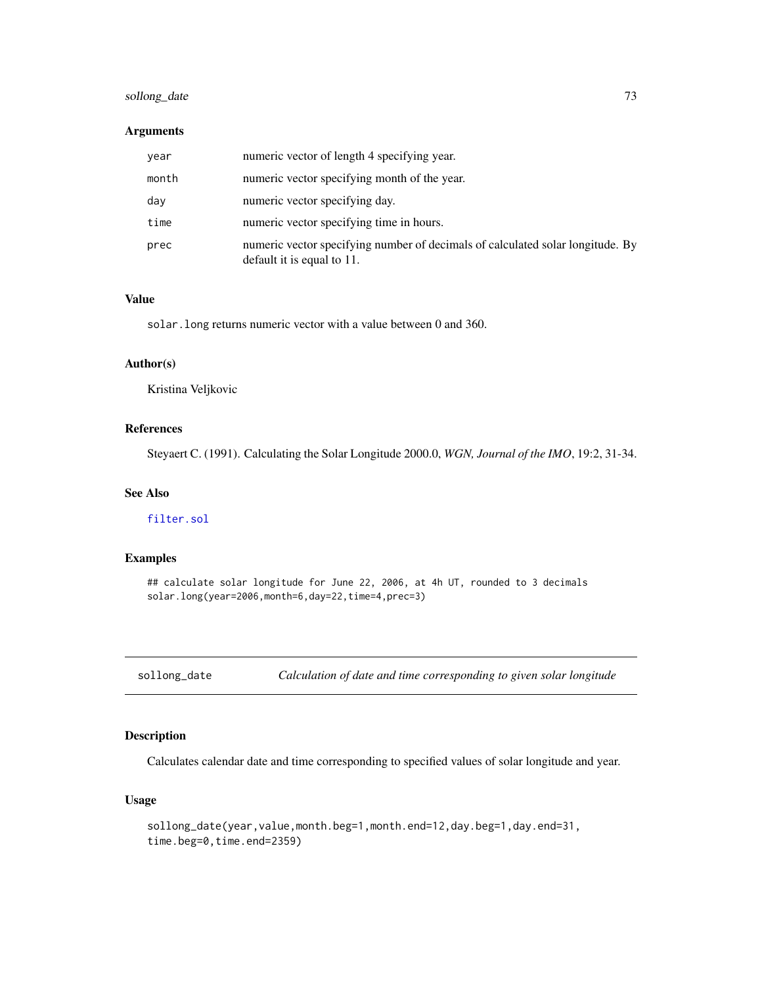# <span id="page-72-0"></span>sollong\_date 73

### Arguments

| year  | numeric vector of length 4 specifying year.                                                                  |
|-------|--------------------------------------------------------------------------------------------------------------|
| month | numeric vector specifying month of the year.                                                                 |
| day   | numeric vector specifying day.                                                                               |
| time  | numeric vector specifying time in hours.                                                                     |
| prec  | numeric vector specifying number of decimals of calculated solar longitude. By<br>default it is equal to 11. |

#### Value

solar.long returns numeric vector with a value between 0 and 360.

# Author(s)

Kristina Veljkovic

# References

Steyaert C. (1991). Calculating the Solar Longitude 2000.0, *WGN, Journal of the IMO*, 19:2, 31-34.

### See Also

[filter.sol](#page-18-0)

# Examples

## calculate solar longitude for June 22, 2006, at 4h UT, rounded to 3 decimals solar.long(year=2006,month=6,day=22,time=4,prec=3)

sollong\_date *Calculation of date and time corresponding to given solar longitude*

#### Description

Calculates calendar date and time corresponding to specified values of solar longitude and year.

### Usage

```
sollong_date(year,value,month.beg=1,month.end=12,day.beg=1,day.end=31,
time.beg=0,time.end=2359)
```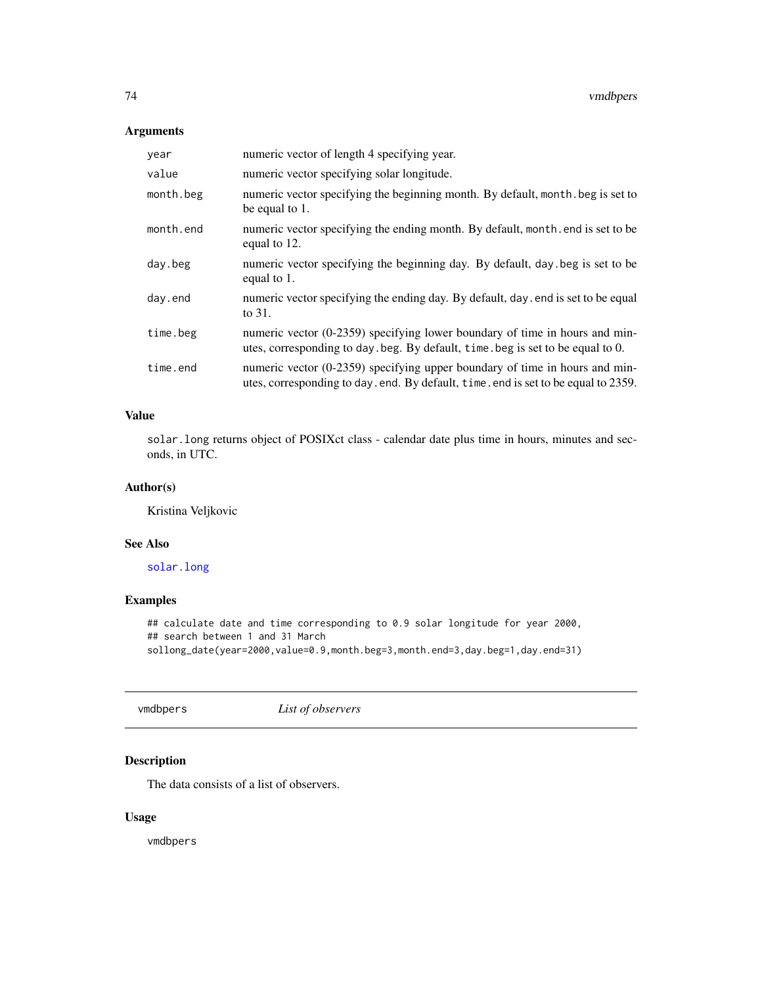# <span id="page-73-0"></span>Arguments

| year      | numeric vector of length 4 specifying year.                                                                                                                         |
|-----------|---------------------------------------------------------------------------------------------------------------------------------------------------------------------|
| value     | numeric vector specifying solar longitude.                                                                                                                          |
| month.beg | numeric vector specifying the beginning month. By default, month, beg is set to<br>be equal to 1.                                                                   |
| month.end | numeric vector specifying the ending month. By default, month. end is set to be<br>equal to 12.                                                                     |
| day.beg   | numeric vector specifying the beginning day. By default, day beg is set to be<br>equal to 1.                                                                        |
| day.end   | numeric vector specifying the ending day. By default, day, end is set to be equal<br>to 31.                                                                         |
| time.beg  | numeric vector (0-2359) specifying lower boundary of time in hours and min-<br>utes, corresponding to day. beg. By default, time. beg is set to be equal to 0.      |
| time.end  | numeric vector $(0-2359)$ specifying upper boundary of time in hours and min-<br>utes, corresponding to day. end. By default, time. end is set to be equal to 2359. |

# Value

solar.long returns object of POSIXct class - calendar date plus time in hours, minutes and seconds, in UTC.

# Author(s)

Kristina Veljkovic

#### See Also

[solar.long](#page-71-0)

# Examples

## calculate date and time corresponding to 0.9 solar longitude for year 2000, ## search between 1 and 31 March sollong\_date(year=2000,value=0.9,month.beg=3,month.end=3,day.beg=1,day.end=31)

vmdbpers *List of observers*

# Description

The data consists of a list of observers.

### Usage

vmdbpers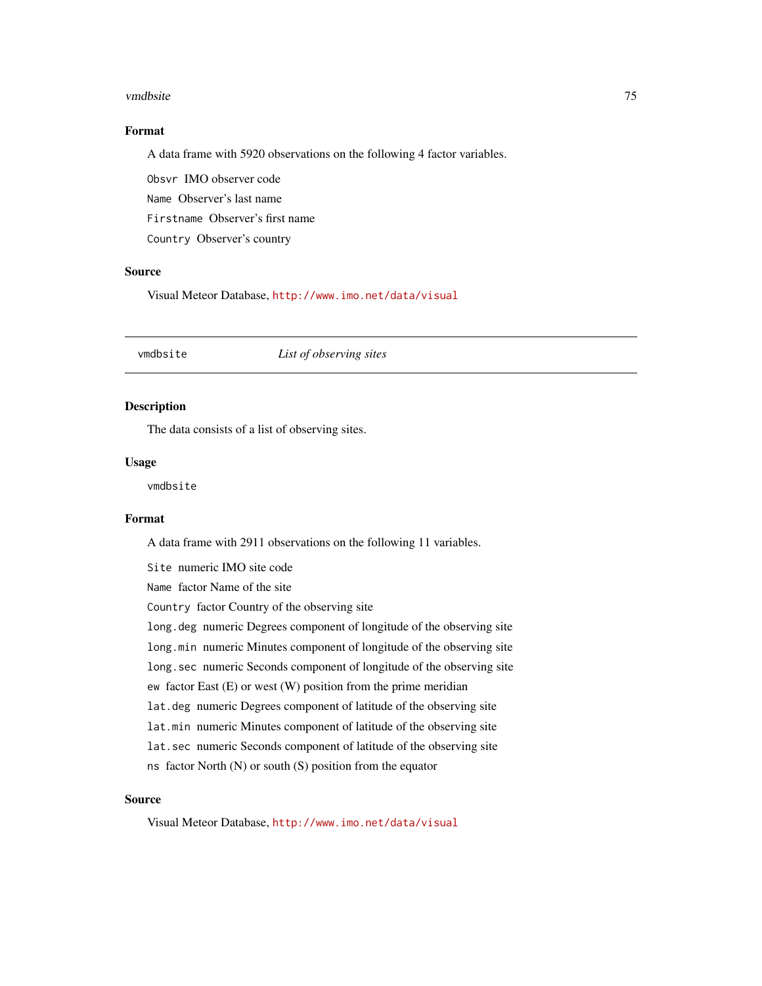#### <span id="page-74-0"></span>vmdbsite 75

# Format

A data frame with 5920 observations on the following 4 factor variables.

Obsvr IMO observer code Name Observer's last name

Firstname Observer's first name

Country Observer's country

#### Source

Visual Meteor Database, <http://www.imo.net/data/visual>

# Description

The data consists of a list of observing sites.

#### Usage

vmdbsite

#### Format

A data frame with 2911 observations on the following 11 variables.

Site numeric IMO site code Name factor Name of the site Country factor Country of the observing site long.deg numeric Degrees component of longitude of the observing site long.min numeric Minutes component of longitude of the observing site long.sec numeric Seconds component of longitude of the observing site ew factor East (E) or west (W) position from the prime meridian lat.deg numeric Degrees component of latitude of the observing site lat.min numeric Minutes component of latitude of the observing site lat.sec numeric Seconds component of latitude of the observing site ns factor North (N) or south (S) position from the equator

#### Source

Visual Meteor Database, <http://www.imo.net/data/visual>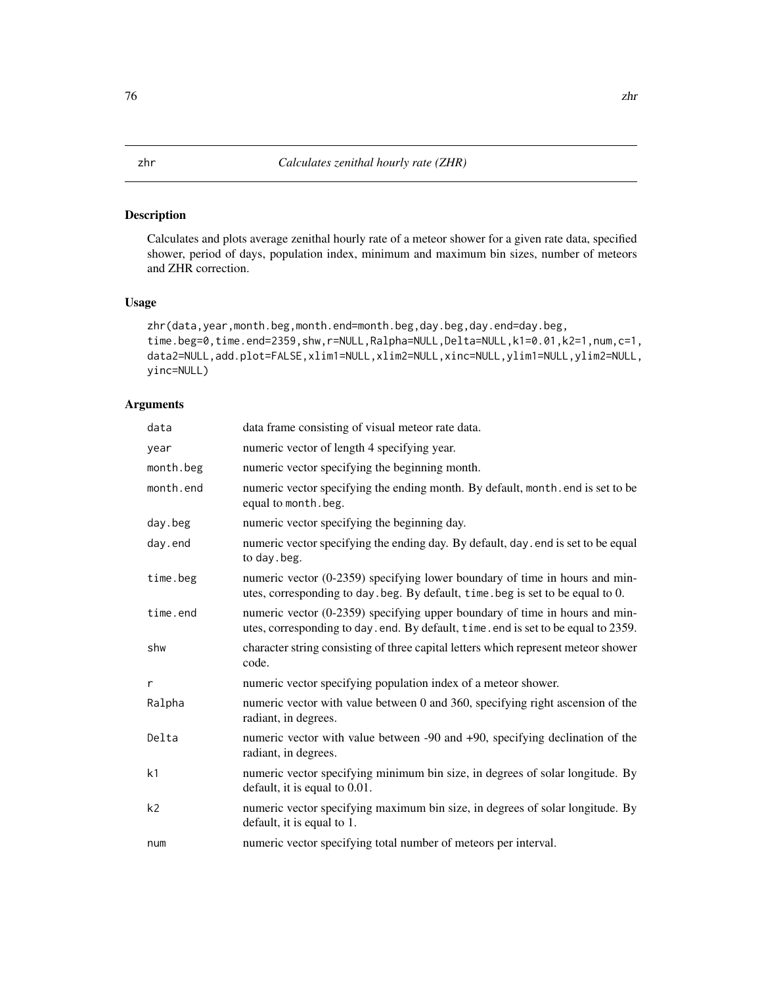# <span id="page-75-0"></span>Description

Calculates and plots average zenithal hourly rate of a meteor shower for a given rate data, specified shower, period of days, population index, minimum and maximum bin sizes, number of meteors and ZHR correction.

# Usage

```
zhr(data,year,month.beg,month.end=month.beg,day.beg,day.end=day.beg,
time.beg=0,time.end=2359,shw,r=NULL,Ralpha=NULL,Delta=NULL,k1=0.01,k2=1,num,c=1,
data2=NULL,add.plot=FALSE,xlim1=NULL,xlim2=NULL,xinc=NULL,ylim1=NULL,ylim2=NULL,
yinc=NULL)
```
# Arguments

| data           | data frame consisting of visual meteor rate data.                                                                                                                 |
|----------------|-------------------------------------------------------------------------------------------------------------------------------------------------------------------|
| year           | numeric vector of length 4 specifying year.                                                                                                                       |
| month.beg      | numeric vector specifying the beginning month.                                                                                                                    |
| month.end      | numeric vector specifying the ending month. By default, month. end is set to be<br>equal to month. beg.                                                           |
| day.beg        | numeric vector specifying the beginning day.                                                                                                                      |
| day.end        | numeric vector specifying the ending day. By default, day . end is set to be equal<br>to day . beg.                                                               |
| time.beg       | numeric vector (0-2359) specifying lower boundary of time in hours and min-<br>utes, corresponding to day. beg. By default, time. beg is set to be equal to 0.    |
| time.end       | numeric vector (0-2359) specifying upper boundary of time in hours and min-<br>utes, corresponding to day. end. By default, time. end is set to be equal to 2359. |
| shw            | character string consisting of three capital letters which represent meteor shower<br>code.                                                                       |
| r              | numeric vector specifying population index of a meteor shower.                                                                                                    |
| Ralpha         | numeric vector with value between 0 and 360, specifying right ascension of the<br>radiant, in degrees.                                                            |
| Delta          | numeric vector with value between -90 and +90, specifying declination of the<br>radiant, in degrees.                                                              |
| k <sub>1</sub> | numeric vector specifying minimum bin size, in degrees of solar longitude. By<br>default, it is equal to $0.01$ .                                                 |
| k <sub>2</sub> | numeric vector specifying maximum bin size, in degrees of solar longitude. By<br>default, it is equal to 1.                                                       |
| num            | numeric vector specifying total number of meteors per interval.                                                                                                   |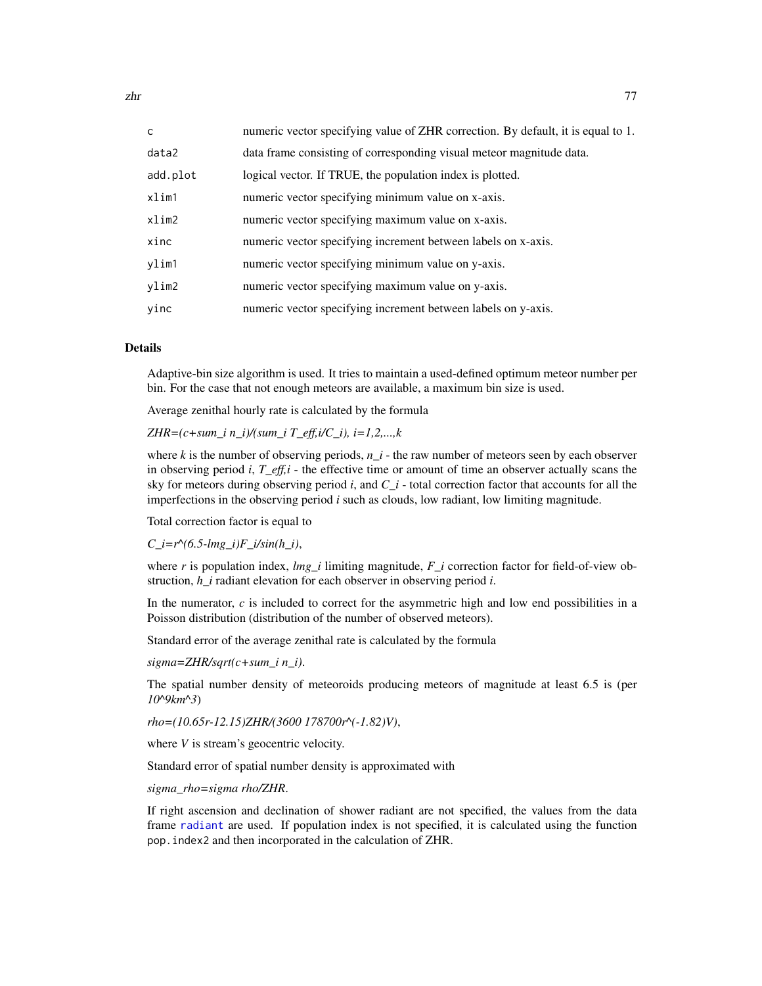<span id="page-76-0"></span>

| C        | numeric vector specifying value of ZHR correction. By default, it is equal to 1. |
|----------|----------------------------------------------------------------------------------|
| data2    | data frame consisting of corresponding visual meteor magnitude data.             |
| add.plot | logical vector. If TRUE, the population index is plotted.                        |
| xlim1    | numeric vector specifying minimum value on x-axis.                               |
| xlim2    | numeric vector specifying maximum value on x-axis.                               |
| xinc     | numeric vector specifying increment between labels on x-axis.                    |
| ylim1    | numeric vector specifying minimum value on y-axis.                               |
| ylim2    | numeric vector specifying maximum value on y-axis.                               |
| yinc     | numeric vector specifying increment between labels on y-axis.                    |

#### Details

Adaptive-bin size algorithm is used. It tries to maintain a used-defined optimum meteor number per bin. For the case that not enough meteors are available, a maximum bin size is used.

Average zenithal hourly rate is calculated by the formula

*ZHR=(c+sum\_i n\_i)/(sum\_i T\_eff,i/C\_i), i=1,2,...,k*

where *k* is the number of observing periods, *n\_i* - the raw number of meteors seen by each observer in observing period *i*, *T\_eff,i* - the effective time or amount of time an observer actually scans the sky for meteors during observing period *i*, and *C\_i* - total correction factor that accounts for all the imperfections in the observing period *i* such as clouds, low radiant, low limiting magnitude.

Total correction factor is equal to

 $C_i = r^{\wedge} (6.5 - lmg_i)F_i/sin(h_i),$ 

where *r* is population index, *lmg\_i* limiting magnitude, *F\_i* correction factor for field-of-view obstruction, *h\_i* radiant elevation for each observer in observing period *i*.

In the numerator, *c* is included to correct for the asymmetric high and low end possibilities in a Poisson distribution (distribution of the number of observed meteors).

Standard error of the average zenithal rate is calculated by the formula

*sigma=ZHR/sqrt(c+sum\_i n\_i)*.

The spatial number density of meteoroids producing meteors of magnitude at least 6.5 is (per *10^9km^3*)

*rho=(10.65r-12.15)ZHR/(3600 178700r^(-1.82)V)*,

where *V* is stream's geocentric velocity.

Standard error of spatial number density is approximated with

*sigma\_rho=sigma rho/ZHR*.

If right ascension and declination of shower radiant are not specified, the values from the data frame [radiant](#page-46-0) are used. If population index is not specified, it is calculated using the function pop.index2 and then incorporated in the calculation of ZHR.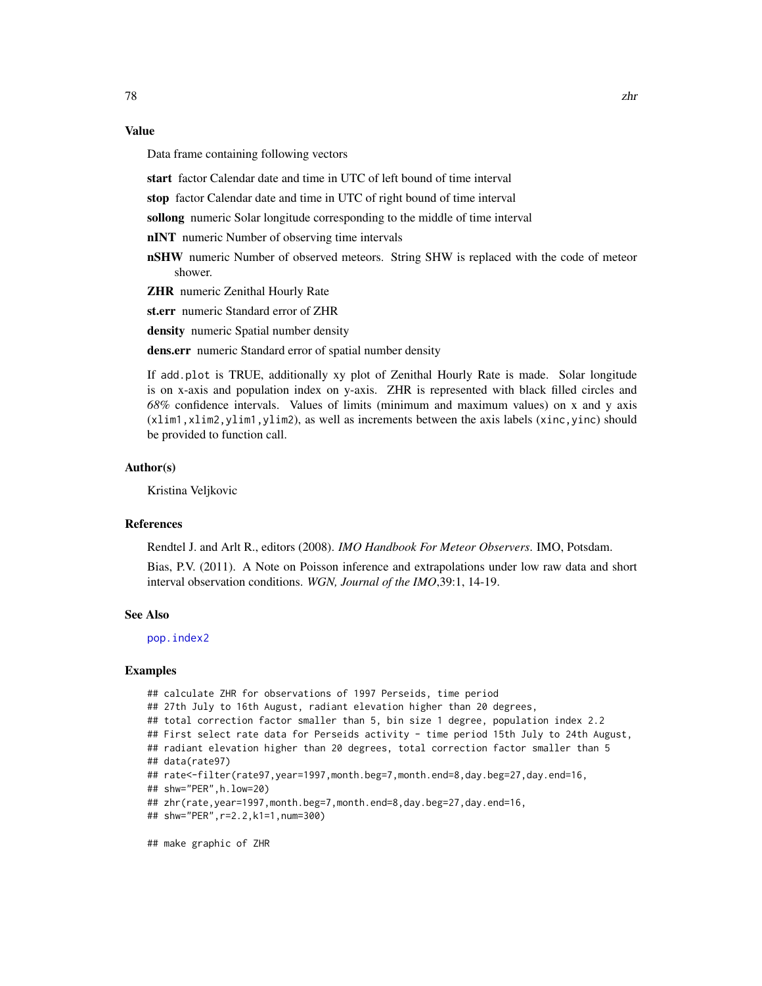# <span id="page-77-0"></span>Value

Data frame containing following vectors

start factor Calendar date and time in UTC of left bound of time interval

stop factor Calendar date and time in UTC of right bound of time interval

sollong numeric Solar longitude corresponding to the middle of time interval

nINT numeric Number of observing time intervals

nSHW numeric Number of observed meteors. String SHW is replaced with the code of meteor shower.

ZHR numeric Zenithal Hourly Rate

st.err numeric Standard error of ZHR

density numeric Spatial number density

dens.err numeric Standard error of spatial number density

If add.plot is TRUE, additionally xy plot of Zenithal Hourly Rate is made. Solar longitude is on x-axis and population index on y-axis. ZHR is represented with black filled circles and *68%* confidence intervals. Values of limits (minimum and maximum values) on x and y axis (xlim1,xlim2,ylim1,ylim2), as well as increments between the axis labels (xinc,yinc) should be provided to function call.

#### Author(s)

Kristina Veljkovic

#### References

Rendtel J. and Arlt R., editors (2008). *IMO Handbook For Meteor Observers*. IMO, Potsdam.

Bias, P.V. (2011). A Note on Poisson inference and extrapolations under low raw data and short interval observation conditions. *WGN, Journal of the IMO*,39:1, 14-19.

#### See Also

[pop.index2](#page-42-0)

#### Examples

## calculate ZHR for observations of 1997 Perseids, time period ## 27th July to 16th August, radiant elevation higher than 20 degrees, ## total correction factor smaller than 5, bin size 1 degree, population index 2.2 ## First select rate data for Perseids activity - time period 15th July to 24th August, ## radiant elevation higher than 20 degrees, total correction factor smaller than 5 ## data(rate97) ## rate<-filter(rate97,year=1997,month.beg=7,month.end=8,day.beg=27,day.end=16, ## shw="PER",h.low=20) ## zhr(rate,year=1997,month.beg=7,month.end=8,day.beg=27,day.end=16, ## shw="PER",r=2.2,k1=1,num=300) ## make graphic of ZHR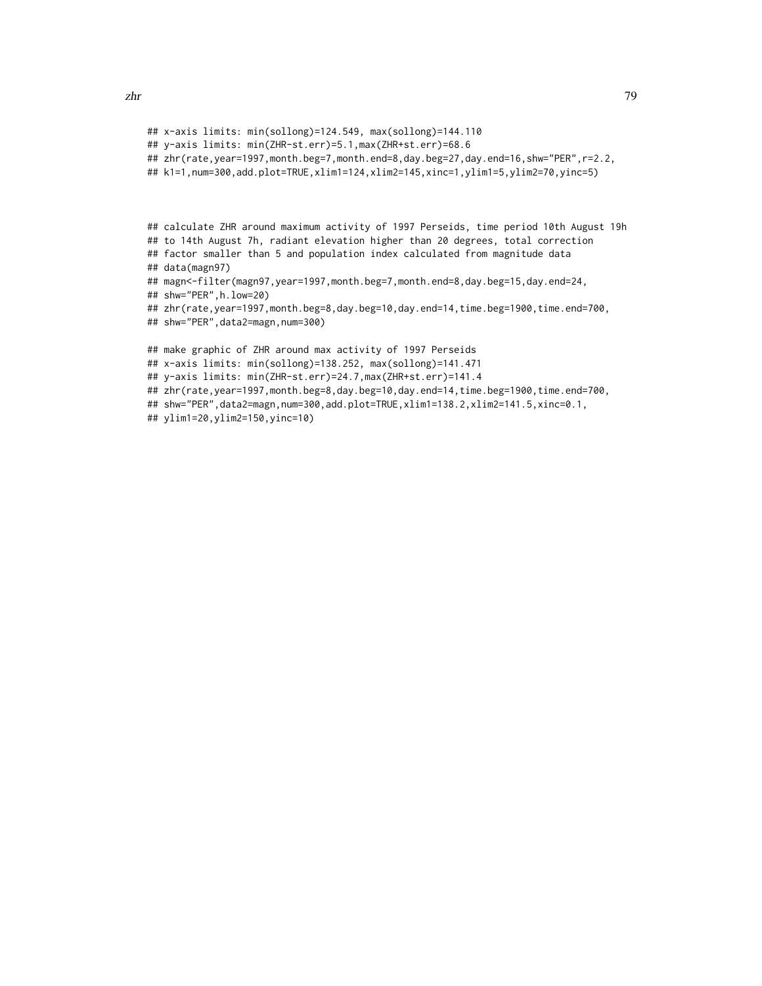```
## x-axis limits: min(sollong)=124.549, max(sollong)=144.110
## y-axis limits: min(ZHR-st.err)=5.1,max(ZHR+st.err)=68.6
## zhr(rate,year=1997,month.beg=7,month.end=8,day.beg=27,day.end=16,shw="PER",r=2.2,
## k1=1,num=300,add.plot=TRUE,xlim1=124,xlim2=145,xinc=1,ylim1=5,ylim2=70,yinc=5)
## calculate ZHR around maximum activity of 1997 Perseids, time period 10th August 19h
## to 14th August 7h, radiant elevation higher than 20 degrees, total correction
## factor smaller than 5 and population index calculated from magnitude data
## data(magn97)
## magn<-filter(magn97,year=1997,month.beg=7,month.end=8,day.beg=15,day.end=24,
## shw="PER",h.low=20)
## zhr(rate,year=1997,month.beg=8,day.beg=10,day.end=14,time.beg=1900,time.end=700,
## shw="PER",data2=magn,num=300)
## make graphic of ZHR around max activity of 1997 Perseids
## x-axis limits: min(sollong)=138.252, max(sollong)=141.471
## y-axis limits: min(ZHR-st.err)=24.7,max(ZHR+st.err)=141.4
## zhr(rate,year=1997,month.beg=8,day.beg=10,day.end=14,time.beg=1900,time.end=700,
## shw="PER",data2=magn,num=300,add.plot=TRUE,xlim1=138.2,xlim2=141.5,xinc=0.1,
## ylim1=20,ylim2=150,yinc=10)
```